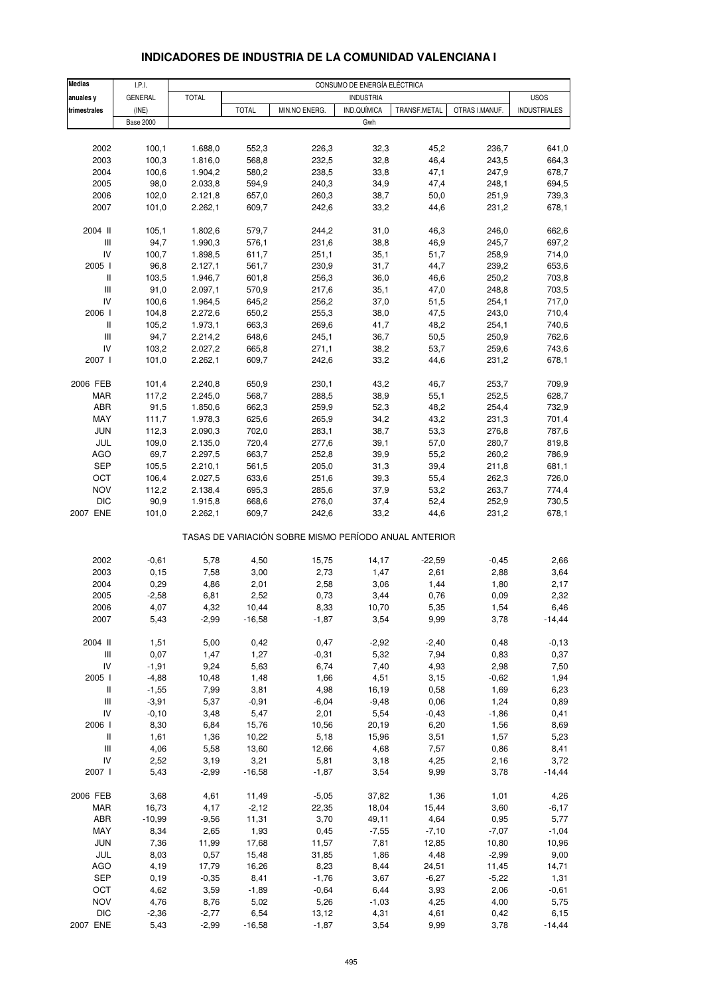| <b>Medias</b>                                         | I.P.I.           |                    |                |                | CONSUMO DE ENERGÍA ELÉCTRICA |              |                |                     |  |  |
|-------------------------------------------------------|------------------|--------------------|----------------|----------------|------------------------------|--------------|----------------|---------------------|--|--|
| anuales y                                             | <b>GENERAL</b>   | <b>TOTAL</b>       |                |                | <b>INDUSTRIA</b>             |              |                | <b>USOS</b>         |  |  |
| trimestrales                                          | (INE)            |                    | <b>TOTAL</b>   | MIN.NO ENERG.  | IND.QUÍMICA                  | TRANSF.METAL | OTRAS I.MANUF. | <b>INDUSTRIALES</b> |  |  |
|                                                       | <b>Base 2000</b> |                    |                |                | Gwh                          |              |                |                     |  |  |
|                                                       |                  |                    |                |                |                              |              |                |                     |  |  |
| 2002                                                  | 100,1            | 1.688,0            | 552,3          | 226,3          | 32,3                         | 45,2         | 236,7          | 641,0               |  |  |
| 2003                                                  | 100,3            | 1.816,0            | 568,8          | 232,5          | 32,8                         | 46,4         | 243,5          | 664,3               |  |  |
| 2004                                                  | 100,6            | 1.904,2            | 580,2          | 238,5          | 33,8                         | 47,1         | 247,9          | 678,7               |  |  |
| 2005                                                  | 98,0             | 2.033,8            | 594,9          | 240,3          | 34,9                         | 47,4         | 248,1          | 694,5               |  |  |
| 2006                                                  | 102,0            | 2.121,8            | 657,0          | 260,3          | 38,7                         | 50,0         | 251,9          | 739,3               |  |  |
| 2007                                                  | 101,0            | 2.262,1            | 609,7          | 242,6          | 33,2                         | 44,6         | 231,2          | 678,1               |  |  |
| 2004 II                                               |                  |                    |                |                |                              |              | 246,0          |                     |  |  |
| Ш                                                     | 105,1<br>94,7    | 1.802,6<br>1.990,3 | 579,7<br>576,1 | 244,2<br>231,6 | 31,0<br>38,8                 | 46,3<br>46,9 | 245,7          | 662,6<br>697,2      |  |  |
| IV                                                    | 100,7            | 1.898,5            | 611,7          | 251,1          | 35,1                         | 51,7         | 258,9          | 714,0               |  |  |
| 2005 l                                                | 96,8             | 2.127,1            | 561,7          | 230,9          | 31,7                         | 44,7         | 239,2          | 653,6               |  |  |
| $\mathbf{II}$                                         | 103,5            | 1.946,7            | 601,8          | 256,3          | 36,0                         | 46,6         | 250,2          | 703,8               |  |  |
| $\mathsf{III}$                                        | 91,0             | 2.097,1            | 570,9          | 217,6          | 35,1                         | 47,0         | 248,8          | 703,5               |  |  |
| IV                                                    | 100,6            | 1.964,5            | 645,2          | 256,2          | 37,0                         | 51,5         | 254,1          | 717,0               |  |  |
| 2006                                                  | 104,8            | 2.272,6            | 650,2          | 255,3          | 38,0                         | 47,5         | 243,0          | 710,4               |  |  |
| $\mathbf{II}$                                         | 105,2            | 1.973,1            | 663,3          | 269,6          | 41,7                         | 48,2         | 254,1          | 740,6               |  |  |
| $\ensuremath{\mathsf{III}}\xspace$                    | 94,7             | 2.214,2            | 648,6          | 245,1          |                              | 50,5         | 250,9          | 762,6               |  |  |
| IV                                                    | 103,2            | 2.027,2            | 665,8          | 271,1          | 36,7<br>38,2                 | 53,7         | 259,6          | 743,6               |  |  |
| 2007 l                                                |                  |                    |                |                |                              |              |                |                     |  |  |
|                                                       | 101,0            | 2.262,1            | 609,7          | 242,6          | 33,2                         | 44,6         | 231,2          | 678,1               |  |  |
| 2006 FEB                                              | 101,4            | 2.240,8            | 650,9          | 230,1          | 43,2                         | 46,7         | 253,7          | 709,9               |  |  |
| <b>MAR</b>                                            | 117,2            | 2.245,0            | 568,7          | 288,5          | 38,9                         | 55,1         | 252,5          | 628,7               |  |  |
| ABR                                                   | 91,5             | 1.850,6            | 662,3          | 259,9          | 52,3                         | 48,2         | 254,4          | 732,9               |  |  |
| MAY                                                   | 111,7            | 1.978,3            | 625,6          | 265,9          | 34,2                         | 43,2         | 231,3          | 701,4               |  |  |
| <b>JUN</b>                                            | 112,3            | 2.090,3            | 702,0          | 283,1          | 38,7                         | 53,3         | 276,8          | 787,6               |  |  |
| JUL                                                   | 109,0            | 2.135,0            | 720,4          | 277,6          | 39,1                         | 57,0         | 280,7          | 819,8               |  |  |
| <b>AGO</b>                                            | 69,7             | 2.297,5            | 663,7          | 252,8          | 39,9                         | 55,2         | 260,2          | 786,9               |  |  |
| SEP                                                   | 105,5            | 2.210,1            | 561,5          | 205,0          | 31,3                         | 39,4         | 211,8          | 681,1               |  |  |
| OCT                                                   | 106,4            | 2.027,5            | 633,6          | 251,6          | 39,3                         | 55,4         | 262,3          | 726,0               |  |  |
| <b>NOV</b>                                            | 112,2            | 2.138,4            | 695,3          | 285,6          | 37,9                         | 53,2         | 263,7          | 774,4               |  |  |
| <b>DIC</b>                                            | 90,9             | 1.915,8            | 668,6          | 276,0          | 37,4                         | 52,4         | 252,9          | 730,5               |  |  |
| 2007 ENE                                              | 101,0            | 2.262,1            | 609,7          | 242,6          | 33,2                         | 44,6         | 231,2          | 678,1               |  |  |
| TASAS DE VARIACIÓN SOBRE MISMO PERÍODO ANUAL ANTERIOR |                  |                    |                |                |                              |              |                |                     |  |  |
|                                                       |                  |                    |                |                |                              |              |                |                     |  |  |
| 2002                                                  | $-0,61$          | 5,78               | 4,50           | 15,75          | 14,17                        | $-22,59$     | $-0,45$        | 2,66                |  |  |
| 2003                                                  | 0, 15            | 7,58               | 3,00           | 2,73           | 1,47                         | 2,61         | 2,88           | 3,64                |  |  |
| 2004                                                  | 0,29             | 4,86               | 2,01           | 2,58           | 3,06                         | 1,44         | 1,80           | 2,17                |  |  |
| 2005                                                  | $-2,58$          | 6,81               | 2,52           | 0,73           | 3,44                         | 0,76         | 0,09           | 2,32                |  |  |
| 2006                                                  | 4,07             | 4,32               | 10,44          | 8,33           | 10,70                        | 5,35         | 1,54           | 6,46                |  |  |
| 2007                                                  | 5,43             | $-2,99$            | $-16,58$       | $-1,87$        | 3,54                         | 9,99         | 3,78           | $-14,44$            |  |  |
| 2004 II                                               | 1,51             | 5,00               | 0,42           | 0,47           | $-2,92$                      | $-2,40$      | 0,48           | $-0, 13$            |  |  |
| $\begin{array}{c} \Pi \end{array}$                    | 0,07             | 1,47               | 1,27           | $-0,31$        | 5,32                         | 7,94         | 0,83           | 0,37                |  |  |
| IV                                                    | $-1,91$          | 9,24               | 5,63           | 6,74           | 7,40                         | 4,93         | 2,98           | 7,50                |  |  |
| 2005 l                                                | $-4,88$          | 10,48              | 1,48           | 1,66           | 4,51                         | 3,15         | $-0,62$        | 1,94                |  |  |
| $\, \parallel$                                        | $-1,55$          | 7,99               | 3,81           | 4,98           | 16,19                        | 0,58         | 1,69           | 6,23                |  |  |
| $\ensuremath{\mathsf{III}}\xspace$                    | $-3,91$          | 5,37               | $-0,91$        | $-6,04$        | $-9,48$                      | 0,06         | 1,24           | 0,89                |  |  |
| IV                                                    | $-0, 10$         | 3,48               | 5,47           | 2,01           | 5,54                         | $-0,43$      | $-1,86$        | 0,41                |  |  |
| 2006 l                                                | 8,30             | 6,84               | 15,76          | 10,56          | 20,19                        | 6,20         | 1,56           | 8,69                |  |  |
| $\, \parallel$                                        | 1,61             | 1,36               | 10,22          | 5,18           | 15,96                        | 3,51         | 1,57           | 5,23                |  |  |
| $\ensuremath{\mathsf{III}}\xspace$                    | 4,06             | 5,58               | 13,60          | 12,66          | 4,68                         | 7,57         | 0,86           | 8,41                |  |  |
| IV                                                    | 2,52             | 3,19               | 3,21           | 5,81           | 3,18                         | 4,25         | 2,16           | 3,72                |  |  |
| 2007 l                                                | 5,43             | $-2,99$            | $-16,58$       | $-1,87$        | 3,54                         | 9,99         | 3,78           | $-14,44$            |  |  |
|                                                       |                  |                    |                |                |                              |              |                |                     |  |  |
| 2006 FEB                                              | 3,68             | 4,61               | 11,49          | $-5,05$        | 37,82                        | 1,36         | 1,01           | 4,26                |  |  |
| <b>MAR</b>                                            | 16,73            | 4,17               | $-2,12$        | 22,35          | 18,04                        | 15,44        | 3,60           | $-6,17$             |  |  |
| ABR                                                   | $-10,99$         | $-9,56$            | 11,31          | 3,70           | 49,11                        | 4,64         | 0,95           | 5,77                |  |  |
| MAY                                                   | 8,34             | 2,65               | 1,93           | 0,45           | $-7,55$                      | $-7,10$      | $-7,07$        | $-1,04$             |  |  |
| <b>JUN</b>                                            | 7,36             | 11,99              | 17,68          | 11,57          | 7,81                         | 12,85        | 10,80          | 10,96               |  |  |
| JUL                                                   | 8,03             | 0,57               | 15,48          | 31,85          | 1,86                         | 4,48         | $-2,99$        | 9,00                |  |  |
| AGO                                                   | 4,19             | 17,79              | 16,26          | 8,23           | 8,44                         | 24,51        | 11,45          | 14,71               |  |  |
| <b>SEP</b>                                            | 0,19             | $-0,35$            | 8,41           | $-1,76$        | 3,67                         | $-6,27$      | $-5,22$        | 1,31                |  |  |
| OCT                                                   | 4,62             | 3,59               | $-1,89$        | $-0,64$        | 6,44                         | 3,93         | 2,06           | $-0,61$             |  |  |
| <b>NOV</b>                                            | 4,76             | 8,76               | 5,02           | 5,26           | $-1,03$                      | 4,25         | 4,00           | 5,75                |  |  |
| <b>DIC</b>                                            | $-2,36$          | $-2,77$            | 6,54           | 13,12          | 4,31                         | 4,61         | 0,42           | 6, 15               |  |  |
| 2007 ENE                                              | 5,43             | $-2,99$            | $-16,58$       | $-1,87$        | 3,54                         | 9,99         | 3,78           | $-14,44$            |  |  |
|                                                       |                  |                    |                |                |                              |              |                |                     |  |  |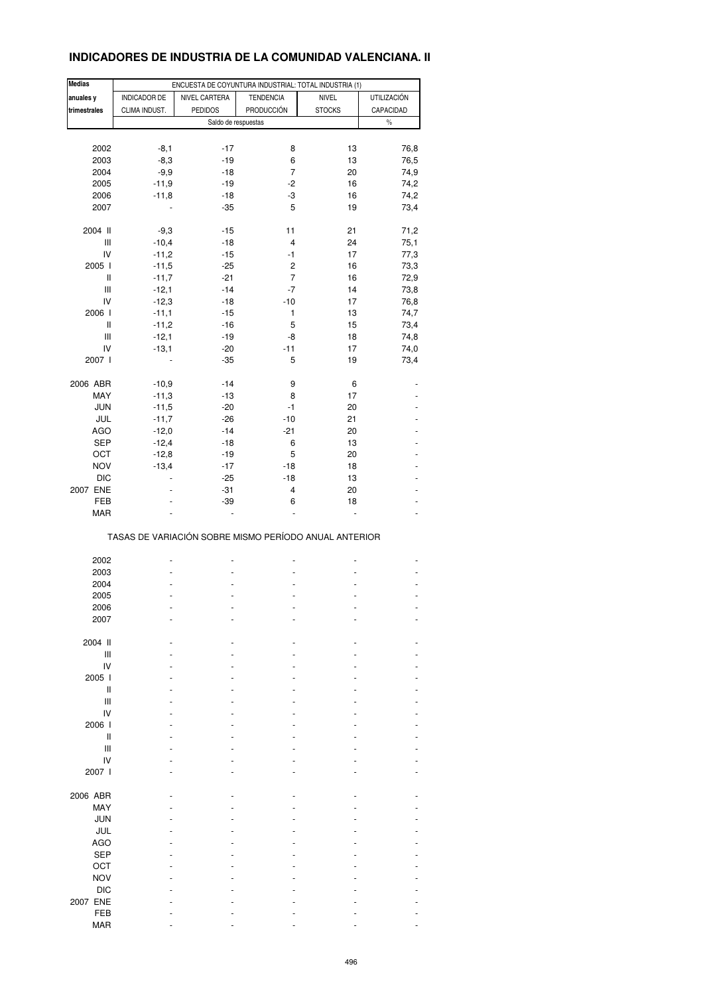# **INDICADORES DE INDUSTRIA DE LA COMUNIDAD VALENCIANA. II**

| <b>Medias</b>                      |                     | ENCUESTA DE COYUNTURA INDUSTRIAL: TOTAL INDUSTRIA (1) |                  |               |                    |
|------------------------------------|---------------------|-------------------------------------------------------|------------------|---------------|--------------------|
| anuales y                          | <b>INDICADOR DE</b> | NIVEL CARTERA                                         | <b>TENDENCIA</b> | <b>NIVEL</b>  | <b>UTILIZACIÓN</b> |
| trimestrales                       | CLIMA INDUST.       | <b>PEDIDOS</b>                                        | PRODUCCIÓN       | <b>STOCKS</b> | CAPACIDAD          |
|                                    |                     |                                                       |                  |               |                    |
|                                    |                     | Saldo de respuestas                                   |                  |               | $\%$               |
|                                    |                     |                                                       |                  |               |                    |
| 2002                               | $-8,1$              | $-17$                                                 | 8                | 13            | 76,8               |
| 2003                               | $-8,3$              | $-19$                                                 | 6                | 13            | 76,5               |
| 2004                               | $-9,9$              | $-18$                                                 | 7                | 20            | 74,9               |
| 2005                               | $-11,9$             | $-19$                                                 | $-2$             | 16            | 74,2               |
|                                    |                     |                                                       |                  |               |                    |
| 2006                               | $-11,8$             | $-18$                                                 | -3               | 16            | 74,2               |
| 2007                               |                     | $-35$                                                 | 5                | 19            | 73,4               |
|                                    |                     |                                                       |                  |               |                    |
| 2004 II                            | $-9,3$              | $-15$                                                 | 11               | 21            | 71,2               |
| $\ensuremath{\mathsf{III}}\xspace$ | $-10,4$             | $-18$                                                 | 4                | 24            | 75,1               |
| IV                                 | $-11,2$             | $-15$                                                 | -1               | 17            | 77,3               |
| 2005 l                             | $-11,5$             | $-25$                                                 | $\overline{c}$   | 16            | 73,3               |
| Ш                                  | $-11,7$             | $-21$                                                 | 7                | 16            | 72,9               |
|                                    |                     |                                                       |                  |               |                    |
| Ш                                  | $-12,1$             | $-14$                                                 | $-7$             | 14            | 73,8               |
| IV                                 | $-12,3$             | $-18$                                                 | $-10$            | 17            | 76,8               |
| 2006                               | $-11,1$             | $-15$                                                 | 1                | 13            | 74,7               |
| $\, \parallel$                     | $-11,2$             | $-16$                                                 | 5                | 15            | 73,4               |
| Ш                                  | $-12,1$             | $-19$                                                 | -8               | 18            | 74,8               |
|                                    |                     |                                                       |                  |               |                    |
| IV                                 | $-13,1$             | $-20$                                                 | $-11$            | 17            | 74,0               |
| 2007 l                             |                     | $-35$                                                 | 5                | 19            | 73,4               |
|                                    |                     |                                                       |                  |               |                    |
| 2006 ABR                           | $-10.9$             | $-14$                                                 | 9                | 6             |                    |
| MAY                                | $-11,3$             | $-13$                                                 | 8                | 17            |                    |
| <b>JUN</b>                         | $-11,5$             | $-20$                                                 | $-1$             | 20            |                    |
| JUL                                | $-11,7$             | $-26$                                                 | $-10$            | 21            |                    |
| <b>AGO</b>                         | $-12,0$             | $-14$                                                 | $-21$            | 20            |                    |
|                                    |                     |                                                       |                  |               |                    |
| <b>SEP</b>                         | $-12,4$             | $-18$                                                 | 6                | 13            |                    |
| OCT                                | $-12,8$             | $-19$                                                 | 5                | 20            |                    |
| <b>NOV</b>                         | $-13,4$             | $-17$                                                 | $-18$            | 18            |                    |
| <b>DIC</b>                         |                     | $-25$                                                 | $-18$            | 13            |                    |
| 2007 ENE                           |                     | $-31$                                                 | 4                | 20            |                    |
| FEB                                |                     | $-39$                                                 | 6                | 18            |                    |
| <b>MAR</b>                         |                     |                                                       | $\overline{a}$   | L,            |                    |
|                                    |                     |                                                       |                  |               |                    |
|                                    |                     | TASAS DE VARIACIÓN SOBRE MISMO PERÍODO ANUAL ANTERIOR |                  |               |                    |
|                                    |                     |                                                       |                  |               |                    |
| 2002                               |                     |                                                       |                  |               |                    |
| 2003                               |                     |                                                       |                  |               |                    |
| 2004                               |                     |                                                       |                  |               |                    |
|                                    |                     |                                                       |                  |               |                    |
| 2005                               |                     |                                                       |                  |               |                    |
| 2006                               |                     |                                                       |                  |               |                    |
| 2007                               |                     |                                                       |                  |               |                    |
|                                    |                     |                                                       |                  |               |                    |
| 2004 II                            |                     |                                                       |                  |               |                    |
| Ш                                  |                     |                                                       |                  |               |                    |
| IV                                 |                     |                                                       |                  |               |                    |
|                                    |                     |                                                       |                  |               |                    |
| 2005 l                             |                     |                                                       |                  |               |                    |
| Ш                                  |                     |                                                       |                  |               |                    |
| Ш                                  |                     |                                                       |                  |               |                    |
| IV                                 |                     |                                                       |                  |               |                    |
| 2006 l                             |                     |                                                       |                  |               |                    |
| Ш                                  |                     |                                                       |                  |               |                    |
| Ш                                  |                     |                                                       |                  |               |                    |
| IV                                 |                     |                                                       |                  |               |                    |
|                                    |                     |                                                       |                  |               |                    |
| 2007 l                             |                     |                                                       |                  |               |                    |
|                                    |                     |                                                       |                  |               |                    |
| 2006 ABR                           |                     |                                                       |                  |               |                    |
| MAY                                |                     |                                                       |                  |               |                    |
| <b>JUN</b>                         |                     |                                                       |                  |               |                    |
| JUL                                |                     |                                                       |                  |               |                    |
|                                    |                     |                                                       |                  |               |                    |
| <b>AGO</b>                         |                     |                                                       |                  |               |                    |
| <b>SEP</b>                         |                     |                                                       |                  |               |                    |
| OCT                                |                     |                                                       |                  |               |                    |
| <b>NOV</b>                         |                     |                                                       |                  |               |                    |
| <b>DIC</b>                         |                     |                                                       |                  |               |                    |
| 2007 ENE                           |                     |                                                       |                  |               |                    |
|                                    |                     |                                                       |                  |               |                    |
| FEB                                |                     |                                                       |                  |               |                    |
| <b>MAR</b>                         |                     |                                                       |                  |               |                    |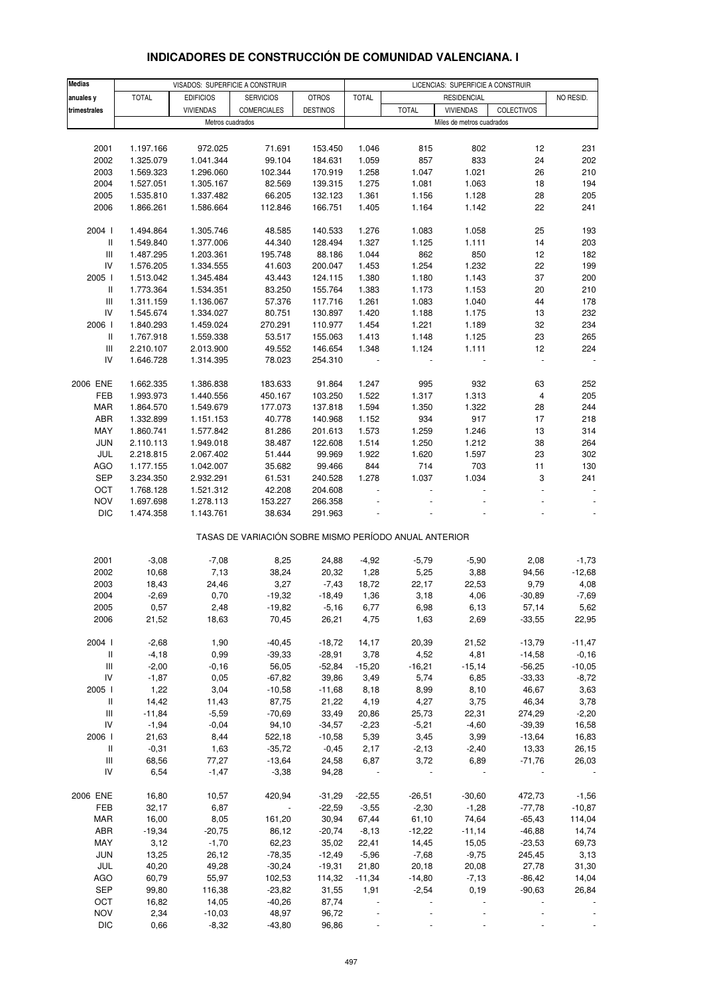# **INDICADORES DE CONSTRUCCIÓN DE COMUNIDAD VALENCIANA. I**

| <b>Medias</b>                            | VISADOS: SUPERFICIE A CONSTRUIR<br>LICENCIAS: SUPERFICIE A CONSTRUIR |                        |                                                       |                 |              |              |                           |                          |           |
|------------------------------------------|----------------------------------------------------------------------|------------------------|-------------------------------------------------------|-----------------|--------------|--------------|---------------------------|--------------------------|-----------|
| anuales y                                | <b>TOTAL</b>                                                         | <b>EDIFICIOS</b>       | <b>SERVICIOS</b>                                      | <b>OTROS</b>    | <b>TOTAL</b> |              | <b>RESIDENCIAL</b>        |                          | NO RESID. |
| trimestrales                             |                                                                      | <b>VIVIENDAS</b>       | COMERCIALES                                           | <b>DESTINOS</b> |              | <b>TOTAL</b> | <b>VIVIENDAS</b>          | COLECTIVOS               |           |
|                                          |                                                                      | Metros cuadrados       |                                                       |                 |              |              | Miles de metros cuadrados |                          |           |
|                                          |                                                                      |                        |                                                       |                 |              |              |                           |                          |           |
| 2001                                     | 1.197.166                                                            | 972.025                | 71.691                                                | 153.450         | 1.046        | 815          | 802                       | 12                       | 231       |
| 2002                                     | 1.325.079                                                            | 1.041.344              | 99.104                                                | 184.631         | 1.059        | 857          | 833                       | 24                       | 202       |
| 2003                                     | 1.569.323                                                            | 1.296.060              | 102.344                                               | 170.919         | 1.258        | 1.047        | 1.021                     | 26                       | 210       |
| 2004                                     | 1.527.051                                                            | 1.305.167              | 82.569                                                | 139.315         | 1.275        | 1.081        | 1.063                     | 18                       | 194       |
| 2005                                     | 1.535.810                                                            | 1.337.482              | 66.205                                                | 132.123         | 1.361        | 1.156        | 1.128                     | 28                       | 205       |
| 2006                                     | 1.866.261                                                            | 1.586.664              | 112.846                                               | 166.751         | 1.405        | 1.164        | 1.142                     | 22                       | 241       |
|                                          |                                                                      |                        |                                                       |                 |              |              |                           |                          |           |
| 2004 l                                   | 1.494.864                                                            | 1.305.746              | 48.585                                                | 140.533         | 1.276        | 1.083        | 1.058                     | 25                       | 193       |
| $\, \parallel$                           | 1.549.840                                                            | 1.377.006              | 44.340                                                | 128.494         | 1.327        | 1.125        | 1.111                     | 14                       | 203       |
| Ш                                        | 1.487.295                                                            | 1.203.361              | 195.748                                               | 88.186          | 1.044        | 862          | 850                       | 12                       | 182       |
| IV                                       | 1.576.205                                                            | 1.334.555              | 41.603                                                | 200.047         | 1.453        | 1.254        | 1.232                     | 22                       | 199       |
| 2005 l                                   | 1.513.042                                                            | 1.345.484              | 43.443                                                | 124.115         | 1.380        | 1.180        | 1.143                     | 37                       | 200       |
| Ш                                        | 1.773.364                                                            | 1.534.351              | 83.250                                                | 155.764         | 1.383        | 1.173        | 1.153                     | 20                       | 210       |
| Ш                                        | 1.311.159                                                            | 1.136.067              | 57.376                                                | 117.716         | 1.261        | 1.083        | 1.040                     | 44                       | 178       |
| IV                                       | 1.545.674                                                            | 1.334.027              | 80.751                                                | 130.897         | 1.420        | 1.188        | 1.175                     | 13                       | 232       |
| 2006                                     | 1.840.293                                                            | 1.459.024              | 270.291                                               | 110.977         | 1.454        | 1.221        | 1.189                     | 32                       | 234       |
| Ш                                        | 1.767.918                                                            | 1.559.338              | 53.517                                                | 155.063         | 1.413        | 1.148        | 1.125                     | 23                       | 265       |
| Ш                                        | 2.210.107                                                            | 2.013.900              | 49.552                                                | 146.654         | 1.348        | 1.124        | 1.111                     | 12                       | 224       |
| IV                                       | 1.646.728                                                            | 1.314.395              | 78.023                                                | 254.310         |              |              |                           | $\overline{\phantom{a}}$ |           |
|                                          |                                                                      |                        |                                                       |                 |              |              |                           |                          |           |
| 2006 ENE                                 | 1.662.335                                                            | 1.386.838              | 183.633                                               | 91.864          | 1.247        | 995          | 932                       | 63                       | 252       |
| FEB                                      | 1.993.973                                                            | 1.440.556              | 450.167                                               | 103.250         | 1.522        | 1.317        | 1.313                     | 4                        | 205       |
| MAR                                      | 1.864.570                                                            | 1.549.679              | 177.073                                               | 137.818         | 1.594        | 1.350        | 1.322                     | 28                       | 244       |
| ABR                                      | 1.332.899                                                            | 1.151.153              | 40.778                                                | 140.968         | 1.152        | 934          | 917                       | 17                       | 218       |
| MAY                                      | 1.860.741                                                            | 1.577.842              | 81.286                                                | 201.613         | 1.573        | 1.259        | 1.246                     | 13                       | 314       |
| <b>JUN</b>                               | 2.110.113                                                            | 1.949.018              | 38.487                                                | 122.608         | 1.514        | 1.250        | 1.212                     | 38                       | 264       |
| JUL                                      | 2.218.815                                                            | 2.067.402              | 51.444                                                | 99.969          | 1.922        | 1.620        | 1.597                     | 23                       | 302       |
| AGO                                      | 1.177.155                                                            | 1.042.007              | 35.682                                                | 99.466          | 844          | 714          | 703                       | 11                       | 130       |
| <b>SEP</b>                               | 3.234.350                                                            | 2.932.291              | 61.531                                                | 240.528         | 1.278        | 1.037        | 1.034                     | 3                        | 241       |
| OCT                                      | 1.768.128                                                            | 1.521.312              | 42.208                                                | 204.608         |              | ÷,           |                           | $\Box$                   |           |
| <b>NOV</b><br><b>DIC</b>                 | 1.697.698<br>1.474.358                                               | 1.278.113<br>1.143.761 | 153.227<br>38.634                                     | 266.358         |              |              |                           |                          |           |
|                                          |                                                                      |                        |                                                       | 291.963         |              |              |                           |                          |           |
|                                          |                                                                      |                        | TASAS DE VARIACIÓN SOBRE MISMO PERÍODO ANUAL ANTERIOR |                 |              |              |                           |                          |           |
|                                          |                                                                      |                        |                                                       |                 |              |              |                           |                          |           |
| 2001                                     | $-3,08$                                                              | $-7,08$                | 8,25                                                  | 24,88           | $-4,92$      | $-5,79$      | $-5,90$                   | 2,08                     | $-1,73$   |
| 2002                                     | 10,68                                                                | 7,13                   | 38,24                                                 | 20,32           | 1,28         | 5,25         | 3,88                      | 94,56                    | $-12,68$  |
| 2003                                     | 18,43                                                                | 24,46                  | 3,27                                                  | $-7,43$         | 18,72        | 22,17        | 22,53                     | 9,79                     | 4,08      |
| 2004                                     | $-2,69$                                                              | 0,70                   | $-19,32$                                              | $-18,49$        | 1,36         | 3,18         | 4,06                      | $-30,89$                 | $-7,69$   |
| 2005                                     | 0,57                                                                 | 2,48                   | -19,82                                                | $-5,16$         | 6,77         | 6,98         | 6,13                      | 57,14                    | 5,62      |
| 2006                                     | 21,52                                                                | 18,63                  | 70,45                                                 | 26,21           | 4,75         | 1,63         | 2,69                      | $-33,55$                 | 22,95     |
|                                          |                                                                      |                        |                                                       |                 |              |              |                           |                          |           |
| 2004 l                                   | $-2,68$                                                              | 1,90                   | $-40,45$                                              | $-18,72$        | 14,17        | 20,39        | 21,52                     | $-13,79$                 | $-11,47$  |
| $\mathbf{II}$                            | $-4,18$                                                              | 0,99                   | $-39,33$                                              | $-28,91$        | 3,78         | 4,52         | 4,81                      | $-14,58$                 | $-0,16$   |
| Ш                                        | $-2,00$                                                              | $-0,16$                | 56,05                                                 | $-52,84$        | $-15,20$     | $-16,21$     | $-15,14$                  | $-56,25$                 | $-10,05$  |
| ${\sf IV}$                               | $-1,87$                                                              | 0,05                   | $-67,82$                                              | 39,86           | 3,49         | 5,74         | 6,85                      | $-33,33$                 | $-8,72$   |
| 2005 l                                   | 1,22                                                                 | 3,04                   | $-10,58$                                              | $-11,68$        | 8,18         | 8,99         | 8,10                      | 46,67                    | 3,63      |
| $\, \parallel$                           | 14,42                                                                | 11,43                  | 87,75                                                 | 21,22           | 4,19         | 4,27         | 3,75                      | 46,34                    | 3,78      |
| Ш                                        | $-11,84$                                                             | $-5,59$                | $-70,69$                                              | 33,49           | 20,86        | 25,73        | 22,31                     | 274,29                   | $-2,20$   |
| IV                                       | $-1,94$                                                              | $-0,04$                | 94,10                                                 | $-34,57$        | $-2,23$      | $-5,21$      | $-4,60$                   | $-39,39$                 | 16,58     |
| 2006                                     | 21,63                                                                | 8,44                   | 522,18                                                | $-10,58$        | 5,39         | 3,45         | 3,99                      | $-13,64$                 | 16,83     |
| Ш                                        | $-0,31$                                                              | 1,63                   | $-35,72$                                              | $-0,45$         | 2,17         | $-2,13$      | $-2,40$                   | 13,33                    | 26,15     |
| $\ensuremath{\mathsf{III}}\xspace$<br>IV | 68,56<br>6,54                                                        | 77,27                  | $-13,64$                                              | 24,58           | 6,87         | 3,72         | 6,89                      | $-71,76$                 | 26,03     |
|                                          |                                                                      | $-1,47$                | $-3,38$                                               | 94,28           | $\sim 10$    |              |                           |                          |           |
| 2006 ENE                                 | 16,80                                                                | 10,57                  | 420,94                                                | $-31,29$        | $-22,55$     | $-26,51$     | $-30,60$                  | 472,73                   | $-1,56$   |
| FEB                                      | 32,17                                                                | 6,87                   | $\sim$                                                | $-22,59$        | $-3,55$      | $-2,30$      | $-1,28$                   | $-77,78$                 | $-10,87$  |
| <b>MAR</b>                               | 16,00                                                                | 8,05                   | 161,20                                                | 30,94           | 67,44        | 61,10        | 74,64                     | $-65,43$                 | 114,04    |
| ABR                                      | $-19,34$                                                             | $-20,75$               | 86,12                                                 | $-20,74$        | $-8,13$      | $-12,22$     | $-11,14$                  | $-46,88$                 | 14,74     |
| MAY                                      | 3,12                                                                 | $-1,70$                | 62,23                                                 | 35,02           | 22,41        | 14,45        | 15,05                     | $-23,53$                 | 69,73     |
| JUN                                      | 13,25                                                                | 26,12                  | $-78,35$                                              | $-12,49$        | $-5,96$      | $-7,68$      | $-9,75$                   | 245,45                   | 3,13      |
| JUL                                      | 40,20                                                                | 49,28                  | $-30,24$                                              | $-19,31$        | 21,80        | 20,18        | 20,08                     | 27,78                    | 31,30     |
| <b>AGO</b>                               | 60,79                                                                | 55,97                  | 102,53                                                | 114,32          | $-11,34$     | $-14,80$     | $-7,13$                   | $-86,42$                 | 14,04     |
| <b>SEP</b>                               | 99,80                                                                | 116,38                 | $-23,82$                                              | 31,55           | 1,91         | $-2,54$      | 0, 19                     | $-90,63$                 | 26,84     |
| OCT                                      | 16,82                                                                | 14,05                  | $-40,26$                                              | 87,74           |              |              |                           |                          |           |
| <b>NOV</b>                               | 2,34                                                                 | $-10,03$               | 48,97                                                 | 96,72           |              |              |                           |                          |           |
| <b>DIC</b>                               | 0,66                                                                 | $-8,32$                | $-43,80$                                              | 96,86           |              |              |                           |                          |           |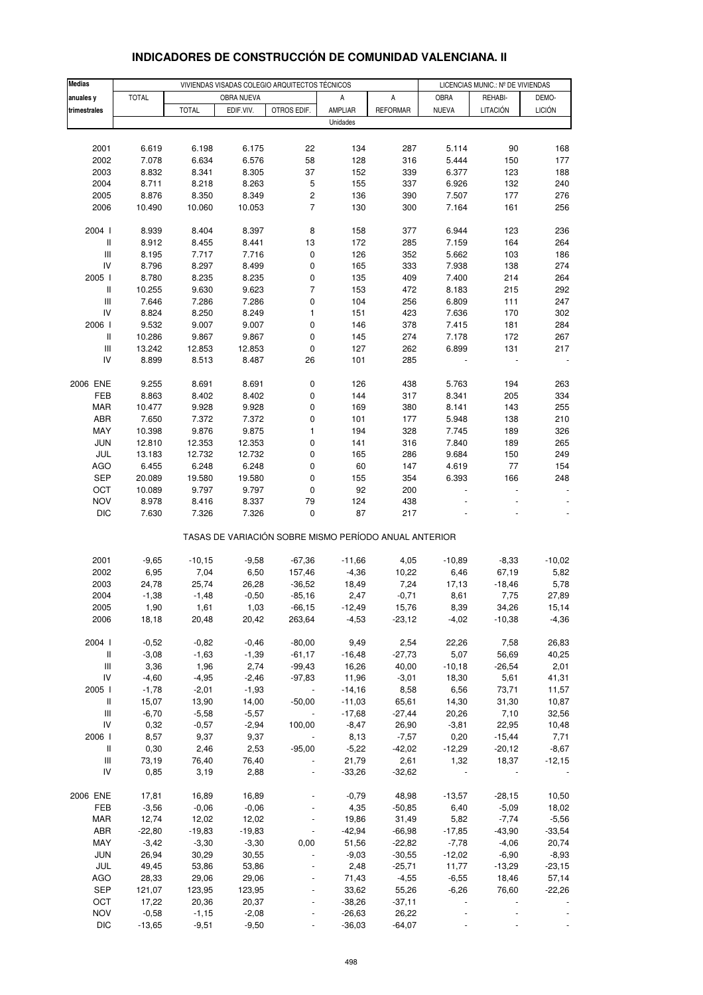| <b>Medias</b>                      |              |              |            | VIVIENDAS VISADAS COLEGIO ARQUITECTOS TÉCNICOS |                                                       |                 |              | LICENCIAS MUNIC.: Nº DE VIVIENDAS |               |
|------------------------------------|--------------|--------------|------------|------------------------------------------------|-------------------------------------------------------|-----------------|--------------|-----------------------------------|---------------|
| anuales y                          | <b>TOTAL</b> |              | OBRA NUEVA |                                                | Α                                                     | А               | OBRA         | REHABI-                           | DEMO-         |
| trimestrales                       |              | <b>TOTAL</b> | EDIF.VIV.  | OTROS EDIF.                                    | AMPLIAR                                               | <b>REFORMAR</b> | <b>NUEVA</b> | LITACIÓN                          | <b>LICIÓN</b> |
|                                    |              |              |            |                                                | Unidades                                              |                 |              |                                   |               |
|                                    |              |              |            |                                                |                                                       |                 |              |                                   |               |
| 2001                               | 6.619        | 6.198        | 6.175      | 22                                             | 134                                                   | 287             | 5.114        | 90                                | 168           |
| 2002                               | 7.078        | 6.634        | 6.576      | 58                                             | 128                                                   | 316             | 5.444        | 150                               | 177           |
| 2003                               | 8.832        | 8.341        | 8.305      | 37                                             | 152                                                   | 339             | 6.377        | 123                               | 188           |
| 2004                               | 8.711        | 8.218        | 8.263      | $\mathbf 5$                                    | 155                                                   | 337             | 6.926        | 132                               | 240           |
| 2005                               | 8.876        | 8.350        | 8.349      | 2                                              | 136                                                   | 390             | 7.507        | 177                               | 276           |
| 2006                               | 10.490       | 10.060       | 10.053     | $\overline{\mathcal{I}}$                       | 130                                                   | 300             | 7.164        | 161                               | 256           |
|                                    |              |              |            |                                                |                                                       |                 |              |                                   |               |
| 2004 l                             | 8.939        | 8.404        | 8.397      | 8                                              | 158                                                   | 377             | 6.944        | 123                               | 236           |
| $\, \parallel$                     | 8.912        | 8.455        | 8.441      | 13                                             | 172                                                   | 285             | 7.159        | 164                               | 264           |
| $\ensuremath{\mathsf{III}}\xspace$ | 8.195        | 7.717        | 7.716      | 0                                              | 126                                                   | 352             | 5.662        | 103                               | 186           |
| IV                                 | 8.796        | 8.297        | 8.499      | 0                                              | 165                                                   | 333             | 7.938        | 138                               | 274           |
| 2005 l                             | 8.780        | 8.235        | 8.235      | 0                                              | 135                                                   | 409             | 7.400        | 214                               | 264           |
| $\, \parallel$                     | 10.255       | 9.630        | 9.623      | $\overline{7}$                                 | 153                                                   | 472             | 8.183        | 215                               | 292           |
| $\ensuremath{\mathsf{III}}\xspace$ | 7.646        | 7.286        | 7.286      | 0                                              | 104                                                   | 256             | 6.809        | 111                               | 247           |
| IV                                 | 8.824        | 8.250        | 8.249      | $\mathbf{1}$                                   | 151                                                   | 423             | 7.636        | 170                               | 302           |
| 2006                               | 9.532        | 9.007        | 9.007      | 0                                              | 146                                                   | 378             | 7.415        | 181                               | 284           |
| $\, \parallel$                     | 10.286       | 9.867        | 9.867      | 0                                              | 145                                                   | 274             | 7.178        | 172                               | 267           |
| $\ensuremath{\mathsf{III}}\xspace$ | 13.242       | 12.853       | 12.853     | $\pmb{0}$                                      | 127                                                   | 262             | 6.899        | 131                               | 217           |
| IV                                 | 8.899        | 8.513        | 8.487      | 26                                             | 101                                                   | 285             |              |                                   |               |
|                                    |              |              |            |                                                |                                                       |                 |              |                                   |               |
| 2006 ENE                           | 9.255        | 8.691        | 8.691      | 0                                              | 126                                                   | 438             | 5.763        | 194                               | 263           |
| FEB                                | 8.863        | 8.402        | 8.402      | 0                                              | 144                                                   | 317             | 8.341        | 205                               | 334           |
| <b>MAR</b>                         | 10.477       | 9.928        | 9.928      | 0                                              | 169                                                   | 380             | 8.141        | 143                               | 255           |
| ABR                                | 7.650        | 7.372        | 7.372      | 0                                              | 101                                                   | 177             | 5.948        | 138                               | 210           |
| MAY                                | 10.398       | 9.876        | 9.875      | 1                                              | 194                                                   | 328             | 7.745        | 189                               | 326           |
| <b>JUN</b>                         | 12.810       | 12.353       | 12.353     | 0                                              | 141                                                   | 316             | 7.840        | 189                               | 265           |
| JUL                                | 13.183       | 12.732       | 12.732     | 0                                              | 165                                                   | 286             | 9.684        | 150                               | 249           |
| <b>AGO</b>                         | 6.455        | 6.248        | 6.248      | $\pmb{0}$                                      | 60                                                    | 147             | 4.619        | 77                                | 154           |
| <b>SEP</b>                         | 20.089       | 19.580       | 19.580     | 0                                              | 155                                                   | 354             | 6.393        | 166                               | 248           |
| OCT                                | 10.089       | 9.797        | 9.797      | $\pmb{0}$                                      | 92                                                    | 200             |              |                                   |               |
| <b>NOV</b>                         | 8.978        | 8.416        | 8.337      | 79                                             | 124                                                   | 438             |              |                                   |               |
| <b>DIC</b>                         | 7.630        | 7.326        | 7.326      | $\pmb{0}$                                      | 87                                                    | 217             |              |                                   |               |
|                                    |              |              |            |                                                |                                                       |                 |              |                                   |               |
|                                    |              |              |            |                                                | TASAS DE VARIACIÓN SOBRE MISMO PERÍODO ANUAL ANTERIOR |                 |              |                                   |               |
|                                    |              |              |            |                                                |                                                       |                 |              |                                   |               |
| 2001                               | $-9,65$      | $-10, 15$    | $-9,58$    | $-67,36$                                       | $-11,66$                                              | 4,05            | $-10,89$     | $-8,33$                           | $-10,02$      |
| 2002                               | 6,95         | 7,04         | 6,50       | 157,46                                         | $-4,36$                                               | 10,22           | 6,46         | 67,19                             | 5,82          |
| 2003                               | 24,78        | 25,74        | 26,28      | $-36,52$                                       | 18,49                                                 | 7,24            | 17,13        | $-18,46$                          | 5,78          |
| 2004                               | $-1,38$      | $-1,48$      | $-0,50$    | $-85,16$                                       | 2,47                                                  | $-0,71$         | 8,61         | 7,75                              | 27,89         |
| 2005                               | 1,90         | 1,61         | 1,03       | $-66,15$                                       | -12,49                                                | 15,76           | 8,39         | 34,26                             | 15,14         |
| 2006                               | 18,18        | 20,48        | 20,42      | 263,64                                         | $-4,53$                                               | $-23,12$        | $-4,02$      | $-10,38$                          | $-4,36$       |
|                                    |              |              |            |                                                |                                                       |                 |              |                                   |               |
| 2004 l                             | $-0,52$      | $-0,82$      | $-0,46$    | $-80,00$                                       | 9,49                                                  | 2,54            | 22,26        | 7,58                              | 26,83         |
| $\, \parallel$                     | $-3,08$      | $-1,63$      | $-1,39$    | $-61, 17$                                      | $-16,48$                                              | $-27,73$        | 5,07         | 56,69                             | 40,25         |
| $\ensuremath{\mathsf{III}}\xspace$ | 3,36         | 1,96         | 2,74       | $-99,43$                                       | 16,26                                                 | 40,00           | $-10,18$     | $-26,54$                          | 2,01          |
| IV                                 | $-4,60$      | $-4,95$      | $-2,46$    | $-97,83$                                       | 11,96                                                 | $-3,01$         | 18,30        | 5,61                              | 41,31         |
| 2005                               | $-1,78$      | $-2,01$      | $-1,93$    |                                                | $-14,16$                                              | 8,58            | 6,56         | 73,71                             | 11,57         |
| $\, \parallel$                     | 15,07        | 13,90        | 14,00      | $-50,00$                                       | $-11,03$                                              | 65,61           | 14,30        | 31,30                             | 10,87         |
| $\ensuremath{\mathsf{III}}\xspace$ | $-6,70$      | $-5,58$      | $-5,57$    |                                                | $-17,68$                                              | $-27,44$        | 20,26        | 7,10                              | 32,56         |
| IV                                 | 0,32         | $-0,57$      | $-2,94$    | 100,00                                         | $-8,47$                                               | 26,90           | $-3,81$      | 22,95                             | 10,48         |
| 2006                               | 8,57         | 9,37         | 9,37       |                                                | 8,13                                                  | $-7,57$         | 0,20         | $-15,44$                          | 7,71          |
| $\, \parallel$                     | 0,30         | 2,46         | 2,53       | $-95,00$                                       | $-5,22$                                               | $-42,02$        | $-12,29$     | $-20,12$                          | $-8,67$       |
| $\ensuremath{\mathsf{III}}\xspace$ | 73,19        | 76,40        | 76,40      |                                                | 21,79                                                 | 2,61            | 1,32         | 18,37                             | $-12,15$      |
| IV                                 | 0,85         | 3,19         | 2,88       |                                                | $-33,26$                                              | $-32,62$        |              |                                   |               |
| 2006 ENE                           | 17,81        | 16,89        | 16,89      |                                                | $-0,79$                                               | 48,98           | $-13,57$     | $-28,15$                          | 10,50         |
| FEB                                | $-3,56$      | $-0,06$      | $-0,06$    |                                                | 4,35                                                  | $-50,85$        | 6,40         | $-5,09$                           | 18,02         |
| <b>MAR</b>                         | 12,74        | 12,02        | 12,02      |                                                | 19,86                                                 | 31,49           | 5,82         | $-7,74$                           | $-5,56$       |
| ABR                                | $-22,80$     | $-19,83$     | $-19,83$   | $\blacksquare$                                 | $-42,94$                                              | $-66,98$        | $-17,85$     | $-43,90$                          | $-33,54$      |
| MAY                                | $-3,42$      | $-3,30$      | $-3,30$    | 0,00                                           | 51,56                                                 | $-22,82$        | $-7,78$      | $-4,06$                           | 20,74         |
| <b>JUN</b>                         | 26,94        | 30,29        | 30,55      |                                                | $-9,03$                                               | $-30,55$        | $-12,02$     | $-6,90$                           | $-8,93$       |
| JUL                                | 49,45        | 53,86        | 53,86      |                                                | 2,48                                                  | $-25,71$        | 11,77        | $-13,29$                          | $-23,15$      |
| AGO                                | 28,33        | 29,06        | 29,06      |                                                | 71,43                                                 | $-4,55$         | $-6,55$      | 18,46                             | 57,14         |
| <b>SEP</b>                         | 121,07       | 123,95       | 123,95     |                                                | 33,62                                                 | 55,26           | $-6,26$      | 76,60                             | $-22,26$      |
| OCT                                | 17,22        | 20,36        | 20,37      |                                                | $-38,26$                                              | $-37,11$        |              |                                   |               |
| <b>NOV</b>                         | $-0,58$      | $-1,15$      | $-2,08$    |                                                | $-26,63$                                              | 26,22           |              |                                   |               |
| <b>DIC</b>                         | $-13,65$     | $-9,51$      | $-9,50$    |                                                | $-36,03$                                              | $-64,07$        |              |                                   |               |
|                                    |              |              |            |                                                |                                                       |                 |              |                                   |               |

#### **INDICADORES DE CONSTRUCCIÓN DE COMUNIDAD VALENCIANA. II**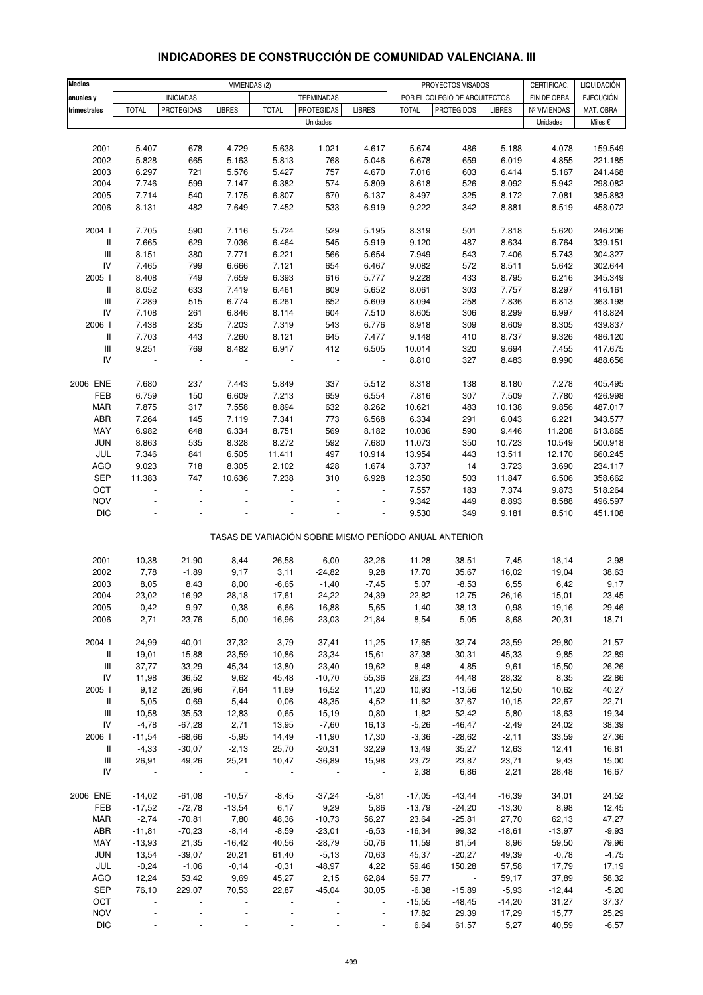| INDICADORES DE CONSTRUCCION DE COMUNIDAD VALENCIANA. III |  |  |
|----------------------------------------------------------|--|--|
|                                                          |  |  |
|                                                          |  |  |
|                                                          |  |  |

| <b>Medias</b>                           |                    | VIVIENDAS (2)            |                    |                     |                            |                          | CERTIFICAC.<br>PROYECTOS VISADOS |                                                       |                     |                   | LIQUIDACIÓN        |
|-----------------------------------------|--------------------|--------------------------|--------------------|---------------------|----------------------------|--------------------------|----------------------------------|-------------------------------------------------------|---------------------|-------------------|--------------------|
| anuales y                               |                    | <b>INICIADAS</b>         |                    |                     | <b>TERMINADAS</b>          |                          |                                  | POR EL COLEGIO DE ARQUITECTOS                         |                     | FIN DE OBRA       | <b>EJECUCIÓN</b>   |
| trimestrales                            | <b>TOTAL</b>       | <b>PROTEGIDAS</b>        | <b>LIBRES</b>      | <b>TOTAL</b>        | <b>PROTEGIDAS</b>          | <b>LIBRES</b>            | <b>TOTAL</b>                     | <b>PROTEGIDOS</b>                                     | <b>LIBRES</b>       | Nº VIVIENDAS      | MAT. OBRA          |
|                                         |                    |                          |                    |                     | Unidades                   |                          |                                  |                                                       |                     | Unidades          | Miles €            |
|                                         |                    |                          |                    |                     |                            |                          |                                  |                                                       |                     |                   |                    |
| 2001                                    | 5.407              | 678                      | 4.729              | 5.638               | 1.021                      | 4.617                    | 5.674                            | 486                                                   | 5.188               | 4.078             | 159.549            |
| 2002                                    | 5.828              | 665                      | 5.163              | 5.813               | 768                        | 5.046                    | 6.678                            | 659                                                   | 6.019               | 4.855             | 221.185            |
| 2003                                    | 6.297              | 721                      | 5.576              | 5.427               | 757                        | 4.670                    | 7.016                            | 603                                                   | 6.414               | 5.167             | 241.468            |
| 2004                                    | 7.746              | 599                      | 7.147              | 6.382               | 574                        | 5.809                    | 8.618                            | 526                                                   | 8.092               | 5.942             | 298.082            |
| 2005                                    | 7.714              | 540                      | 7.175              | 6.807               | 670                        | 6.137                    | 8.497                            | 325                                                   | 8.172               | 7.081             | 385.883            |
| 2006                                    | 8.131              | 482                      | 7.649              | 7.452               | 533                        | 6.919                    | 9.222                            | 342                                                   | 8.881               | 8.519             | 458.072            |
| 2004 l                                  | 7.705              | 590                      | 7.116              | 5.724               | 529                        | 5.195                    | 8.319                            | 501                                                   | 7.818               | 5.620             | 246.206            |
| $\mathsf{I}$                            | 7.665              | 629                      | 7.036              | 6.464               | 545                        | 5.919                    | 9.120                            | 487                                                   | 8.634               | 6.764             | 339.151            |
| $\ensuremath{\mathsf{III}}\xspace$      | 8.151              | 380                      | 7.771              | 6.221               | 566                        | 5.654                    | 7.949                            | 543                                                   | 7.406               | 5.743             | 304.327            |
| IV                                      | 7.465              | 799                      | 6.666              | 7.121               | 654                        | 6.467                    | 9.082                            | 572                                                   | 8.511               | 5.642             | 302.644            |
| 2005 l                                  | 8.408              | 749                      | 7.659              | 6.393               | 616                        | 5.777                    | 9.228                            | 433                                                   | 8.795               | 6.216             | 345.349            |
| Ш                                       | 8.052              | 633                      | 7.419              | 6.461               | 809                        | 5.652                    | 8.061                            | 303                                                   | 7.757               | 8.297             | 416.161            |
| $\ensuremath{\mathsf{III}}\xspace$      | 7.289              | 515                      | 6.774              | 6.261               | 652                        | 5.609                    | 8.094                            | 258                                                   | 7.836               | 6.813             | 363.198            |
| ${\sf IV}$<br>2006                      | 7.108<br>7.438     | 261<br>235               | 6.846<br>7.203     | 8.114               | 604<br>543                 | 7.510<br>6.776           | 8.605                            | 306                                                   | 8.299<br>8.609      | 6.997             | 418.824<br>439.837 |
| II                                      | 7.703              | 443                      | 7.260              | 7.319<br>8.121      | 645                        | 7.477                    | 8.918<br>9.148                   | 309<br>410                                            | 8.737               | 8.305<br>9.326    | 486.120            |
| $\ensuremath{\mathsf{III}}\xspace$      | 9.251              | 769                      | 8.482              | 6.917               | 412                        | 6.505                    | 10.014                           | 320                                                   | 9.694               | 7.455             | 417.675            |
| IV                                      | $\blacksquare$     | $\blacksquare$           | $\blacksquare$     |                     | $\blacksquare$             | $\ddot{\phantom{1}}$     | 8.810                            | 327                                                   | 8.483               | 8.990             | 488.656            |
|                                         |                    |                          |                    |                     |                            |                          |                                  |                                                       |                     |                   |                    |
| 2006 ENE                                | 7.680              | 237                      | 7.443              | 5.849               | 337                        | 5.512                    | 8.318                            | 138                                                   | 8.180               | 7.278             | 405.495            |
| FEB                                     | 6.759              | 150                      | 6.609              | 7.213               | 659                        | 6.554                    | 7.816                            | 307                                                   | 7.509               | 7.780             | 426.998            |
| MAR                                     | 7.875              | 317                      | 7.558              | 8.894               | 632                        | 8.262                    | 10.621                           | 483                                                   | 10.138              | 9.856             | 487.017            |
| ABR                                     | 7.264              | 145                      | 7.119              | 7.341               | 773                        | 6.568                    | 6.334                            | 291                                                   | 6.043               | 6.221             | 343.577            |
| MAY                                     | 6.982              | 648                      | 6.334              | 8.751               | 569                        | 8.182                    | 10.036                           | 590                                                   | 9.446               | 11.208            | 613.865            |
| JUN<br>JUL                              | 8.863<br>7.346     | 535<br>841               | 8.328<br>6.505     | 8.272<br>11.411     | 592<br>497                 | 7.680<br>10.914          | 11.073<br>13.954                 | 350<br>443                                            | 10.723<br>13.511    | 10.549<br>12.170  | 500.918<br>660.245 |
| <b>AGO</b>                              | 9.023              | 718                      | 8.305              | 2.102               | 428                        | 1.674                    | 3.737                            | 14                                                    | 3.723               | 3.690             | 234.117            |
| SEP                                     | 11.383             | 747                      | 10.636             | 7.238               | 310                        | 6.928                    | 12.350                           | 503                                                   | 11.847              | 6.506             | 358.662            |
| OCT                                     |                    | $\overline{\phantom{a}}$ |                    |                     | L.                         | $\blacksquare$           | 7.557                            | 183                                                   | 7.374               | 9.873             | 518.264            |
| <b>NOV</b>                              |                    |                          |                    |                     |                            | $\overline{a}$           | 9.342                            | 449                                                   | 8.893               | 8.588             | 496.597            |
| <b>DIC</b>                              |                    |                          |                    |                     |                            |                          | 9.530                            | 349                                                   | 9.181               | 8.510             | 451.108            |
|                                         |                    |                          |                    |                     |                            |                          |                                  |                                                       |                     |                   |                    |
|                                         |                    |                          |                    |                     |                            |                          |                                  | TASAS DE VARIACIÓN SOBRE MISMO PERÍODO ANUAL ANTERIOR |                     |                   |                    |
| 2001                                    | $-10,38$           | $-21,90$                 | $-8,44$            | 26,58               | 6,00                       | 32,26                    | $-11,28$                         | $-38,51$                                              | $-7,45$             | $-18,14$          | $-2,98$            |
| 2002                                    | 7,78               | $-1,89$                  | 9,17               | 3,11                | $-24,82$                   | 9,28                     | 17,70                            | 35,67                                                 | 16,02               | 19,04             | 38,63              |
| 2003                                    | 8,05               | 8,43                     | 8,00               | $-6,65$             | $-1,40$                    | $-7,45$                  | 5,07                             | $-8,53$                                               | 6,55                | 6,42              | 9,17               |
| 2004                                    | 23,02              | $-16,92$                 | 28,18              | 17,61               | $-24,22$                   | 24,39                    | 22,82                            | $-12,75$                                              | 26,16               | 15,01             | 23,45              |
| 2005                                    | $-0,42$            | $-9,97$                  | 0,38               | 6,66                | 16,88                      | 5,65                     | $-1,40$                          | $-38,13$                                              | 0,98                | 19,16             | 29,46              |
| 2006                                    | 2,71               | $-23,76$                 | 5,00               | 16,96               | $-23,03$                   | 21,84                    | 8,54                             | 5,05                                                  | 8,68                | 20,31             | 18,71              |
|                                         |                    |                          |                    |                     |                            |                          |                                  |                                                       |                     |                   |                    |
| 2004 l                                  | 24,99              | $-40,01$                 | 37,32              | 3,79                | $-37,41$                   | 11,25                    | 17,65                            | $-32,74$                                              | 23,59               | 29,80             | 21,57              |
| Ш<br>$\ensuremath{\mathsf{III}}\xspace$ | 19,01<br>37,77     | $-15,88$<br>$-33,29$     | 23,59<br>45,34     | 10,86<br>13,80      | $-23,34$<br>$-23,40$       | 15,61<br>19,62           | 37,38<br>8,48                    | $-30,31$<br>$-4,85$                                   | 45,33<br>9,61       | 9,85<br>15,50     | 22,89<br>26,26     |
| IV                                      | 11,98              | 36,52                    | 9,62               | 45,48               | $-10,70$                   | 55,36                    | 29,23                            | 44,48                                                 | 28,32               | 8,35              | 22,86              |
| 2005                                    | 9,12               | 26,96                    | 7,64               | 11,69               | 16,52                      | 11,20                    | 10,93                            | $-13,56$                                              | 12,50               | 10,62             | 40,27              |
| $\mathbf{I}$                            | 5,05               | 0,69                     | 5,44               | $-0,06$             | 48,35                      | $-4,52$                  | $-11,62$                         | $-37,67$                                              | $-10,15$            | 22,67             | 22,71              |
| Ш                                       | $-10,58$           | 35,53                    | $-12,83$           | 0,65                | 15,19                      | $-0,80$                  | 1,82                             | $-52,42$                                              | 5,80                | 18,63             | 19,34              |
| ${\sf IV}$                              | $-4,78$            | $-67,28$                 | 2,71               | 13,95               | $-7,60$                    | 16,13                    | $-5,26$                          | $-46,47$                                              | $-2,49$             | 24,02             | 38,39              |
| 2006                                    | $-11,54$           | $-68,66$                 | $-5,95$            | 14,49               | $-11,90$                   | 17,30                    | $-3,36$                          | $-28,62$                                              | $-2,11$             | 33,59             | 27,36              |
| Ш                                       | $-4,33$            | $-30,07$                 | $-2,13$            | 25,70               | $-20,31$                   | 32,29                    | 13,49                            | 35,27                                                 | 12,63               | 12,41             | 16,81              |
| Ш<br>IV                                 | 26,91<br>$\sim 10$ | 49,26<br>$\sim 100$      | 25,21<br>$\sim 10$ | 10,47<br>$\sim 100$ | $-36,89$<br>$\blacksquare$ | 15,98<br>$\sim 10$       | 23,72                            | 23,87                                                 | 23,71               | 9,43              | 15,00              |
|                                         |                    |                          |                    |                     |                            |                          | 2,38                             | 6,86                                                  | 2,21                | 28,48             | 16,67              |
| 2006 ENE                                | $-14,02$           | $-61,08$                 | $-10,57$           | $-8,45$             | $-37,24$                   | $-5,81$                  | $-17,05$                         | $-43,44$                                              | $-16,39$            | 34,01             | 24,52              |
| FEB                                     | $-17,52$           | $-72,78$                 | $-13,54$           | 6,17                | 9,29                       | 5,86                     | $-13,79$                         | $-24,20$                                              | $-13,30$            | 8,98              | 12,45              |
| <b>MAR</b>                              | $-2,74$            | $-70,81$                 | 7,80               | 48,36               | $-10,73$                   | 56,27                    | 23,64                            | $-25,81$                                              | 27,70               | 62,13             | 47,27              |
| ABR                                     | $-11,81$           | $-70,23$                 | $-8,14$            | $-8,59$             | $-23,01$                   | $-6,53$                  | $-16,34$                         | 99,32                                                 | $-18,61$            | $-13,97$          | $-9,93$            |
| MAY                                     | $-13,93$           | 21,35                    | $-16,42$           | 40,56               | $-28,79$                   | 50,76                    | 11,59                            | 81,54                                                 | 8,96                | 59,50             | 79,96              |
| <b>JUN</b>                              | 13,54              | $-39,07$                 | 20,21              | 61,40               | $-5,13$                    | 70,63                    | 45,37                            | $-20,27$                                              | 49,39               | $-0,78$           | $-4,75$            |
| JUL                                     | $-0,24$            | $-1,06$                  | $-0,14$            | $-0,31$             | $-48,97$                   | 4,22                     | 59,46                            | 150,28                                                | 57,58               | 17,79             | 17,19              |
| AGO                                     | 12,24              | 53,42                    | 9,69               | 45,27               | 2,15                       | 62,84                    | 59,77                            | $\sim$                                                | 59,17               | 37,89             | 58,32              |
| SEP<br>OCT                              | 76,10              | 229,07                   | 70,53              | 22,87               | $-45,04$                   | 30,05<br>$\blacksquare$  | $-6,38$<br>$-15,55$              | $-15,89$<br>$-48,45$                                  | $-5,93$<br>$-14,20$ | $-12,44$<br>31,27 | $-5,20$<br>37,37   |
| <b>NOV</b>                              |                    |                          |                    |                     |                            | $\overline{\phantom{a}}$ | 17,82                            | 29,39                                                 | 17,29               | 15,77             | 25,29              |
| <b>DIC</b>                              |                    |                          |                    |                     |                            | $\blacksquare$           | 6,64                             | 61,57                                                 | 5,27                | 40,59             | $-6,57$            |
|                                         |                    |                          |                    |                     |                            |                          |                                  |                                                       |                     |                   |                    |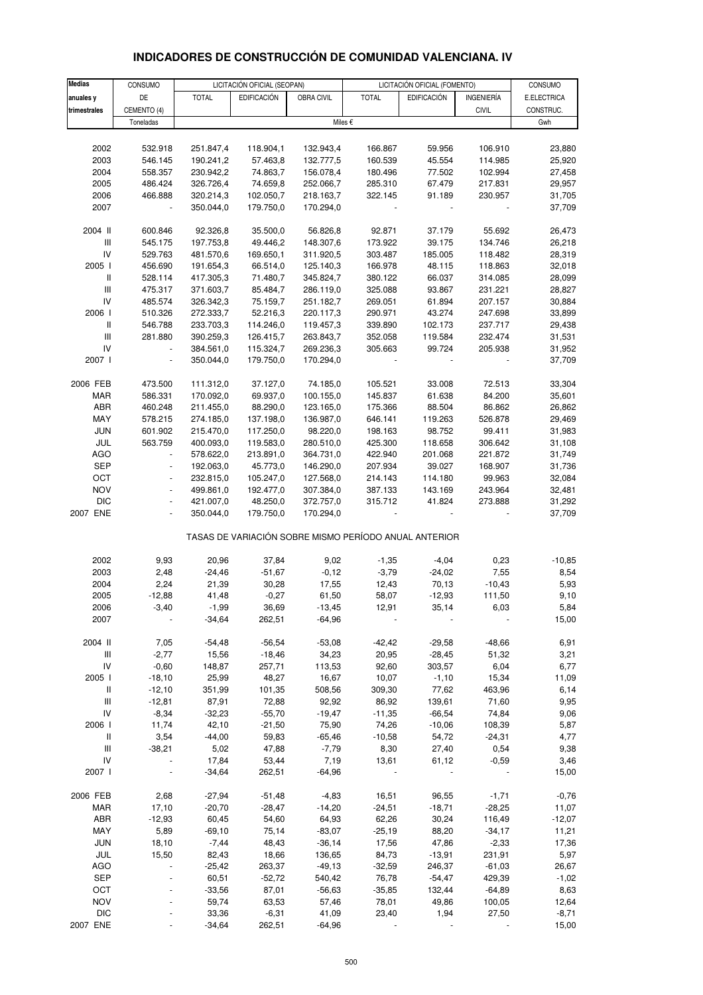| INDICADORES DE CONSTRUCCIÓN DE COMUNIDAD VALENCIANA. IV |  |  |
|---------------------------------------------------------|--|--|
|                                                         |  |  |

| <b>Medias</b>                           | CONSUMO                  |                        | LICITACIÓN OFICIAL (SEOPAN) |                        |                                                       | LICITACIÓN OFICIAL (FOMENTO) |                    | CONSUMO          |
|-----------------------------------------|--------------------------|------------------------|-----------------------------|------------------------|-------------------------------------------------------|------------------------------|--------------------|------------------|
| anuales y                               | DE                       | <b>TOTAL</b>           | <b>EDIFICACIÓN</b>          | OBRA CIVIL             | <b>TOTAL</b>                                          | <b>EDIFICACIÓN</b>           | INGENIERÍA         | E.ELECTRICA      |
| trimestrales                            | CEMENTO (4)              |                        |                             |                        |                                                       |                              | <b>CIVIL</b>       | CONSTRUC.        |
|                                         | Toneladas                |                        |                             |                        | Miles €                                               |                              |                    | Gwh              |
|                                         |                          |                        |                             |                        |                                                       |                              |                    |                  |
| 2002                                    | 532.918                  | 251.847,4              | 118.904,1                   | 132.943,4              | 166.867                                               | 59.956                       | 106.910            | 23,880           |
| 2003                                    | 546.145                  | 190.241,2              | 57.463,8                    | 132.777,5              | 160.539                                               | 45.554                       | 114.985            | 25,920           |
| 2004                                    | 558.357                  | 230.942,2              | 74.863,7                    | 156.078,4              | 180.496                                               | 77.502                       | 102.994            | 27,458           |
| 2005                                    | 486.424                  | 326.726,4              | 74.659,8                    | 252.066,7              | 285.310                                               | 67.479                       | 217.831            | 29,957           |
| 2006                                    | 466.888                  | 320.214,3              | 102.050,7                   | 218.163,7              | 322.145                                               | 91.189                       | 230.957            | 31,705           |
| 2007                                    | $\blacksquare$           | 350.044,0              | 179.750,0                   | 170.294,0              |                                                       | $\overline{\phantom{a}}$     |                    | 37,709           |
|                                         |                          |                        |                             |                        |                                                       |                              |                    |                  |
| 2004 II                                 | 600.846                  | 92.326,8               | 35.500,0                    | 56.826,8               | 92.871                                                | 37.179                       | 55.692             | 26,473           |
| Ш                                       | 545.175                  | 197.753,8              | 49.446,2                    | 148.307,6              | 173.922                                               | 39.175                       | 134.746            | 26,218           |
| IV                                      | 529.763                  | 481.570,6              | 169.650,1                   | 311.920,5              | 303.487                                               | 185.005                      | 118.482            | 28,319           |
| 2005 l<br>$\, \parallel$                | 456.690                  | 191.654,3              | 66.514,0                    | 125.140,3              | 166.978                                               | 48.115                       | 118.863            | 32,018           |
| $\ensuremath{\mathsf{III}}\xspace$      | 528.114                  | 417.305,3              | 71.480,7                    | 345.824,7              | 380.122                                               | 66.037                       | 314.085            | 28,099           |
| IV                                      | 475.317                  | 371.603,7              | 85.484,7                    | 286.119,0              | 325.088                                               | 93.867                       | 231.221            | 28,827           |
| 2006                                    | 485.574<br>510.326       | 326.342,3<br>272.333,7 | 75.159,7<br>52.216,3        | 251.182,7<br>220.117,3 | 269.051<br>290.971                                    | 61.894<br>43.274             | 207.157<br>247.698 | 30,884<br>33,899 |
| $\, \parallel$                          | 546.788                  | 233.703,3              | 114.246,0                   | 119.457,3              | 339.890                                               | 102.173                      | 237.717            | 29,438           |
| III                                     | 281.880                  | 390.259,3              | 126.415,7                   | 263.843,7              | 352.058                                               | 119.584                      | 232.474            | 31,531           |
| IV                                      | $\blacksquare$           | 384.561,0              | 115.324,7                   | 269.236,3              | 305.663                                               | 99.724                       | 205.938            | 31,952           |
| 2007 l                                  | $\blacksquare$           | 350.044,0              | 179.750,0                   | 170.294,0              |                                                       |                              |                    | 37,709           |
|                                         |                          |                        |                             |                        |                                                       |                              |                    |                  |
| 2006 FEB                                | 473.500                  | 111.312,0              | 37.127,0                    | 74.185,0               | 105.521                                               | 33.008                       | 72.513             | 33,304           |
| MAR                                     | 586.331                  | 170.092,0              | 69.937,0                    | 100.155,0              | 145.837                                               | 61.638                       | 84.200             | 35,601           |
| ABR                                     | 460.248                  | 211.455,0              | 88.290,0                    | 123.165,0              | 175.366                                               | 88.504                       | 86.862             | 26,862           |
| MAY                                     | 578.215                  | 274.185,0              | 137.198,0                   | 136.987,0              | 646.141                                               | 119.263                      | 526.878            | 29,469           |
| <b>JUN</b>                              | 601.902                  | 215.470,0              | 117.250,0                   | 98.220,0               | 198.163                                               | 98.752                       | 99.411             | 31,983           |
| JUL                                     | 563.759                  | 400.093,0              | 119.583,0                   | 280.510,0              | 425.300                                               | 118.658                      | 306.642            | 31,108           |
| <b>AGO</b>                              | $\blacksquare$           | 578.622,0              | 213.891,0                   | 364.731,0              | 422.940                                               | 201.068                      | 221.872            | 31,749           |
| <b>SEP</b>                              | $\overline{\phantom{a}}$ | 192.063,0              | 45.773,0                    | 146.290,0              | 207.934                                               | 39.027                       | 168.907            | 31,736           |
| OCT                                     | $\blacksquare$           | 232.815,0              | 105.247,0                   | 127.568,0              | 214.143                                               | 114.180                      | 99.963             | 32,084           |
| <b>NOV</b>                              | $\blacksquare$           | 499.861,0              | 192.477,0                   | 307.384,0              | 387.133                                               | 143.169                      | 243.964            | 32,481           |
| <b>DIC</b>                              | $\blacksquare$           | 421.007,0              | 48.250,0                    | 372.757,0              | 315.712                                               | 41.824                       | 273.888            | 31,292           |
| 2007 ENE                                |                          | 350.044,0              | 179.750,0                   | 170.294,0              |                                                       |                              |                    | 37,709           |
|                                         |                          |                        |                             |                        | TASAS DE VARIACIÓN SOBRE MISMO PERÍODO ANUAL ANTERIOR |                              |                    |                  |
| 2002                                    | 9,93                     | 20,96                  | 37,84                       | 9,02                   | $-1,35$                                               | $-4,04$                      | 0,23               | $-10,85$         |
| 2003                                    | 2,48                     | $-24,46$               | $-51,67$                    | $-0,12$                | $-3,79$                                               | $-24,02$                     | 7,55               | 8,54             |
| 2004                                    | 2,24                     | 21,39                  | 30,28                       | 17,55                  | 12,43                                                 | 70,13                        | $-10,43$           | 5,93             |
| 2005                                    | $-12,88$                 | 41,48                  | $-0,27$                     | 61,50                  | 58,07                                                 | $-12,93$                     | 111,50             | 9,10             |
| 2006                                    | $-3,40$                  | $-1,99$                | 36,69                       | $-13,45$               | 12,91                                                 | 35,14                        | 6,03               | 5,84             |
| 2007                                    |                          | $-34,64$               | 262,51                      | $-64,96$               |                                                       |                              |                    | 15,00            |
|                                         |                          |                        |                             |                        |                                                       |                              |                    |                  |
| 2004 II                                 | 7,05                     | $-54,48$               | $-56,54$                    | $-53,08$               | $-42,42$                                              | $-29,58$                     | $-48,66$           | 6,91             |
| $\ensuremath{\mathsf{III}}\xspace$      | $-2,77$                  | 15,56                  | $-18,46$                    | 34,23                  | 20,95                                                 | $-28,45$                     | 51,32              | 3,21             |
| IV                                      | $-0,60$                  | 148,87                 | 257,71                      | 113,53                 | 92,60                                                 | 303,57                       | 6,04               | 6,77             |
| 2005 l                                  | $-18,10$                 | 25,99                  | 48,27                       | 16,67                  | 10,07                                                 | $-1,10$                      | 15,34              | 11,09            |
| Ш                                       | $-12,10$                 | 351,99                 | 101,35                      | 508,56                 | 309,30                                                | 77,62                        | 463,96             | 6,14             |
| $\ensuremath{\mathsf{III}}\xspace$      | $-12,81$                 | 87,91                  | 72,88                       | 92,92                  | 86,92                                                 | 139,61                       | 71,60              | 9,95             |
| ${\sf IV}$                              | $-8,34$                  | $-32,23$               | $-55,70$                    | $-19,47$               | $-11,35$                                              | $-66,54$                     | 74,84              | 9,06             |
| 2006                                    | 11,74                    | 42,10                  | $-21,50$                    | 75,90                  | 74,26                                                 | $-10,06$                     | 108,39             | 5,87             |
| Ш<br>$\ensuremath{\mathsf{III}}\xspace$ | 3,54<br>$-38,21$         | $-44,00$<br>5,02       | 59,83<br>47,88              | $-65,46$<br>$-7,79$    | $-10,58$                                              | 54,72<br>27,40               | $-24,31$<br>0,54   | 4,77<br>9,38     |
| ${\sf IV}$                              |                          | 17,84                  | 53,44                       | 7,19                   | 8,30<br>13,61                                         | 61,12                        | $-0,59$            | 3,46             |
| 2007 l                                  |                          | $-34,64$               | 262,51                      | $-64,96$               |                                                       |                              |                    | 15,00            |
|                                         |                          |                        |                             |                        |                                                       |                              |                    |                  |
| 2006 FEB                                | 2,68                     | $-27,94$               | $-51,48$                    | $-4,83$                | 16,51                                                 | 96,55                        | $-1,71$            | $-0,76$          |
| MAR                                     | 17,10                    | $-20,70$               | $-28,47$                    | $-14,20$               | $-24,51$                                              | $-18,71$                     | $-28,25$           | 11,07            |
| ABR                                     | $-12,93$                 | 60,45                  | 54,60                       | 64,93                  | 62,26                                                 | 30,24                        | 116,49             | $-12,07$         |
| MAY                                     | 5,89                     | $-69,10$               | 75,14                       | $-83,07$               | $-25,19$                                              | 88,20                        | $-34,17$           | 11,21            |
| <b>JUN</b>                              | 18,10                    | $-7,44$                | 48,43                       | $-36,14$               | 17,56                                                 | 47,86                        | $-2,33$            | 17,36            |
| JUL                                     | 15,50                    | 82,43                  | 18,66                       | 136,65                 | 84,73                                                 | $-13,91$                     | 231,91             | 5,97             |
| <b>AGO</b>                              | $\blacksquare$           | $-25,42$               | 263,37                      | $-49,13$               | $-32,59$                                              | 246,37                       | $-61,03$           | 26,67            |
| <b>SEP</b>                              |                          | 60,51                  | $-52,72$                    | 540,42                 | 76,78                                                 | -54,47                       | 429,39             | $-1,02$          |
| OCT                                     |                          | $-33,56$               | 87,01                       | $-56,63$               | $-35,85$                                              | 132,44                       | $-64,89$           | 8,63             |
| <b>NOV</b><br><b>DIC</b>                |                          | 59,74<br>33,36         | 63,53<br>$-6,31$            | 57,46<br>41,09         | 78,01                                                 | 49,86<br>1,94                | 100,05<br>27,50    | 12,64<br>$-8,71$ |
| 2007 ENE                                |                          | $-34,64$               | 262,51                      | $-64,96$               | 23,40                                                 |                              |                    | 15,00            |
|                                         |                          |                        |                             |                        |                                                       |                              |                    |                  |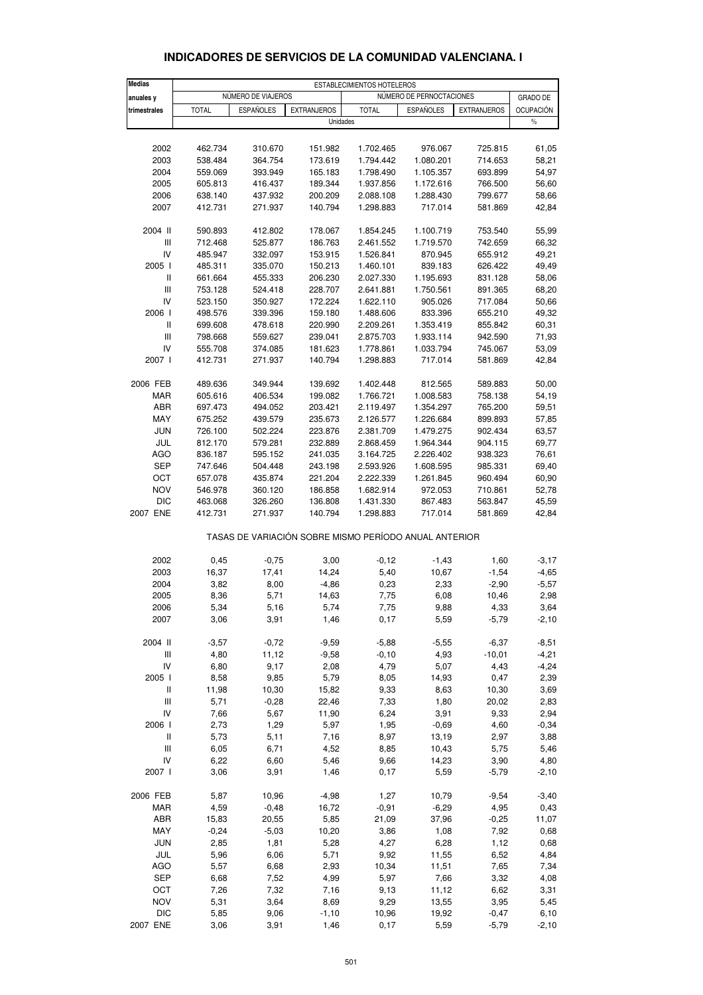#### **Medias** ESTABLECIMIENTOS HOTELEROS<br> **Anuales v** NÚMERO DE VIAJEROS I NÚMERO DE **anuales <b>y** NÚMERO DE VIAJEROS NÚMERO DE PERNOCTACIONES GRADO DE **trimestrales | TOTAL | ESPAÑOLES | EXTRANJEROS | TOTAL | ESPAÑOLES | EXTRANJEROS | OCUPACIÓN** Unidades and the set of the set of the set of the set of the set of the set of the set of the set of the set of the set of the set of the set of the set of the set of the set of the set of the set of the set of the set of 2002 462.734 310.670 151.982 1.702.465 976.067 725.815 61,05 2003 538.484 364.754 173.619 1.794.442 1.080.201 714.653 58,21 2004 559.069 393.949 165.183 1.798.490 1.105.357 693.899 54,97 2005 605.813 416.437 189.344 1.937.856 1.172.616 766.500 56,60 2006 638.140 437.932 200.209 2.088.108 1.288.430 799.677 58,66 2007 412.731 271.937 140.794 1.298.883 717.014 581.869 42,84 2004 II 590.893 412.802 178.067 1.854.245 1.100.719 753.540 55,99 III 712.468 525.877 186.763 2.461.552 1.719.570 742.659 66,32 IV 485.947 332.097 153.915 1.526.841 870.945 655.912 49,21 2005 I 485.311 335.070 150.213 1.460.101 839.183 626.422 49,49 II 661.664 455.333 206.230 2.027.330 1.195.693 831.128 58,06 III 753.128 524.418 228.707 2.641.881 1.750.561 891.365 68,20 IV 523.150 350.927 172.224 1.622.110 905.026 717.084 50,66 2006 I 498.576 339.396 159.180 1.488.606 833.396 655.210 49,32 II 699.608 478.618 220.990 2.209.261 1.353.419 855.842 60,31 III 798.668 559.627 239.041 2.875.703 1.933.114 942.590 71,93 IV 555.708 374.085 181.623 1.778.861 1.033.794 745.067 53,09 2007 I 412.731 271.937 140.794 1.298.883 717.014 581.869 42,84 2006 FEB 489.636 349.944 139.692 1.402.448 812.565 589.883 50,00 MAR 605.616 406.534 199.082 1.766.721 1.008.583 758.138 54,19 ABR 697.473 494.052 203.421 2.119.497 1.354.297 765.200 59,51 MAY 675.252 439.579 235.673 2.126.577 1.226.684 899.893 57,85 JUN 726.100 502.224 223.876 2.381.709 1.479.275 902.434 63,57 JUL 812.170 579.281 232.889 2.868.459 1.964.344 904.115 69,77 AGO 836.187 595.152 241.035 3.164.725 2.226.402 938.323 76,61 SEP 747.646 504.448 243.198 2.593.926 1.608.595 985.331 69,40 OCT 657.078 435.874 221.204 2.222.339 1.261.845 960.494 60,90 NOV 546.978 360.120 186.858 1.682.914 972.053 710.861 52,78 DIC 463.068 326.260 136.808 1.431.330 867.483 563.847 45,59 2007 ENE 412.731 271.937 140.794 1.298.883 717.014 581.869 42,84 TASAS DE VARIACIÓN SOBRE MISMO PERÍODO ANUAL ANTERIOR 2002 0,45 -0,75 3,00 -0,12 -1,43 1,60 -3,17 2003 16,37 17,41 14,24 5,40 10,67 -1,54 -4,65 2004 3,82 8,00 -4,86 0,23 2,33 -2,90 -5,57 2005 8,36 5,71 14,63 7,75 6,08 10,46 2,98 2006 5,34 5,16 5,74 7,75 9,88 4,33 3,64 2007 3,06 3,91 1,46 0,17 5,59 -5,79 -2,10 2004 II -3,57 -0,72 -9,59 -5,88 -5,55 -6,37 -8,51 III 4,80 11,12 -9,58 -0,10 4,93 -10,01 -4,21 IV 6,80 9,17 2,08 4,79 5,07 4,43 -4,24 2005 I 8,58 9,85 5,79 8,05 14,93 0,47 2,39 II 11,98 10,30 15,82 9,33 8,63 10,30 3,69 III 5,71 -0,28 22,46 7,33 1,80 20,02 2,83 IV 7,66 5,67 11,90 6,24 3,91 9,33 2,94 2006 I 2,73 1,29 5,97 1,95 -0,69 4,60 -0,34 II 5,73 5,11 7,16 8,97 13,19 2,97 3,88 III 6,05 6,71 4,52 8,85 10,43 5,75 5,46 IV 6,22 6,60 5,46 9,66 14,23 3,90 4,80 2007 I 3,06 3,91 1,46 0,17 5,59 -5,79 -2,10 2006 FEB 5,87 10,96 -4,98 1,27 10,79 -9,54 -3,40 MAR 4,59 -0,48 16,72 -0,91 -6,29 4,95 0,43 ABR 15,83 20,55 5,85 21,09 37,96 -0,25 11,07 MAY -0,24 -5,03 10,20 3,86 1,08 7,92 0,68 JUN 2,85 1,81 5,28 4,27 6,28 1,12 0,68 JUL 5,96 6,06 5,71 9,92 11,55 6,52 4,84 AGO 5,57 6,68 2,93 10,34 11,51 7,65 7,34 SEP 6,68 7,52 4,99 5,97 7,66 3,32 4,08 OCT 7,26 7,32 7,16 9,13 11,12 6,62 3,31

# **INDICADORES DE SERVICIOS DE LA COMUNIDAD VALENCIANA. I**

NOV 5,31 3,64 8,69 9,29 13,55 3,95 5,45 DIC 5,85 9,06 -1,10 10,96 19,92 -0,47 6,10 2007 ENE 3,06 3,91 1,46 0,17 5,59 -5,79 -2,10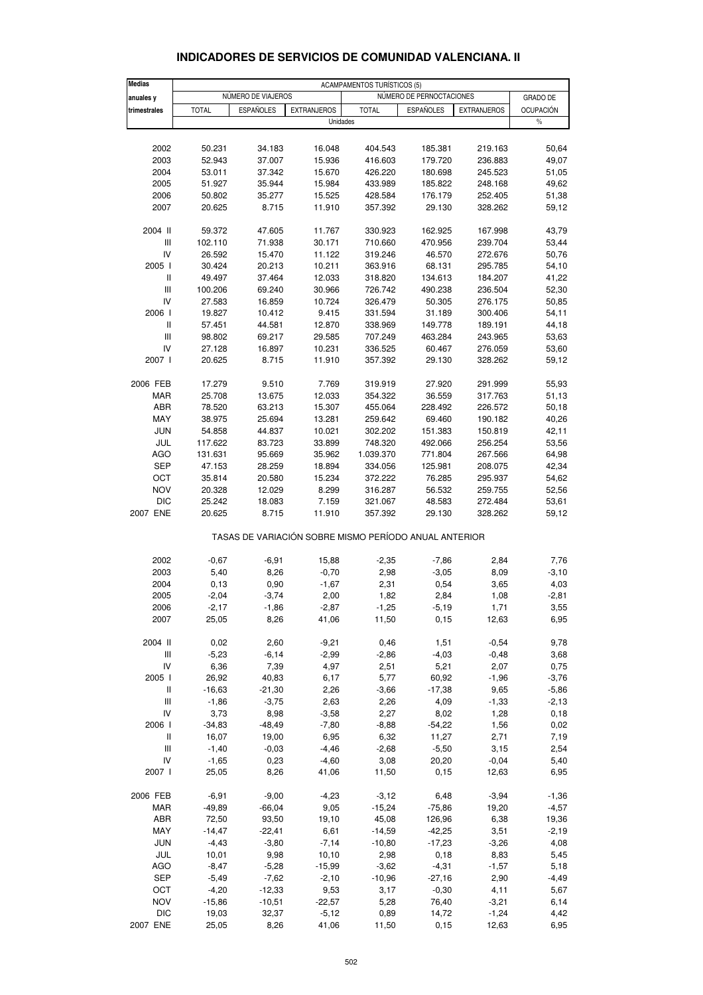| <b>Medias</b>     |                     |                     |                    | <b>ACAMPAMENTOS TURÍSTICOS (5)</b>                    |                          |                    |                  |
|-------------------|---------------------|---------------------|--------------------|-------------------------------------------------------|--------------------------|--------------------|------------------|
| anuales y         |                     | NÚMERO DE VIAJEROS  |                    |                                                       | NÚMERO DE PERNOCTACIONES |                    | <b>GRADO DE</b>  |
| trimestrales      | <b>TOTAL</b>        | <b>ESPAÑOLES</b>    | <b>EXTRANJEROS</b> | <b>TOTAL</b>                                          | <b>ESPAÑOLES</b>         | <b>EXTRANJEROS</b> | <b>OCUPACIÓN</b> |
|                   |                     |                     | Unidades           |                                                       |                          |                    | $\%$             |
|                   |                     |                     |                    |                                                       |                          |                    |                  |
| 2002              | 50.231              | 34.183              | 16.048             | 404.543                                               | 185.381                  | 219.163            | 50,64            |
| 2003              | 52.943              | 37.007              | 15.936             | 416.603                                               | 179.720                  | 236.883            | 49,07            |
| 2004              | 53.011              | 37.342              | 15.670             | 426.220                                               | 180.698                  | 245.523            | 51,05            |
| 2005              | 51.927              | 35.944              | 15.984             | 433.989                                               | 185.822                  | 248.168            | 49,62            |
| 2006              | 50.802              | 35.277              | 15.525             | 428.584                                               | 176.179                  | 252.405            | 51,38            |
| 2007              | 20.625              | 8.715               | 11.910             | 357.392                                               | 29.130                   | 328.262            | 59,12            |
|                   |                     |                     |                    |                                                       |                          |                    |                  |
| 2004 II           | 59.372              | 47.605              | 11.767             | 330.923                                               | 162.925                  | 167.998            | 43,79            |
| Ш                 | 102.110             | 71.938              | 30.171             | 710.660                                               | 470.956                  | 239.704            | 53,44            |
| IV                | 26.592              | 15.470              | 11.122             | 319.246                                               | 46.570                   | 272.676            | 50,76            |
| 2005 l            | 30.424              | 20.213              | 10.211             | 363.916                                               | 68.131                   | 295.785            | 54,10            |
| $\sf II$          | 49.497              | 37.464              | 12.033             | 318.820                                               | 134.613                  | 184.207            | 41,22            |
| Ш                 | 100.206             | 69.240              | 30.966             | 726.742                                               | 490.238                  | 236.504            | 52,30            |
| IV                | 27.583              | 16.859              | 10.724             | 326.479                                               | 50.305                   | 276.175            | 50,85            |
| 2006              | 19.827              | 10.412              | 9.415              | 331.594                                               | 31.189                   | 300.406            | 54,11            |
| Ш                 | 57.451              | 44.581              | 12.870             | 338.969                                               | 149.778                  | 189.191            | 44,18            |
| Ш                 | 98.802              | 69.217              | 29.585             | 707.249                                               | 463.284                  | 243.965            | 53,63            |
| IV                | 27.128              | 16.897              | 10.231             | 336.525                                               | 60.467                   | 276.059            | 53,60            |
| 2007 l            | 20.625              | 8.715               | 11.910             | 357.392                                               | 29.130                   | 328.262            | 59,12            |
|                   |                     |                     |                    |                                                       |                          |                    |                  |
| 2006 FEB          | 17.279              | 9.510               | 7.769              | 319.919                                               | 27.920                   | 291.999            | 55,93            |
| <b>MAR</b>        | 25.708              | 13.675              | 12.033             | 354.322                                               | 36.559                   | 317.763            | 51,13            |
| ABR               | 78.520              | 63.213              | 15.307             | 455.064                                               | 228.492                  | 226.572            | 50,18            |
| MAY<br><b>JUN</b> | 38.975              | 25.694<br>44.837    | 13.281             | 259.642                                               | 69.460                   | 190.182            | 40,26<br>42,11   |
| JUL               | 54.858<br>117.622   | 83.723              | 10.021<br>33.899   | 302.202<br>748.320                                    | 151.383<br>492.066       | 150.819<br>256.254 | 53,56            |
| AGO               | 131.631             | 95.669              | 35.962             | 1.039.370                                             | 771.804                  | 267.566            | 64,98            |
| <b>SEP</b>        | 47.153              | 28.259              | 18.894             | 334.056                                               | 125.981                  | 208.075            | 42,34            |
| OCT               | 35.814              | 20.580              | 15.234             | 372.222                                               | 76.285                   | 295.937            | 54,62            |
| <b>NOV</b>        | 20.328              | 12.029              | 8.299              | 316.287                                               | 56.532                   | 259.755            | 52,56            |
| <b>DIC</b>        | 25.242              | 18.083              | 7.159              | 321.067                                               | 48.583                   | 272.484            | 53,61            |
| 2007 ENE          | 20.625              | 8.715               | 11.910             | 357.392                                               | 29.130                   | 328.262            | 59,12            |
|                   |                     |                     |                    |                                                       |                          |                    |                  |
|                   |                     |                     |                    | TASAS DE VARIACIÓN SOBRE MISMO PERÍODO ANUAL ANTERIOR |                          |                    |                  |
|                   |                     |                     |                    |                                                       |                          |                    |                  |
| 2002              | $-0,67$             | $-6,91$             | 15,88              | $-2,35$                                               | $-7,86$                  | 2,84               | 7,76             |
| 2003              | 5,40                | 8,26                | $-0,70$            | 2,98                                                  | $-3,05$                  | 8,09               | $-3,10$          |
| 2004              | 0,13                | 0,90                | $-1,67$            | 2,31                                                  | 0,54                     | 3,65               | 4,03             |
| 2005              | $-2,04$             | $-3,74$             | 2,00               | 1,82                                                  | 2,84                     | 1,08               | $-2,81$          |
| 2006              | $-2,17$             | -1,86               | -2,87              | -1,25                                                 | -5,19                    | 1,71               | 3,55             |
| 2007              | 25,05               | 8,26                | 41,06              | 11,50                                                 | 0,15                     | 12,63              | 6,95             |
| 2004 II           | 0,02                | 2,60                | $-9,21$            | 0,46                                                  | 1,51                     | $-0,54$            | 9,78             |
| Ш                 | $-5,23$             | $-6,14$             | $-2,99$            | $-2,86$                                               | $-4,03$                  | $-0,48$            | 3,68             |
| IV                | 6,36                | 7,39                | 4,97               | 2,51                                                  | 5,21                     | 2,07               | 0,75             |
| 2005              | 26,92               | 40,83               | 6,17               | 5,77                                                  | 60,92                    | $-1,96$            | $-3,76$          |
| Ш                 | $-16,63$            | $-21,30$            | 2,26               | $-3,66$                                               | $-17,38$                 | 9,65               | $-5,86$          |
| Ш                 | $-1,86$             | $-3,75$             | 2,63               | 2,26                                                  | 4,09                     | $-1,33$            | $-2,13$          |
| IV                | 3,73                | 8,98                | $-3,58$            | 2,27                                                  | 8,02                     | 1,28               | 0, 18            |
| 2006              | $-34,83$            | $-48,49$            | $-7,80$            | $-8,88$                                               | $-54,22$                 | 1,56               | 0,02             |
| Ш                 | 16,07               | 19,00               | 6,95               | 6,32                                                  | 11,27                    | 2,71               | 7,19             |
| Ш                 | $-1,40$             | $-0,03$             | $-4,46$            | $-2,68$                                               | $-5,50$                  | 3,15               | 2,54             |
| IV                | $-1,65$             | 0,23                | $-4,60$            | 3,08                                                  | 20,20                    | $-0,04$            | 5,40             |
| 2007 l            | 25,05               | 8,26                | 41,06              | 11,50                                                 | 0,15                     | 12,63              | 6,95             |
|                   |                     |                     |                    |                                                       |                          |                    |                  |
| 2006 FEB          | $-6,91$             | $-9,00$             | $-4,23$            | $-3,12$                                               | 6,48                     | $-3,94$            | $-1,36$          |
| MAR               | $-49,89$            | $-66,04$            | 9,05               | $-15,24$                                              | $-75,86$                 | 19,20              | $-4,57$          |
| ABR               | 72,50               | 93,50               | 19,10              | 45,08                                                 | 126,96                   | 6,38               | 19,36            |
| MAY<br><b>JUN</b> | $-14,47$<br>$-4,43$ | $-22,41$<br>$-3,80$ | 6,61<br>$-7,14$    | $-14,59$<br>$-10,80$                                  | $-42,25$<br>$-17,23$     | 3,51<br>$-3,26$    | $-2,19$<br>4,08  |
| JUL               | 10,01               | 9,98                | 10, 10             | 2,98                                                  | 0,18                     | 8,83               | 5,45             |
| <b>AGO</b>        | $-8,47$             | $-5,28$             | $-15,99$           | $-3,62$                                               | $-4,31$                  | $-1,57$            | 5,18             |
| SEP               | $-5,49$             | $-7,62$             | $-2,10$            | $-10,96$                                              | $-27,16$                 | 2,90               | $-4,49$          |
| OCT               | $-4,20$             | $-12,33$            | 9,53               | 3,17                                                  | $-0,30$                  | 4,11               | 5,67             |
| <b>NOV</b>        | $-15,86$            | $-10,51$            | $-22,57$           | 5,28                                                  | 76,40                    | $-3,21$            | 6,14             |
| <b>DIC</b>        | 19,03               | 32,37               | $-5,12$            | 0,89                                                  | 14,72                    | $-1,24$            | 4,42             |

#### **INDICADORES DE SERVICIOS DE COMUNIDAD VALENCIANA. II**

2007 ENE 25,05 8,26 41,06 11,50 0,15 12,63 6,95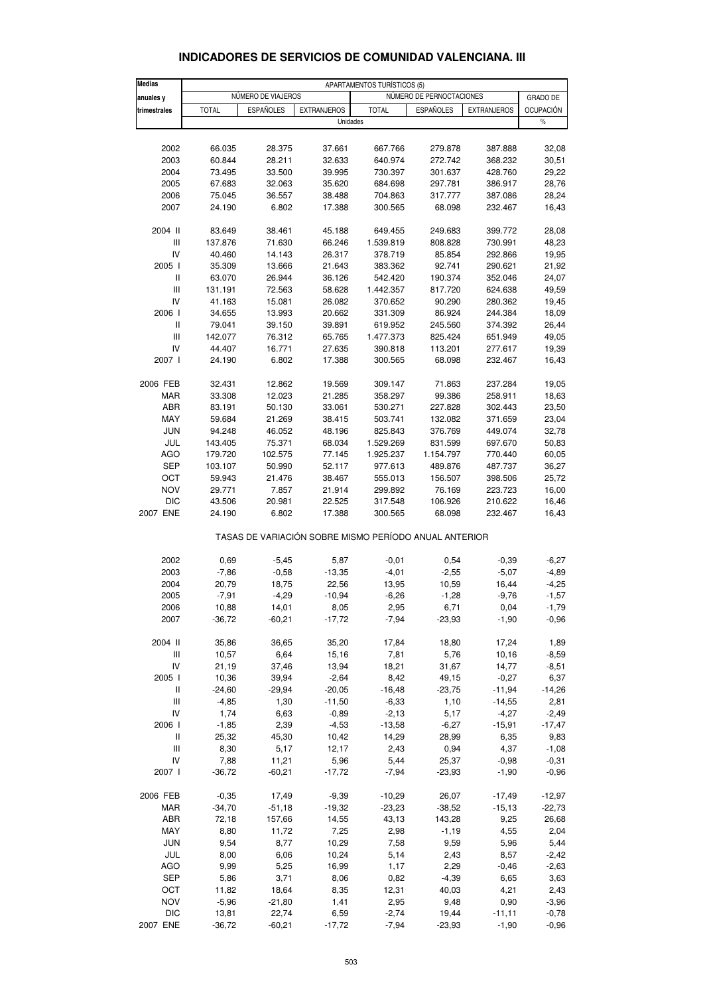#### **INDICADORES DE SERVICIOS DE COMUNIDAD VALENCIANA. III**

| <b>Medias</b>                                         |              | APARTAMENTOS TURÍSTICOS (5) |                    |              |                          |                    |                  |  |  |  |
|-------------------------------------------------------|--------------|-----------------------------|--------------------|--------------|--------------------------|--------------------|------------------|--|--|--|
| anuales y                                             |              | NÚMERO DE VIAJEROS          |                    |              | NÚMERO DE PERNOCTACIONES |                    | <b>GRADO DE</b>  |  |  |  |
| trimestrales                                          | <b>TOTAL</b> | <b>ESPAÑOLES</b>            | <b>EXTRANJEROS</b> | <b>TOTAL</b> | <b>ESPAÑOLES</b>         | <b>EXTRANJEROS</b> | <b>OCUPACIÓN</b> |  |  |  |
|                                                       |              |                             | Unidades           |              |                          |                    | $\%$             |  |  |  |
|                                                       |              |                             |                    |              |                          |                    |                  |  |  |  |
| 2002                                                  | 66.035       | 28.375                      | 37.661             | 667.766      | 279.878                  | 387.888            | 32,08            |  |  |  |
| 2003                                                  | 60.844       | 28.211                      | 32.633             | 640.974      | 272.742                  | 368.232            | 30,51            |  |  |  |
|                                                       |              |                             |                    |              |                          |                    |                  |  |  |  |
| 2004                                                  | 73.495       | 33.500                      | 39.995             | 730.397      | 301.637                  | 428.760            | 29,22            |  |  |  |
| 2005                                                  | 67.683       | 32.063                      | 35.620             | 684.698      | 297.781                  | 386.917            | 28,76            |  |  |  |
| 2006                                                  | 75.045       | 36.557                      | 38.488             | 704.863      | 317.777                  | 387.086            | 28,24            |  |  |  |
| 2007                                                  | 24.190       | 6.802                       | 17.388             | 300.565      | 68.098                   | 232.467            | 16,43            |  |  |  |
| 2004 II                                               | 83.649       | 38.461                      | 45.188             | 649.455      | 249.683                  | 399.772            | 28,08            |  |  |  |
| Ш                                                     | 137.876      | 71.630                      | 66.246             | 1.539.819    | 808.828                  | 730.991            | 48,23            |  |  |  |
| IV                                                    | 40.460       | 14.143                      | 26.317             | 378.719      | 85.854                   | 292.866            | 19,95            |  |  |  |
| 2005 l                                                | 35.309       | 13.666                      | 21.643             | 383.362      | 92.741                   | 290.621            | 21,92            |  |  |  |
| Ш                                                     | 63.070       | 26.944                      | 36.126             | 542.420      | 190.374                  | 352.046            | 24,07            |  |  |  |
| Ш                                                     | 131.191      | 72.563                      | 58.628             | 1.442.357    | 817.720                  | 624.638            | 49,59            |  |  |  |
| IV                                                    | 41.163       | 15.081                      | 26.082             | 370.652      | 90.290                   | 280.362            | 19,45            |  |  |  |
| 2006                                                  | 34.655       | 13.993                      | 20.662             | 331.309      | 86.924                   | 244.384            | 18,09            |  |  |  |
| Ш                                                     | 79.041       | 39.150                      | 39.891             | 619.952      | 245.560                  | 374.392            | 26,44            |  |  |  |
| Ш                                                     | 142.077      | 76.312                      | 65.765             | 1.477.373    | 825.424                  | 651.949            | 49,05            |  |  |  |
| IV                                                    | 44.407       | 16.771                      | 27.635             | 390.818      | 113.201                  | 277.617            | 19,39            |  |  |  |
| 2007 l                                                | 24.190       | 6.802                       | 17.388             | 300.565      | 68.098                   | 232.467            | 16,43            |  |  |  |
|                                                       |              |                             |                    |              |                          |                    |                  |  |  |  |
| 2006 FEB                                              | 32.431       | 12.862                      | 19.569             | 309.147      | 71.863                   | 237.284            | 19,05            |  |  |  |
| MAR                                                   | 33.308       | 12.023                      | 21.285             | 358.297      | 99.386                   | 258.911            | 18,63            |  |  |  |
| ABR                                                   | 83.191       | 50.130                      | 33.061             | 530.271      | 227.828                  | 302.443            | 23,50            |  |  |  |
| MAY                                                   | 59.684       | 21.269                      | 38.415             | 503.741      | 132.082                  | 371.659            | 23,04            |  |  |  |
| <b>JUN</b>                                            | 94.248       | 46.052                      | 48.196             | 825.843      | 376.769                  | 449.074            | 32,78            |  |  |  |
| JUL                                                   | 143.405      | 75.371                      | 68.034             | 1.529.269    | 831.599                  | 697.670            | 50,83            |  |  |  |
| AGO                                                   | 179.720      | 102.575                     | 77.145             | 1.925.237    | 1.154.797                | 770.440            | 60,05            |  |  |  |
| <b>SEP</b>                                            | 103.107      | 50.990                      | 52.117             | 977.613      | 489.876                  | 487.737            | 36,27            |  |  |  |
| ОСТ                                                   | 59.943       | 21.476                      | 38.467             | 555.013      | 156.507                  | 398.506            | 25,72            |  |  |  |
| <b>NOV</b>                                            | 29.771       | 7.857                       | 21.914             | 299.892      | 76.169                   | 223.723            | 16,00            |  |  |  |
| <b>DIC</b>                                            | 43.506       | 20.981                      | 22.525             | 317.548      | 106.926                  | 210.622            | 16,46            |  |  |  |
| 2007 ENE                                              | 24.190       | 6.802                       | 17.388             | 300.565      | 68.098                   | 232.467            | 16,43            |  |  |  |
| TASAS DE VARIACIÓN SOBRE MISMO PERÍODO ANUAL ANTERIOR |              |                             |                    |              |                          |                    |                  |  |  |  |
| 2002                                                  | 0,69         | $-5,45$                     | 5,87               | $-0,01$      | 0,54                     | $-0,39$            | $-6,27$          |  |  |  |
| 2003                                                  | $-7,86$      | $-0,58$                     | $-13,35$           | $-4,01$      | $-2,55$                  | $-5,07$            | $-4,89$          |  |  |  |
| 2004                                                  | 20,79        | 18,75                       | 22,56              | 13,95        | 10,59                    | 16,44              | $-4,25$          |  |  |  |
| 2005                                                  | $-7,91$      | $-4,29$                     | $-10,94$           | $-6,26$      | $-1,28$                  | $-9,76$            | $-1,57$          |  |  |  |
| 2006                                                  | 10,88        | 14,01                       | 8,05               | 2,95         | 6,71                     | 0,04               | $-1,79$          |  |  |  |
| 2007                                                  | $-36,72$     | $-60,21$                    | $-17,72$           | $-7,94$      | $-23,93$                 | $-1,90$            | $-0,96$          |  |  |  |
|                                                       |              |                             |                    |              |                          |                    |                  |  |  |  |
| 2004 II                                               | 35,86        | 36,65                       | 35,20              | 17,84        | 18,80                    | 17,24              | 1,89             |  |  |  |
| Ш                                                     | 10,57        | 6,64                        | 15,16              | 7,81         | 5,76                     | 10,16              | $-8,59$          |  |  |  |
| IV                                                    | 21,19        | 37,46                       | 13,94              | 18,21        | 31,67                    | 14,77              | $-8,51$          |  |  |  |
| 2005 l                                                | 10,36        | 39,94                       | $-2,64$            | 8,42         | 49,15                    | $-0,27$            | 6,37             |  |  |  |
| Ш                                                     | $-24,60$     | $-29,94$                    | $-20,05$           | $-16,48$     | $-23,75$                 | $-11,94$           | $-14,26$         |  |  |  |
| Ш                                                     | $-4,85$      | 1,30                        | $-11,50$           | $-6,33$      | 1,10                     | $-14,55$           | 2,81             |  |  |  |
| IV                                                    | 1,74         | 6,63                        | $-0,89$            | $-2,13$      | 5,17                     | $-4,27$            | $-2,49$          |  |  |  |
| 2006                                                  | $-1,85$      | 2,39                        | $-4,53$            | $-13,58$     | $-6,27$                  | $-15,91$           | $-17,47$         |  |  |  |
| Ш                                                     | 25,32        | 45,30                       | 10,42              | 14,29        | 28,99                    | 6,35               | 9,83             |  |  |  |
| Ш                                                     | 8,30         | 5,17                        | 12,17              | 2,43         | 0,94                     | 4,37               | $-1,08$          |  |  |  |
| IV                                                    | 7,88         | 11,21                       | 5,96               | 5,44         | 25,37                    | $-0,98$            | $-0,31$          |  |  |  |
| 2007 l                                                | $-36,72$     | $-60,21$                    | $-17,72$           | $-7,94$      | $-23,93$                 | $-1,90$            | $-0,96$          |  |  |  |
| 2006 FEB                                              | $-0,35$      | 17,49                       | $-9,39$            | $-10,29$     | 26,07                    | $-17,49$           | $-12,97$         |  |  |  |
| MAR                                                   | $-34,70$     | $-51,18$                    | $-19,32$           | $-23,23$     | $-38,52$                 | $-15, 13$          | $-22,73$         |  |  |  |
| ABR                                                   | 72,18        | 157,66                      | 14,55              | 43,13        | 143,28                   | 9,25               | 26,68            |  |  |  |
| MAY                                                   | 8,80         | 11,72                       | 7,25               | 2,98         | $-1,19$                  | 4,55               | 2,04             |  |  |  |
| <b>JUN</b>                                            | 9,54         | 8,77                        | 10,29              | 7,58         | 9,59                     | 5,96               | 5,44             |  |  |  |
| JUL                                                   | 8,00         | 6,06                        | 10,24              | 5,14         | 2,43                     | 8,57               |                  |  |  |  |
|                                                       |              |                             |                    |              |                          |                    | $-2,42$          |  |  |  |
| AGO                                                   | 9,99         | 5,25                        | 16,99              | 1,17         | 2,29                     | $-0,46$            | $-2,63$          |  |  |  |
| SEP                                                   | 5,86         | 3,71                        | 8,06               | 0,82         | $-4,39$                  | 6,65               | 3,63             |  |  |  |
| OCT                                                   | 11,82        | 18,64                       | 8,35               | 12,31        | 40,03                    | 4,21               | 2,43             |  |  |  |
| <b>NOV</b>                                            | $-5,96$      | $-21,80$                    | 1,41               | 2,95         | 9,48                     | 0,90               | $-3,96$          |  |  |  |
| $DIC$                                                 | 13,81        | 22,74                       | 6,59               | $-2,74$      | 19,44                    | $-11,11$           | $-0,78$          |  |  |  |
| 2007 ENE                                              | $-36,72$     | $-60,21$                    | $-17,72$           | $-7,94$      | $-23,93$                 | $-1,90$            | $-0,96$          |  |  |  |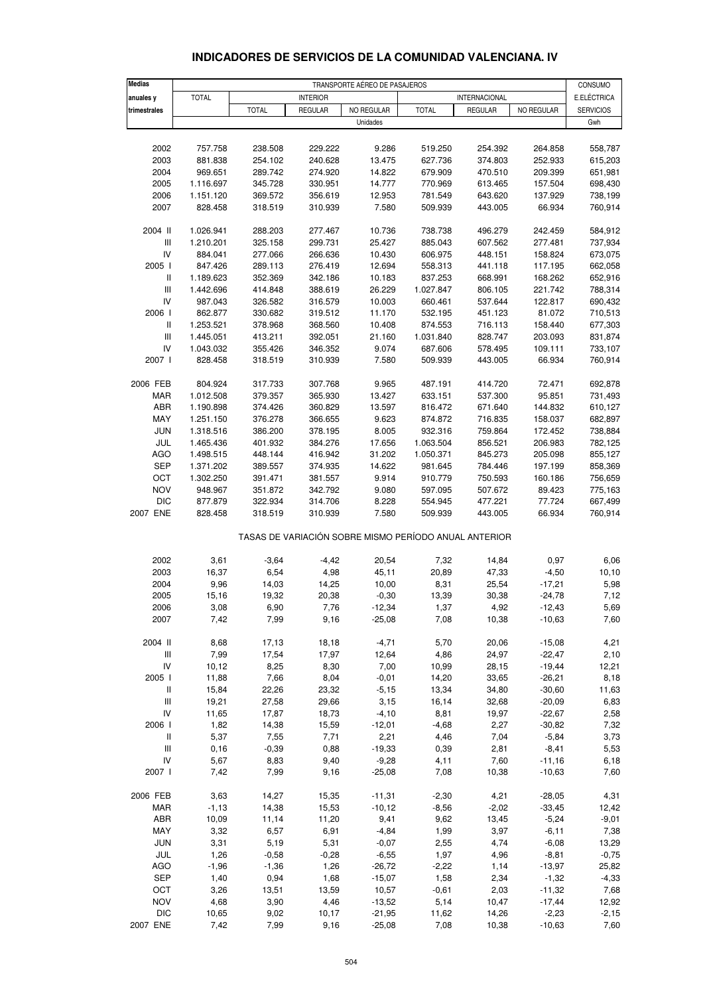#### **INDICADORES DE SERVICIOS DE LA COMUNIDAD VALENCIANA. IV**

| <b>Medias</b>                        |                        |                    |                    | TRANSPORTE AÉREO DE PASAJEROS |                                                       |                    |                      | CONSUMO            |
|--------------------------------------|------------------------|--------------------|--------------------|-------------------------------|-------------------------------------------------------|--------------------|----------------------|--------------------|
| anuales y                            | <b>TOTAL</b>           |                    | <b>INTERIOR</b>    |                               |                                                       | INTERNACIONAL      |                      | E.ELÉCTRICA        |
| trimestrales                         |                        | <b>TOTAL</b>       | <b>REGULAR</b>     | NO REGULAR                    | <b>TOTAL</b>                                          | <b>REGULAR</b>     | NO REGULAR           | <b>SERVICIOS</b>   |
|                                      |                        |                    |                    | Unidades                      |                                                       |                    |                      | Gwh                |
|                                      |                        |                    |                    |                               |                                                       |                    |                      |                    |
| 2002                                 | 757.758                | 238.508            | 229.222            | 9.286                         | 519.250                                               | 254.392            | 264.858              | 558,787            |
| 2003                                 | 881.838                | 254.102            | 240.628            | 13.475                        | 627.736                                               | 374.803            | 252.933              | 615,203            |
| 2004                                 | 969.651                | 289.742            | 274.920            | 14.822                        | 679.909                                               | 470.510            | 209.399              | 651,981            |
| 2005                                 | 1.116.697              | 345.728            | 330.951            | 14.777                        | 770.969                                               | 613.465            | 157.504              | 698,430            |
| 2006                                 | 1.151.120              | 369.572            | 356.619            | 12.953                        | 781.549                                               | 643.620            | 137.929              | 738,199            |
| 2007                                 | 828.458                | 318.519            | 310.939            | 7.580                         | 509.939                                               | 443.005            | 66.934               | 760,914            |
| 2004 II                              | 1.026.941              | 288.203            | 277.467            | 10.736                        | 738.738                                               | 496.279            | 242.459              | 584,912            |
| $\mathop{\rm III}\nolimits$          | 1.210.201              | 325.158            | 299.731            | 25.427                        | 885.043                                               | 607.562            | 277.481              | 737,934            |
| IV                                   | 884.041                | 277.066            | 266.636            | 10.430                        | 606.975                                               | 448.151            | 158.824              | 673,075            |
| 2005                                 | 847.426                | 289.113            | 276.419            | 12.694                        | 558.313                                               | 441.118            | 117.195              | 662,058            |
| Ш<br>III                             | 1.189.623<br>1.442.696 | 352.369<br>414.848 | 342.186<br>388.619 | 10.183<br>26.229              | 837.253<br>1.027.847                                  | 668.991<br>806.105 | 168.262<br>221.742   | 652,916<br>788,314 |
| IV                                   | 987.043                | 326.582            | 316.579            | 10.003                        | 660.461                                               | 537.644            | 122.817              | 690,432            |
| 2006                                 | 862.877                | 330.682            | 319.512            | 11.170                        | 532.195                                               | 451.123            | 81.072               | 710,513            |
| Ш                                    | 1.253.521              | 378.968            | 368.560            | 10.408                        | 874.553                                               | 716.113            | 158.440              | 677,303            |
| $\mathop{\rm III}\nolimits$          | 1.445.051              | 413.211            | 392.051            | 21.160                        | 1.031.840                                             | 828.747            | 203.093              | 831,874            |
| IV                                   | 1.043.032              | 355.426            | 346.352            | 9.074                         | 687.606                                               | 578.495            | 109.111              | 733,107            |
| 2007 l                               | 828.458                | 318.519            | 310.939            | 7.580                         | 509.939                                               | 443.005            | 66.934               | 760,914            |
| 2006 FEB                             | 804.924                | 317.733            | 307.768            | 9.965                         | 487.191                                               | 414.720            | 72.471               | 692,878            |
| <b>MAR</b>                           | 1.012.508              | 379.357            | 365.930            | 13.427                        | 633.151                                               | 537.300            | 95.851               | 731,493            |
| ABR                                  | 1.190.898              | 374.426            | 360.829            | 13.597                        | 816.472                                               | 671.640            | 144.832              | 610,127            |
| MAY                                  | 1.251.150              | 376.278            | 366.655            | 9.623                         | 874.872                                               | 716.835            | 158.037              | 682,897            |
| JUN                                  | 1.318.516              | 386.200            | 378.195            | 8.005                         | 932.316                                               | 759.864            | 172.452              | 738,884            |
| JUL                                  | 1.465.436              | 401.932            | 384.276            | 17.656                        | 1.063.504                                             | 856.521            | 206.983              | 782,125            |
| <b>AGO</b>                           | 1.498.515              | 448.144            | 416.942            | 31.202                        | 1.050.371                                             | 845.273            | 205.098              | 855,127            |
| <b>SEP</b>                           | 1.371.202              | 389.557            | 374.935            | 14.622                        | 981.645                                               | 784.446            | 197.199              | 858,369            |
| OCT<br><b>NOV</b>                    | 1.302.250              | 391.471            | 381.557            | 9.914                         | 910.779                                               | 750.593            | 160.186              | 756,659            |
| <b>DIC</b>                           | 948.967<br>877.879     | 351.872<br>322.934 | 342.792<br>314.706 | 9.080<br>8.228                | 597.095<br>554.945                                    | 507.672<br>477.221 | 89.423<br>77.724     | 775,163<br>667,499 |
| 2007 ENE                             | 828.458                | 318.519            | 310.939            | 7.580                         | 509.939                                               | 443.005            | 66.934               | 760,914            |
|                                      |                        |                    |                    |                               | TASAS DE VARIACIÓN SOBRE MISMO PERÍODO ANUAL ANTERIOR |                    |                      |                    |
| 2002                                 | 3,61                   | $-3,64$            | $-4,42$            | 20,54                         | 7,32                                                  | 14,84              | 0,97                 | 6,06               |
| 2003                                 | 16,37                  | 6,54               | 4,98               | 45,11                         | 20,89                                                 | 47,33              | $-4,50$              | 10, 10             |
| 2004                                 | 9,96                   | 14,03              | 14,25              | 10,00                         | 8,31                                                  | 25,54              | $-17,21$             | 5,98               |
| 2005                                 | 15,16                  | 19,32              | 20,38              | $-0,30$                       | 13,39                                                 | 30,38              | $-24,78$             | 7,12               |
| 2006                                 | 3,08                   | 6,90               | 7,76               | -12,34                        | 1,37                                                  | 4,92               | -12,43               | 5,69               |
| 2007                                 | 7,42                   | 7,99               | 9,16               | $-25,08$                      | 7,08                                                  | 10,38              | $-10,63$             | 7,60               |
| 2004 II                              | 8,68                   | 17,13              | 18,18              | $-4,71$                       | 5,70                                                  | 20,06              | $-15,08$             | 4,21               |
| $\ensuremath{\mathsf{III}}\xspace$   | 7,99                   | 17,54              | 17,97              | 12,64                         | 4,86                                                  | 24,97              | $-22,47$             | 2,10               |
| IV                                   | 10, 12                 | 8,25               | 8,30               | 7,00                          | 10,99                                                 | 28,15              | $-19,44$             | 12,21              |
| 2005  <br>$\ensuremath{\mathsf{II}}$ | 11,88<br>15,84         | 7,66<br>22,26      | 8,04<br>23,32      | $-0,01$<br>$-5,15$            | 14,20<br>13,34                                        | 33,65<br>34,80     | $-26,21$<br>$-30,60$ | 8,18<br>11,63      |
| $\ensuremath{\mathsf{III}}\xspace$   | 19,21                  | 27,58              | 29,66              | 3,15                          | 16,14                                                 | 32,68              | $-20,09$             | 6,83               |
| IV                                   | 11,65                  | 17,87              | 18,73              | $-4,10$                       | 8,81                                                  | 19,97              | $-22,67$             | 2,58               |
| 2006                                 | 1,82                   | 14,38              | 15,59              | $-12,01$                      | $-4,68$                                               | 2,27               | $-30,82$             | 7,32               |
| Ш                                    | 5,37                   | 7,55               | 7,71               | 2,21                          | 4,46                                                  | 7,04               | $-5,84$              | 3,73               |
| Ш                                    | 0,16                   | $-0,39$            | 0,88               | $-19,33$                      | 0,39                                                  | 2,81               | $-8,41$              | 5,53               |
| IV                                   | 5,67                   | 8,83               | 9,40               | $-9,28$                       | 4,11                                                  | 7,60               | $-11,16$             | 6,18               |
| 2007                                 | 7,42                   | 7,99               | 9,16               | $-25,08$                      | 7,08                                                  | 10,38              | $-10,63$             | 7,60               |
| 2006 FEB                             | 3,63                   | 14,27              | 15,35              | $-11,31$                      | $-2,30$                                               | 4,21               | $-28,05$             | 4,31               |
| <b>MAR</b>                           | $-1,13$                | 14,38              | 15,53              | $-10,12$                      | $-8,56$                                               | $-2,02$            | $-33,45$             | 12,42              |
| ABR                                  | 10,09                  | 11,14              | 11,20              | 9,41                          | 9,62                                                  | 13,45              | $-5,24$              | $-9,01$            |
| MAY                                  | 3,32                   | 6,57               | 6,91               | $-4,84$                       | 1,99                                                  | 3,97               | $-6, 11$             | 7,38               |
| <b>JUN</b>                           | 3,31                   | 5,19               | 5,31               | $-0,07$                       | 2,55                                                  | 4,74               | $-6,08$              | 13,29              |
| JUL                                  | 1,26                   | $-0,58$            | $-0,28$            | $-6,55$                       | 1,97                                                  | 4,96               | $-8,81$              | $-0,75$            |
| <b>AGO</b>                           | $-1,96$                | $-1,36$            | 1,26               | $-26,72$                      | $-2,22$                                               | 1,14               | $-13,97$             | 25,82              |
| <b>SEP</b>                           | 1,40                   | 0,94               | 1,68               | $-15,07$                      | 1,58                                                  | 2,34               | $-1,32$              | $-4,33$            |
| OCT<br><b>NOV</b>                    | 3,26<br>4,68           | 13,51<br>3,90      | 13,59<br>4,46      | 10,57<br>$-13,52$             | $-0,61$<br>5,14                                       | 2,03<br>10,47      | $-11,32$<br>$-17,44$ | 7,68<br>12,92      |
| <b>DIC</b>                           | 10,65                  | 9,02               | 10,17              | $-21,95$                      | 11,62                                                 | 14,26              | $-2,23$              | $-2,15$            |
| 2007 ENE                             | 7,42                   | 7,99               | 9,16               | $-25,08$                      | 7,08                                                  | 10,38              | $-10,63$             | 7,60               |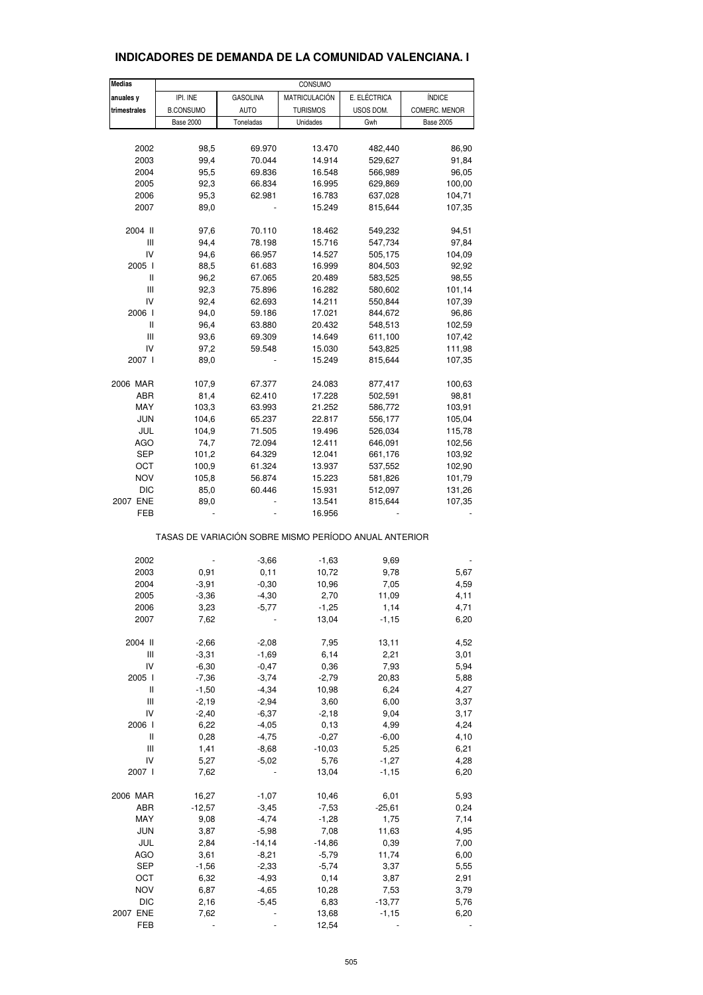| <b>Medias</b> |                                                       |                 | CONSUMO          |              |                  |
|---------------|-------------------------------------------------------|-----------------|------------------|--------------|------------------|
| anuales y     | IPI. INE                                              | <b>GASOLINA</b> | MATRICULACIÓN    | E. ELÉCTRICA | ÍNDICE           |
| trimestrales  | <b>B.CONSUMO</b>                                      | <b>AUTO</b>     | <b>TURISMOS</b>  | USOS DOM.    | COMERC. MENOR    |
|               | <b>Base 2000</b>                                      | Toneladas       | Unidades         | Gwh          | <b>Base 2005</b> |
|               |                                                       |                 |                  |              |                  |
| 2002          | 98,5                                                  | 69.970          | 13.470           | 482,440      | 86,90            |
| 2003          | 99,4                                                  | 70.044          | 14.914           | 529,627      | 91,84            |
| 2004          | 95,5                                                  | 69.836          | 16.548           | 566,989      | 96,05            |
| 2005          | 92,3                                                  | 66.834          | 16.995           | 629,869      | 100,00           |
| 2006          | 95,3                                                  | 62.981          | 16.783           | 637,028      | 104,71           |
| 2007          | 89,0                                                  |                 | 15.249           | 815,644      | 107,35           |
|               |                                                       |                 |                  |              |                  |
| 2004 II       | 97,6                                                  | 70.110          | 18.462           | 549,232      | 94,51            |
| Ш             | 94,4                                                  | 78.198          | 15.716           | 547,734      | 97,84            |
| IV            | 94,6                                                  | 66.957          | 14.527           | 505,175      | 104,09           |
| 2005 l        | 88,5                                                  | 61.683          | 16.999           | 804,503      | 92,92            |
| Ш             | 96,2                                                  | 67.065          | 20.489           | 583,525      | 98,55            |
| Ш             | 92,3                                                  | 75.896          | 16.282           | 580,602      | 101,14           |
| IV            | 92,4                                                  | 62.693          | 14.211           | 550,844      | 107,39           |
| 2006          | 94,0                                                  | 59.186          | 17.021           | 844,672      | 96,86            |
| Ш             | 96,4                                                  | 63.880          | 20.432           | 548,513      | 102,59           |
| Ш             |                                                       |                 |                  |              |                  |
|               | 93,6                                                  | 69.309          | 14.649           | 611,100      | 107,42           |
| IV            | 97,2                                                  | 59.548          | 15.030           | 543,825      | 111,98           |
| 2007 l        | 89,0                                                  |                 | 15.249           | 815,644      | 107,35           |
| 2006 MAR      | 107,9                                                 | 67.377          | 24.083           | 877,417      | 100,63           |
| ABR           | 81,4                                                  | 62.410          | 17.228           | 502,591      | 98,81            |
| MAY           | 103,3                                                 | 63.993          | 21.252           | 586,772      | 103,91           |
| JUN           | 104,6                                                 | 65.237          | 22.817           | 556,177      |                  |
|               |                                                       |                 |                  |              | 105,04           |
| JUL           | 104,9                                                 | 71.505          | 19.496           | 526,034      | 115,78           |
| <b>AGO</b>    | 74,7                                                  | 72.094          | 12.411           | 646,091      | 102,56           |
| SEP           | 101,2                                                 | 64.329          | 12.041           | 661,176      | 103,92           |
| ОСТ           | 100,9                                                 | 61.324          | 13.937           | 537,552      | 102,90           |
| <b>NOV</b>    | 105,8                                                 | 56.874          | 15.223           | 581,826      | 101,79           |
| <b>DIC</b>    | 85,0                                                  | 60.446          | 15.931           | 512,097      | 131,26           |
| 2007 ENE      | 89,0                                                  |                 | 13.541           | 815,644      | 107,35           |
| FEB           |                                                       |                 | 16.956           |              |                  |
|               | TASAS DE VARIACIÓN SOBRE MISMO PERÍODO ANUAL ANTERIOR |                 |                  |              |                  |
|               |                                                       |                 |                  |              |                  |
| 2002          |                                                       | $-3,66$         | $-1,63$<br>10,72 | 9,69         |                  |
| 2003          | 0,91                                                  | 0,11            |                  | 9,78         | 5,67             |
| 2004          | $-3,91$                                               | $-0,30$         | 10,96            | 7,05         | 4,59             |
| 2005          | $-3,36$                                               | $-4,30$         | 2,70             | 11,09        | 4,11             |
| 2006          | 3,23                                                  | $-5,77$         | $-1,25$          | 1,14         | 4,71             |
| 2007          | 7,62                                                  |                 | 13,04            | $-1,15$      | 6,20             |
| 2004 II       | $-2,66$                                               | $-2,08$         | 7,95             | 13,11        | 4,52             |
| Ш             | $-3,31$                                               | $-1,69$         | 6,14             | 2,21         | 3,01             |
| IV            | $-6,30$                                               | $-0,47$         | 0,36             | 7,93         | 5,94             |
| 2005 l        | $-7,36$                                               | $-3,74$         | $-2,79$          | 20,83        | 5,88             |
| Ш             | $-1,50$                                               | $-4,34$         | 10,98            | 6,24         | 4,27             |
| Ш             | $-2,19$                                               | $-2,94$         | 3,60             | 6,00         | 3,37             |
| IV            | $-2,40$                                               | $-6,37$         | $-2,18$          | 9,04         | 3,17             |
| 2006 l        | 6,22                                                  | $-4,05$         | 0,13             | 4,99         | 4,24             |
| Ш             | 0,28                                                  | $-4,75$         | $-0,27$          | $-6,00$      | 4,10             |
| Ш             | 1,41                                                  | $-8,68$         | $-10,03$         | 5,25         | 6,21             |
| IV            | 5,27                                                  | $-5,02$         | 5,76             | $-1,27$      | 4,28             |
| 2007 l        |                                                       |                 | 13,04            |              |                  |
|               | 7,62                                                  |                 |                  | $-1,15$      | 6,20             |
| 2006 MAR      | 16,27                                                 | $-1,07$         | 10,46            | 6,01         | 5,93             |
| ABR           | $-12,57$                                              | $-3,45$         | $-7,53$          | $-25,61$     | 0,24             |
| MAY           | 9,08                                                  | $-4,74$         | $-1,28$          | 1,75         | 7,14             |
| <b>JUN</b>    | 3,87                                                  | $-5,98$         | 7,08             | 11,63        | 4,95             |
| JUL           | 2,84                                                  | $-14, 14$       | $-14,86$         | 0,39         | 7,00             |
| <b>AGO</b>    | 3,61                                                  | $-8,21$         | $-5,79$          | 11,74        | 6,00             |
| <b>SEP</b>    | $-1,56$                                               | $-2,33$         | $-5,74$          | 3,37         | 5,55             |
| OCT           | 6,32                                                  | $-4,93$         | 0,14             | 3,87         | 2,91             |
| <b>NOV</b>    | 6,87                                                  | $-4,65$         | 10,28            | 7,53         | 3,79             |
| <b>DIC</b>    | 2,16                                                  | $-5,45$         | 6,83             | $-13,77$     | 5,76             |
| 2007 ENE      | 7,62                                                  |                 | 13,68            | $-1,15$      | 6,20             |
| FEB           |                                                       |                 | 12,54            |              |                  |
|               |                                                       |                 |                  |              |                  |

# **INDICADORES DE DEMANDA DE LA COMUNIDAD VALENCIANA. I**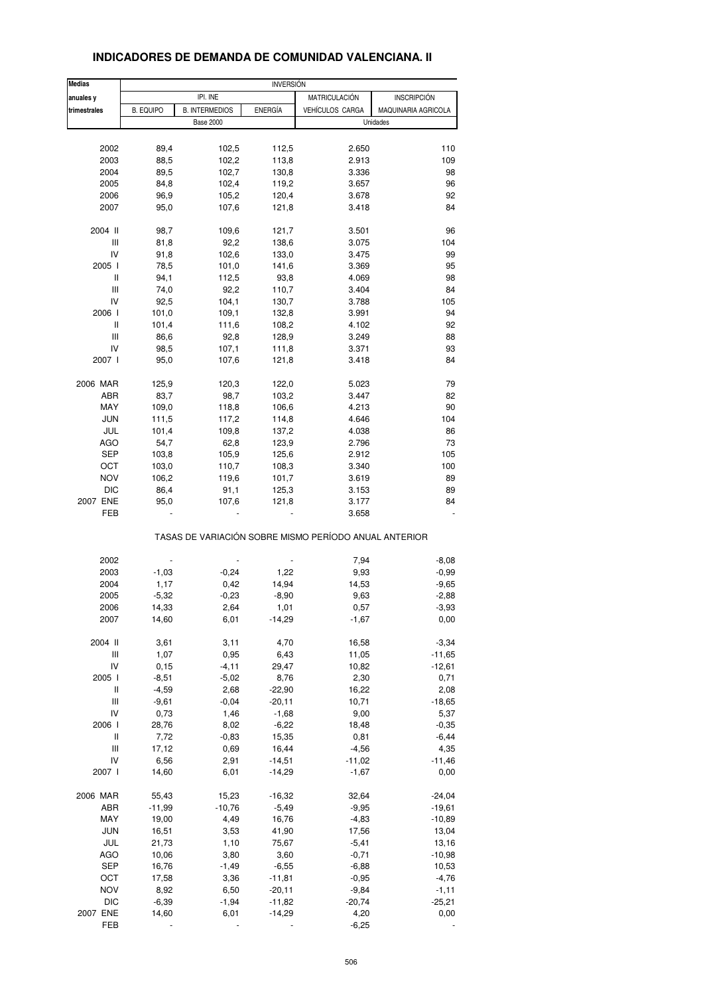| <b>Medias</b>                      |                  |                       | <b>INVERSIÓN</b> |                                                       |                     |  |  |
|------------------------------------|------------------|-----------------------|------------------|-------------------------------------------------------|---------------------|--|--|
| anuales y                          |                  | IPI. INE              |                  | MATRICULACIÓN                                         | <b>INSCRIPCIÓN</b>  |  |  |
| trimestrales                       | <b>B. EQUIPO</b> | <b>B. INTERMEDIOS</b> | <b>ENERGÍA</b>   | VEHÍCULOS CARGA                                       | MAQUINARIA AGRICOLA |  |  |
|                                    |                  | <b>Base 2000</b>      |                  |                                                       | Unidades            |  |  |
|                                    |                  |                       |                  |                                                       |                     |  |  |
| 2002                               | 89,4             | 102,5                 | 112,5            | 2.650                                                 | 110                 |  |  |
| 2003                               | 88,5             | 102,2                 | 113,8            | 2.913                                                 | 109                 |  |  |
| 2004                               | 89,5             | 102,7                 | 130,8            | 3.336                                                 | 98                  |  |  |
| 2005                               | 84,8             | 102,4                 | 119,2            | 3.657                                                 | 96                  |  |  |
| 2006                               | 96,9             | 105,2                 | 120,4            | 3.678                                                 | 92                  |  |  |
| 2007                               | 95,0             | 107,6                 | 121,8            | 3.418                                                 | 84                  |  |  |
| 2004 II                            |                  |                       |                  | 3.501                                                 |                     |  |  |
|                                    | 98,7             | 109,6                 | 121,7            |                                                       | 96                  |  |  |
| $\ensuremath{\mathsf{III}}\xspace$ | 81,8             | 92,2                  | 138,6            | 3.075                                                 | 104                 |  |  |
| IV                                 | 91,8             | 102,6                 | 133,0            | 3.475                                                 | 99                  |  |  |
| 2005 l                             | 78,5             | 101,0                 | 141,6            | 3.369                                                 | 95                  |  |  |
| Ш                                  | 94,1             | 112,5                 | 93,8             | 4.069                                                 | 98                  |  |  |
| Ш                                  | 74,0             | 92,2                  | 110,7            | 3.404                                                 | 84                  |  |  |
| IV                                 | 92,5             | 104,1                 | 130,7            | 3.788                                                 | 105                 |  |  |
| 2006                               | 101,0            | 109,1                 | 132,8            | 3.991                                                 | 94                  |  |  |
| Ш                                  | 101,4            | 111,6                 | 108,2            | 4.102                                                 | 92                  |  |  |
| Ш                                  | 86,6             | 92,8                  | 128,9            | 3.249                                                 | 88                  |  |  |
| IV                                 |                  |                       |                  |                                                       | 93                  |  |  |
|                                    | 98,5             | 107,1                 | 111,8            | 3.371                                                 |                     |  |  |
| 2007 l                             | 95,0             | 107,6                 | 121,8            | 3.418                                                 | 84                  |  |  |
| 2006 MAR                           | 125,9            | 120,3                 | 122,0            | 5.023                                                 | 79                  |  |  |
| ABR                                | 83,7             | 98,7                  | 103,2            | 3.447                                                 | 82                  |  |  |
| MAY                                | 109,0            | 118,8                 | 106,6            | 4.213                                                 | 90                  |  |  |
| <b>JUN</b>                         | 111,5            | 117,2                 | 114,8            | 4.646                                                 | 104                 |  |  |
| JUL                                | 101,4            | 109,8                 | 137,2            | 4.038                                                 | 86                  |  |  |
|                                    |                  |                       |                  |                                                       |                     |  |  |
| <b>AGO</b>                         | 54,7             | 62,8                  | 123,9            | 2.796                                                 | 73                  |  |  |
| SEP                                | 103,8            | 105,9                 | 125,6            | 2.912                                                 | 105                 |  |  |
| OCT                                | 103,0            | 110,7                 | 108,3            | 3.340                                                 | 100                 |  |  |
| <b>NOV</b>                         | 106,2            | 119,6                 | 101,7            | 3.619                                                 | 89                  |  |  |
| <b>DIC</b>                         | 86,4             | 91,1                  | 125,3            | 3.153                                                 | 89                  |  |  |
| 2007 ENE                           | 95,0             | 107,6                 | 121,8            | 3.177                                                 | 84                  |  |  |
| FEB                                |                  |                       |                  | 3.658                                                 |                     |  |  |
|                                    |                  |                       |                  | TASAS DE VARIACIÓN SOBRE MISMO PERÍODO ANUAL ANTERIOR |                     |  |  |
| 2002                               |                  |                       |                  |                                                       |                     |  |  |
|                                    |                  |                       |                  | 7,94                                                  | $-8,08$             |  |  |
| 2003                               | $-1,03$          | $-0,24$               | 1,22             | 9,93                                                  | $-0,99$             |  |  |
| 2004                               | 1,17             | 0,42                  | 14,94            | 14,53                                                 | $-9,65$             |  |  |
| 2005                               | $-5,32$          | $-0,23$               | $-8,90$          | 9,63                                                  | $-2,88$             |  |  |
| 2006                               | 14,33            | 2,64                  | 1,01             | 0,57                                                  | $-3,93$             |  |  |
| 2007                               | 14,60            | 6,01                  | $-14,29$         | $-1,67$                                               | 0,00                |  |  |
| 2004 II                            | 3,61             | 3,11                  | 4,70             | 16,58                                                 | $-3,34$             |  |  |
| Ш                                  | 1,07             | 0,95                  | 6,43             | 11,05                                                 | $-11,65$            |  |  |
| IV                                 | 0, 15            | $-4, 11$              | 29,47            | 10,82                                                 | $-12,61$            |  |  |
| 2005 l                             | $-8,51$          | $-5,02$               | 8,76             | 2,30                                                  | 0,71                |  |  |
|                                    |                  |                       |                  |                                                       |                     |  |  |
| Ш                                  | $-4,59$          | 2,68                  | $-22,90$         | 16,22                                                 | 2,08                |  |  |
| Ш                                  | $-9,61$          | $-0,04$               | $-20,11$         | 10,71                                                 | $-18,65$            |  |  |
| IV                                 | 0,73             | 1,46                  | $-1,68$          | 9,00                                                  | 5,37                |  |  |
| 2006                               | 28,76            | 8,02                  | $-6,22$          | 18,48                                                 | $-0,35$             |  |  |
| Ш                                  | 7,72             | $-0,83$               | 15,35            | 0,81                                                  | $-6,44$             |  |  |
| Ш                                  | 17,12            | 0,69                  | 16,44            | $-4,56$                                               | 4,35                |  |  |
| IV                                 | 6,56             | 2,91                  | $-14,51$         | $-11,02$                                              | $-11,46$            |  |  |
| 2007 l                             | 14,60            | 6,01                  | $-14,29$         | $-1,67$                                               | 0,00                |  |  |
|                                    |                  |                       |                  |                                                       |                     |  |  |
| 2006 MAR                           | 55,43            | 15,23                 | $-16,32$         | 32,64                                                 | $-24,04$            |  |  |
| ABR                                | $-11,99$         | $-10,76$              | $-5,49$          | $-9,95$                                               | $-19,61$            |  |  |
| MAY                                | 19,00            | 4,49                  | 16,76            | $-4,83$                                               | $-10,89$            |  |  |
| <b>JUN</b>                         | 16,51            | 3,53                  | 41,90            | 17,56                                                 | 13,04               |  |  |
| JUL                                | 21,73            | 1,10                  | 75,67            | $-5,41$                                               | 13,16               |  |  |
| AGO                                | 10,06            | 3,80                  | 3,60             | $-0,71$                                               | $-10,98$            |  |  |
| <b>SEP</b>                         | 16,76            | $-1,49$               | $-6,55$          | $-6,88$                                               | 10,53               |  |  |
| OCT                                | 17,58            | 3,36                  | $-11,81$         | $-0,95$                                               | $-4,76$             |  |  |
| <b>NOV</b>                         | 8,92             | 6,50                  | $-20,11$         | $-9,84$                                               | $-1, 11$            |  |  |
|                                    |                  |                       |                  |                                                       |                     |  |  |
| DIC                                | $-6,39$          | $-1,94$               | $-11,82$         | $-20,74$                                              | $-25,21$            |  |  |
| 2007 ENE                           | 14,60            | 6,01                  | $-14,29$         | 4,20                                                  | 0,00                |  |  |

#### **INDICADORES DE DEMANDA DE COMUNIDAD VALENCIANA. II**

FEB - - - -6,25 -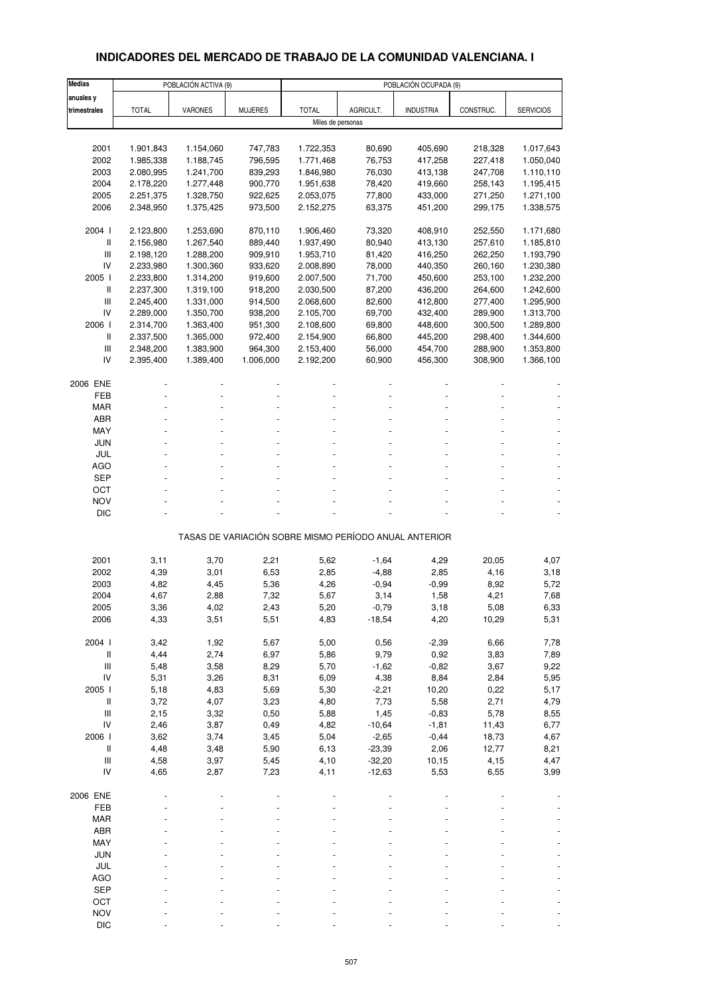# **INDICADORES DEL MERCADO DE TRABAJO DE LA COMUNIDAD VALENCIANA. I**

| <b>Medias</b>                      |              | POBLACIÓN ACTIVA (9) |                |                   |                                                       | POBLACIÓN OCUPADA (9) |           |                  |
|------------------------------------|--------------|----------------------|----------------|-------------------|-------------------------------------------------------|-----------------------|-----------|------------------|
| anuales y                          |              |                      |                |                   |                                                       |                       |           |                  |
| trimestrales                       | <b>TOTAL</b> | <b>VARONES</b>       | <b>MUJERES</b> | <b>TOTAL</b>      | AGRICULT.                                             | <b>INDUSTRIA</b>      | CONSTRUC. | <b>SERVICIOS</b> |
|                                    |              |                      |                | Miles de personas |                                                       |                       |           |                  |
|                                    |              |                      |                |                   |                                                       |                       |           |                  |
| 2001                               | 1.901,843    | 1.154,060            | 747,783        | 1.722,353         | 80,690                                                | 405,690               | 218,328   | 1.017,643        |
| 2002                               | 1.985,338    | 1.188,745            | 796,595        | 1.771,468         | 76,753                                                | 417,258               | 227,418   | 1.050,040        |
| 2003                               | 2.080,995    | 1.241,700            | 839,293        | 1.846,980         | 76,030                                                | 413,138               | 247,708   | 1.110,110        |
| 2004                               | 2.178,220    | 1.277,448            | 900,770        | 1.951,638         | 78,420                                                | 419,660               | 258,143   | 1.195,415        |
| 2005                               | 2.251,375    | 1.328,750            | 922,625        | 2.053,075         | 77,800                                                | 433,000               | 271,250   | 1.271,100        |
|                                    |              | 1.375,425            | 973,500        |                   |                                                       |                       |           | 1.338,575        |
| 2006                               | 2.348,950    |                      |                | 2.152,275         | 63,375                                                | 451,200               | 299,175   |                  |
| 2004 l                             |              |                      | 870,110        | 1.906,460         | 73,320                                                |                       | 252,550   |                  |
|                                    | 2.123,800    | 1.253,690            |                |                   |                                                       | 408,910               |           | 1.171,680        |
| Ш                                  | 2.156,980    | 1.267,540            | 889,440        | 1.937,490         | 80,940                                                | 413,130               | 257,610   | 1.185,810        |
| $\ensuremath{\mathsf{III}}\xspace$ | 2.198,120    | 1.288,200            | 909,910        | 1.953,710         | 81,420                                                | 416,250               | 262,250   | 1.193,790        |
| IV                                 | 2.233,980    | 1.300,360            | 933,620        | 2.008,890         | 78,000                                                | 440,350               | 260,160   | 1.230,380        |
| 2005 l                             | 2.233,800    | 1.314,200            | 919,600        | 2.007,500         | 71,700                                                | 450,600               | 253,100   | 1.232,200        |
| Ш                                  | 2.237,300    | 1.319,100            | 918,200        | 2.030,500         | 87,200                                                | 436,200               | 264,600   | 1.242,600        |
| $\mathsf{III}$                     | 2.245,400    | 1.331,000            | 914,500        | 2.068,600         | 82,600                                                | 412,800               | 277,400   | 1.295,900        |
| IV                                 | 2.289,000    | 1.350,700            | 938,200        | 2.105,700         | 69,700                                                | 432,400               | 289,900   | 1.313,700        |
| 2006                               | 2.314,700    | 1.363,400            | 951,300        | 2.108,600         | 69,800                                                | 448,600               | 300,500   | 1.289,800        |
| $\, \parallel$                     | 2.337,500    | 1.365,000            | 972,400        | 2.154,900         | 66,800                                                | 445,200               | 298,400   | 1.344,600        |
| $\mathsf{III}$                     | 2.348,200    | 1.383,900            | 964,300        | 2.153,400         | 56,000                                                | 454,700               | 288,900   | 1.353,800        |
| IV                                 | 2.395,400    | 1.389,400            | 1.006,000      | 2.192,200         | 60,900                                                | 456,300               | 308,900   | 1.366,100        |
|                                    |              |                      |                |                   |                                                       |                       |           |                  |
| 2006 ENE                           |              |                      |                |                   |                                                       |                       |           |                  |
| FEB                                |              |                      |                |                   |                                                       |                       |           |                  |
| <b>MAR</b>                         |              |                      |                |                   |                                                       |                       |           |                  |
| ABR                                |              |                      |                |                   |                                                       |                       |           |                  |
| MAY                                |              |                      |                |                   |                                                       |                       |           |                  |
| <b>JUN</b>                         |              |                      |                |                   |                                                       |                       |           |                  |
| JUL                                |              |                      |                |                   |                                                       |                       |           |                  |
| <b>AGO</b>                         |              |                      |                |                   |                                                       |                       |           |                  |
| <b>SEP</b>                         |              |                      |                |                   |                                                       |                       |           |                  |
|                                    |              |                      |                |                   |                                                       |                       |           |                  |
| OCT                                |              |                      |                |                   |                                                       |                       |           |                  |
| <b>NOV</b>                         |              |                      |                |                   |                                                       |                       |           |                  |
| <b>DIC</b>                         |              |                      |                |                   |                                                       |                       |           |                  |
|                                    |              |                      |                |                   | TASAS DE VARIACIÓN SOBRE MISMO PERÍODO ANUAL ANTERIOR |                       |           |                  |
|                                    |              |                      |                |                   |                                                       |                       |           |                  |
| 2001                               | 3,11         | 3,70                 | 2,21           | 5,62              | $-1,64$                                               | 4,29                  | 20,05     | 4,07             |
| 2002                               | 4,39         | 3,01                 | 6,53           | 2,85              | $-4,88$                                               | 2,85                  | 4,16      | 3,18             |
| 2003                               | 4,82         | 4,45                 | 5,36           | 4,26              | $-0,94$                                               | $-0,99$               | 8,92      | 5,72             |
| 2004                               | 4,67         | 2,88                 | 7,32           | 5,67              | 3,14                                                  | 1,58                  | 4,21      | 7,68             |
| 2005                               | 3,36         | 4,02                 | 2,43           | 5,20              | $-0,79$                                               | 3,18                  | 5,08      | 6,33             |
| 2006                               | 4,33         | 3,51                 | 5,51           | 4,83              | $-18,54$                                              | 4,20                  | 10,29     | 5,31             |
|                                    |              |                      |                |                   |                                                       |                       |           |                  |
| 2004 l                             | 3,42         | 1,92                 | 5,67           | 5,00              | 0,56                                                  | $-2,39$               | 6,66      | 7,78             |
| Ш                                  | 4,44         | 2,74                 | 6,97           | 5,86              | 9,79                                                  | 0,92                  | 3,83      | 7,89             |
| $\ensuremath{\mathsf{III}}\xspace$ | 5,48         | 3,58                 | 8,29           | 5,70              | $-1,62$                                               | $-0,82$               | 3,67      | 9,22             |
| IV                                 | 5,31         | 3,26                 | 8,31           | 6,09              | 4,38                                                  | 8,84                  | 2,84      | 5,95             |
| 2005 l                             | 5,18         | 4,83                 | 5,69           | 5,30              | $-2,21$                                               | 10,20                 | 0,22      | 5,17             |
| $\, \parallel$                     | 3,72         | 4,07                 | 3,23           | 4,80              | 7,73                                                  | 5,58                  | 2,71      | 4,79             |
| III                                | 2,15         | 3,32                 | 0,50           | 5,88              | 1,45                                                  | $-0,83$               | 5,78      | 8,55             |
| IV                                 | 2,46         | 3,87                 | 0,49           | 4,82              | $-10,64$                                              | $-1,81$               | 11,43     | 6,77             |
| 2006 l                             | 3,62         | 3,74                 | 3,45           | 5,04              | $-2,65$                                               | $-0,44$               | 18,73     | 4,67             |
| $\, \parallel$                     | 4,48         | 3,48                 | 5,90           | 6,13              | $-23,39$                                              | 2,06                  | 12,77     | 8,21             |
| $\ensuremath{\mathsf{III}}\xspace$ | 4,58         | 3,97                 | 5,45           | 4,10              | $-32,20$                                              | 10,15                 | 4,15      | 4,47             |
| IV                                 | 4,65         | 2,87                 | 7,23           | 4,11              | $-12,63$                                              | 5,53                  | 6,55      | 3,99             |
|                                    |              |                      |                |                   |                                                       |                       |           |                  |
| 2006 ENE                           |              |                      |                |                   |                                                       |                       |           |                  |
| FEB                                |              |                      |                |                   |                                                       |                       |           |                  |
| <b>MAR</b>                         |              |                      |                |                   |                                                       |                       |           |                  |
| ABR                                |              |                      |                |                   |                                                       |                       |           |                  |
| MAY                                |              |                      |                |                   |                                                       |                       |           |                  |
| <b>JUN</b>                         |              |                      |                |                   |                                                       |                       |           |                  |
|                                    |              |                      |                |                   |                                                       |                       |           |                  |
| JUL                                |              |                      |                |                   |                                                       |                       |           |                  |
| <b>AGO</b>                         |              |                      |                |                   |                                                       |                       |           |                  |
| <b>SEP</b>                         |              |                      |                |                   |                                                       |                       |           |                  |
| OCT                                |              |                      |                |                   |                                                       |                       |           |                  |
| <b>NOV</b>                         |              |                      |                |                   |                                                       |                       |           |                  |
| <b>DIC</b>                         |              |                      |                |                   |                                                       |                       |           |                  |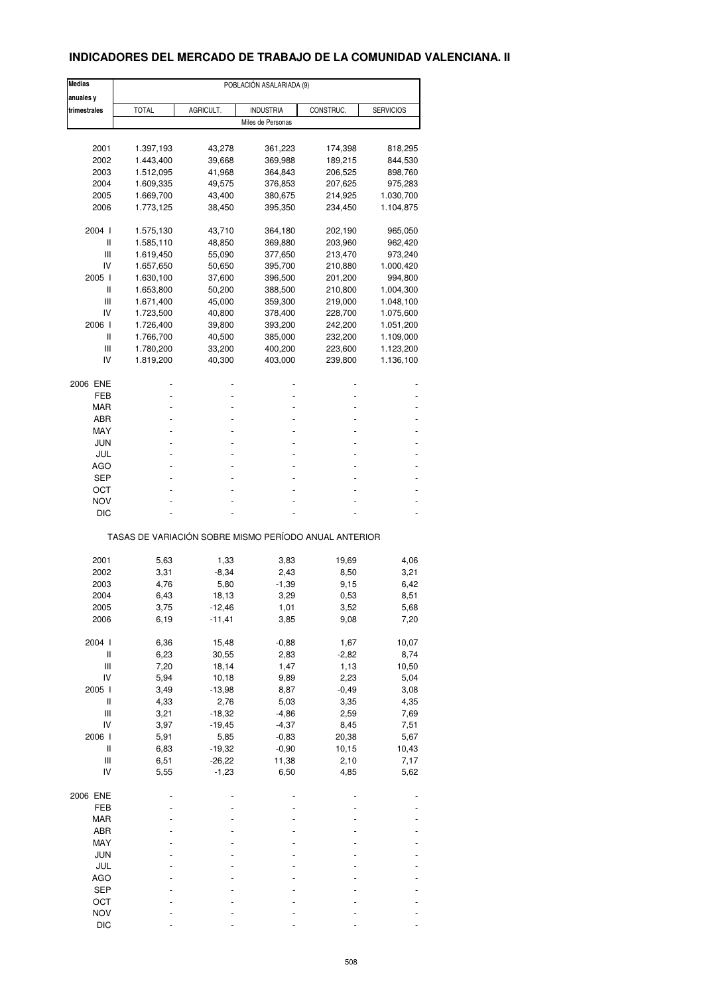# **INDICADORES DEL MERCADO DE TRABAJO DE LA COMUNIDAD VALENCIANA. II**

| <b>Medias</b>                      | POBLACIÓN ASALARIADA (9)                              |           |                   |           |                  |  |
|------------------------------------|-------------------------------------------------------|-----------|-------------------|-----------|------------------|--|
| anuales y                          |                                                       |           |                   |           |                  |  |
| trimestrales                       | <b>TOTAL</b>                                          | AGRICULT. | <b>INDUSTRIA</b>  | CONSTRUC. | <b>SERVICIOS</b> |  |
|                                    |                                                       |           | Miles de Personas |           |                  |  |
|                                    |                                                       |           |                   |           |                  |  |
| 2001                               | 1.397,193                                             | 43,278    | 361,223           | 174,398   | 818,295          |  |
| 2002                               | 1.443,400                                             | 39,668    | 369,988           | 189,215   | 844,530          |  |
| 2003                               | 1.512,095                                             | 41,968    | 364,843           | 206,525   | 898,760          |  |
| 2004                               | 1.609,335                                             | 49,575    | 376,853           | 207,625   | 975,283          |  |
| 2005                               | 1.669,700                                             | 43,400    | 380,675           | 214,925   | 1.030,700        |  |
| 2006                               |                                                       |           | 395,350           |           |                  |  |
|                                    | 1.773,125                                             | 38,450    |                   | 234,450   | 1.104,875        |  |
| 2004 l                             | 1.575,130                                             | 43,710    | 364,180           | 202,190   | 965,050          |  |
| Ш                                  | 1.585,110                                             | 48,850    | 369,880           | 203,960   | 962,420          |  |
| Ш                                  | 1.619,450                                             | 55,090    | 377,650           | 213,470   | 973,240          |  |
| IV                                 | 1.657,650                                             | 50,650    | 395,700           | 210,880   | 1.000,420        |  |
| 2005 l                             | 1.630,100                                             | 37,600    | 396,500           | 201,200   | 994,800          |  |
| Ш                                  | 1.653,800                                             | 50,200    | 388,500           | 210,800   | 1.004,300        |  |
| Ш                                  | 1.671,400                                             | 45,000    | 359,300           | 219,000   | 1.048,100        |  |
| IV                                 | 1.723,500                                             | 40,800    | 378,400           | 228,700   | 1.075,600        |  |
| 2006                               |                                                       |           |                   |           |                  |  |
|                                    | 1.726,400                                             | 39,800    | 393,200           | 242,200   | 1.051,200        |  |
| Ш                                  | 1.766,700                                             | 40,500    | 385,000           | 232,200   | 1.109,000        |  |
| Ш                                  | 1.780,200                                             | 33,200    | 400,200           | 223,600   | 1.123,200        |  |
| IV                                 | 1.819,200                                             | 40,300    | 403,000           | 239,800   | 1.136,100        |  |
| 2006 ENE                           |                                                       |           |                   |           |                  |  |
| FEB                                |                                                       |           |                   |           |                  |  |
| MAR                                |                                                       |           |                   |           |                  |  |
| ABR                                |                                                       |           |                   |           |                  |  |
| MAY                                |                                                       |           |                   |           |                  |  |
| JUN                                |                                                       |           |                   |           |                  |  |
| JUL                                |                                                       |           |                   |           |                  |  |
| <b>AGO</b>                         |                                                       |           |                   |           |                  |  |
|                                    |                                                       |           |                   |           |                  |  |
| <b>SEP</b>                         |                                                       |           |                   |           |                  |  |
| ост                                |                                                       |           |                   |           |                  |  |
| <b>NOV</b>                         |                                                       |           |                   |           |                  |  |
| DIC                                |                                                       |           |                   |           |                  |  |
|                                    | TASAS DE VARIACIÓN SOBRE MISMO PERÍODO ANUAL ANTERIOR |           |                   |           |                  |  |
| 2001                               | 5,63                                                  | 1,33      | 3,83              | 19,69     | 4,06             |  |
|                                    | 3,31                                                  |           |                   |           |                  |  |
| 2002                               |                                                       | $-8,34$   | 2,43              | 8,50      | 3,21             |  |
| 2003                               | 4,76                                                  | 5,80      | $-1,39$           | 9,15      | 6,42             |  |
| 2004                               | 6,43                                                  | 18,13     | 3,29              | 0,53      | 8,51             |  |
| 2005                               | 3,75                                                  | -12,46    | 1,01              | 3,52      | 5,68             |  |
| 2006                               | 6,19                                                  | $-11,41$  | 3,85              | 9,08      | 7,20             |  |
| 2004 l                             | 6,36                                                  | 15,48     | $-0,88$           | 1,67      | 10,07            |  |
| $\sf II$                           | 6,23                                                  | 30,55     | 2,83              | $-2,82$   | 8,74             |  |
| Ш                                  | 7,20                                                  | 18,14     | 1,47              | 1,13      | 10,50            |  |
| IV                                 | 5,94                                                  | 10,18     | 9,89              | 2,23      | 5,04             |  |
| 2005 l                             | 3,49                                                  | $-13,98$  | 8,87              | $-0,49$   | 3,08             |  |
| $\sf II$                           | 4,33                                                  | 2,76      | 5,03              | 3,35      |                  |  |
| $\ensuremath{\mathsf{III}}\xspace$ |                                                       | $-18,32$  | $-4,86$           | 2,59      | 4,35             |  |
|                                    | 3,21                                                  |           |                   |           | 7,69             |  |
| IV                                 | 3,97                                                  | $-19,45$  | $-4,37$           | 8,45      | 7,51             |  |
| 2006                               | 5,91                                                  | 5,85      | $-0,83$           | 20,38     | 5,67             |  |
| $\sf II$                           | 6,83                                                  | $-19,32$  | $-0,90$           | 10,15     | 10,43            |  |
| Ш                                  | 6,51                                                  | $-26,22$  | 11,38             | 2,10      | 7,17             |  |
| IV                                 | 5,55                                                  | $-1,23$   | 6,50              | 4,85      | 5,62             |  |
| 2006 ENE                           |                                                       |           |                   |           |                  |  |
| FEB                                |                                                       |           |                   |           |                  |  |
| MAR                                |                                                       |           |                   |           |                  |  |
| ABR                                |                                                       |           |                   |           |                  |  |
| MAY                                |                                                       |           |                   |           |                  |  |
| JUN                                |                                                       |           |                   |           |                  |  |
|                                    |                                                       |           |                   |           |                  |  |
| JUL                                |                                                       |           |                   |           |                  |  |
| <b>AGO</b>                         |                                                       |           |                   |           |                  |  |
| <b>SEP</b>                         |                                                       |           |                   |           |                  |  |
| OCT                                |                                                       |           |                   |           |                  |  |
| <b>NOV</b>                         |                                                       |           |                   |           |                  |  |
| DIC                                |                                                       |           |                   |           |                  |  |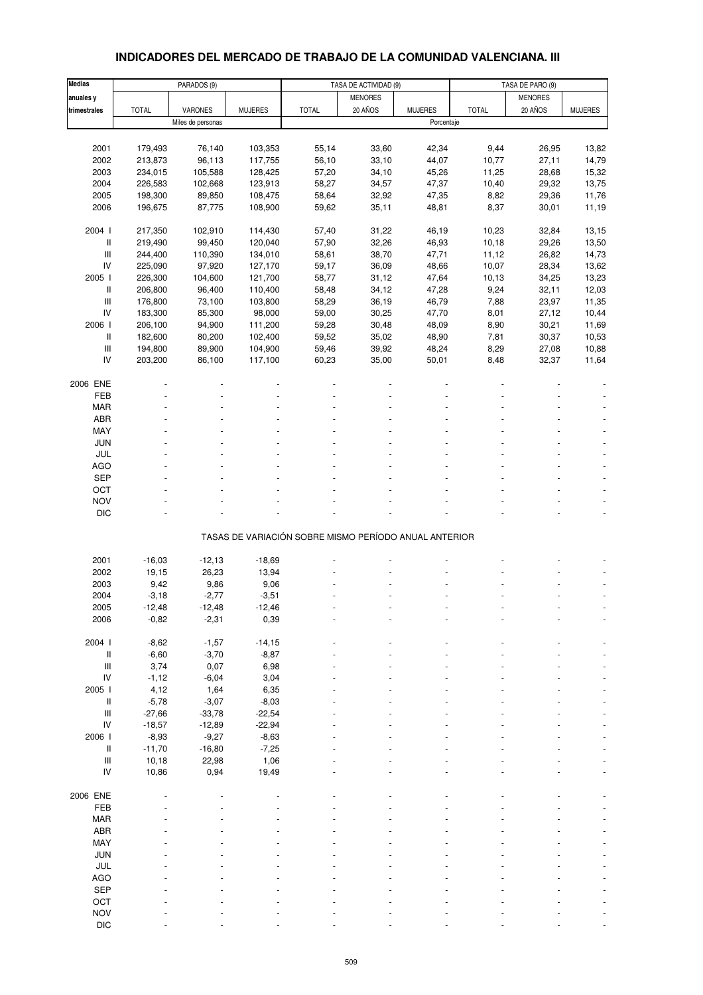# **INDICADORES DEL MERCADO DE TRABAJO DE LA COMUNIDAD VALENCIANA. III**

| <b>Medias</b>                      |              | PARADOS (9)       |                |                                                       | TASA DE ACTIVIDAD (9) |                |              | TASA DE PARO (9) |                |
|------------------------------------|--------------|-------------------|----------------|-------------------------------------------------------|-----------------------|----------------|--------------|------------------|----------------|
| anuales y                          |              |                   |                |                                                       | <b>MENORES</b>        |                |              | <b>MENORES</b>   |                |
| trimestrales                       | <b>TOTAL</b> | VARONES           | <b>MUJERES</b> | <b>TOTAL</b>                                          | 20 AÑOS               | <b>MUJERES</b> | <b>TOTAL</b> | 20 AÑOS          | <b>MUJERES</b> |
|                                    |              | Miles de personas |                |                                                       |                       | Porcentaje     |              |                  |                |
|                                    |              |                   |                |                                                       |                       |                |              |                  |                |
| 2001                               | 179,493      | 76,140            | 103,353        | 55,14                                                 | 33,60                 | 42,34          | 9,44         | 26,95            | 13,82          |
| 2002                               |              | 96,113            |                |                                                       |                       |                |              |                  |                |
|                                    | 213,873      |                   | 117,755        | 56,10                                                 | 33,10                 | 44,07          | 10,77        | 27,11            | 14,79          |
| 2003                               | 234,015      | 105,588           | 128,425        | 57,20                                                 | 34,10                 | 45,26          | 11,25        | 28,68            | 15,32          |
| 2004                               | 226,583      | 102,668           | 123,913        | 58,27                                                 | 34,57                 | 47,37          | 10,40        | 29,32            | 13,75          |
| 2005                               | 198,300      | 89,850            | 108,475        | 58,64                                                 | 32,92                 | 47,35          | 8,82         | 29,36            | 11,76          |
| 2006                               | 196,675      | 87,775            | 108,900        | 59,62                                                 | 35,11                 | 48,81          | 8,37         | 30,01            | 11,19          |
|                                    |              |                   |                |                                                       |                       |                |              |                  |                |
| 2004 l                             | 217,350      | 102,910           | 114,430        | 57,40                                                 | 31,22                 | 46,19          | 10,23        | 32,84            | 13,15          |
| II                                 | 219,490      | 99,450            | 120,040        | 57,90                                                 | 32,26                 | 46,93          | 10,18        | 29,26            | 13,50          |
| $\ensuremath{\mathsf{III}}\xspace$ | 244,400      | 110,390           | 134,010        | 58,61                                                 | 38,70                 | 47,71          | 11,12        | 26,82            | 14,73          |
| IV                                 | 225,090      | 97,920            | 127,170        | 59,17                                                 | 36,09                 | 48,66          | 10,07        | 28,34            | 13,62          |
| 2005 l                             | 226,300      | 104,600           | 121,700        | 58,77                                                 | 31,12                 | 47,64          | 10,13        | 34,25            | 13,23          |
| Ш                                  | 206,800      | 96,400            | 110,400        | 58,48                                                 | 34,12                 | 47,28          | 9,24         | 32,11            | 12,03          |
| $\ensuremath{\mathsf{III}}\xspace$ | 176,800      | 73,100            | 103,800        | 58,29                                                 | 36,19                 | 46,79          | 7,88         | 23,97            | 11,35          |
| IV                                 | 183,300      | 85,300            | 98,000         | 59,00                                                 | 30,25                 | 47,70          | 8,01         | 27,12            | 10,44          |
| 2006                               | 206,100      | 94,900            | 111,200        | 59,28                                                 | 30,48                 | 48,09          | 8,90         | 30,21            | 11,69          |
| II                                 | 182,600      | 80,200            | 102,400        | 59,52                                                 | 35,02                 | 48,90          | 7,81         | 30,37            | 10,53          |
| $\ensuremath{\mathsf{III}}\xspace$ | 194,800      | 89,900            | 104,900        | 59,46                                                 | 39,92                 | 48,24          | 8,29         | 27,08            | 10,88          |
| IV                                 | 203,200      | 86,100            | 117,100        | 60,23                                                 | 35,00                 | 50,01          | 8,48         | 32,37            | 11,64          |
|                                    |              |                   |                |                                                       |                       |                |              |                  |                |
| 2006 ENE                           |              |                   |                |                                                       |                       |                |              |                  |                |
| FEB                                |              |                   |                |                                                       |                       |                |              |                  |                |
|                                    |              |                   |                |                                                       |                       |                |              |                  |                |
| <b>MAR</b>                         |              |                   |                |                                                       |                       |                |              |                  |                |
| <b>ABR</b>                         |              |                   |                |                                                       |                       |                |              |                  |                |
| MAY                                |              |                   |                |                                                       |                       |                |              |                  |                |
| <b>JUN</b>                         |              |                   |                |                                                       |                       |                |              |                  |                |
| JUL                                |              |                   |                |                                                       |                       |                |              |                  |                |
| <b>AGO</b>                         |              |                   |                |                                                       |                       |                |              |                  |                |
| <b>SEP</b>                         |              |                   |                |                                                       |                       |                |              |                  |                |
| OCT                                |              |                   |                |                                                       |                       |                |              |                  |                |
| <b>NOV</b>                         |              |                   |                |                                                       |                       |                |              |                  |                |
| <b>DIC</b>                         |              |                   |                |                                                       |                       |                |              |                  |                |
|                                    |              |                   |                |                                                       |                       |                |              |                  |                |
|                                    |              |                   |                | TASAS DE VARIACIÓN SOBRE MISMO PERÍODO ANUAL ANTERIOR |                       |                |              |                  |                |
|                                    |              |                   |                |                                                       |                       |                |              |                  |                |
| 2001                               | $-16,03$     | $-12,13$          | $-18,69$       |                                                       |                       |                |              |                  |                |
| 2002                               | 19,15        | 26,23             | 13,94          |                                                       |                       |                |              |                  |                |
| 2003                               | 9,42         | 9,86              | 9,06           |                                                       |                       |                |              |                  |                |
| 2004                               | $-3,18$      | $-2,77$           | $-3,51$        |                                                       |                       |                |              |                  |                |
| 2005                               | -12,48       | -12,48            | -12,46         |                                                       |                       |                |              |                  |                |
| 2006                               | $-0,82$      | $-2,31$           | 0,39           |                                                       |                       |                |              |                  |                |
|                                    |              |                   |                |                                                       |                       |                |              |                  |                |
| 2004 l                             | $-8,62$      | $-1,57$           | $-14,15$       |                                                       |                       |                |              |                  |                |
| II                                 | $-6,60$      | $-3,70$           | $-8,87$        |                                                       |                       |                |              |                  |                |
| $\ensuremath{\mathsf{III}}\xspace$ |              |                   |                |                                                       |                       |                |              |                  |                |
|                                    | 3,74         | 0,07              | 6,98           |                                                       |                       |                |              |                  |                |
| IV                                 | $-1,12$      | $-6,04$           | 3,04           |                                                       |                       |                |              |                  |                |
| 2005 l                             | 4,12         | 1,64              | 6,35           |                                                       |                       |                |              |                  |                |
| II                                 | $-5,78$      | $-3,07$           | $-8,03$        |                                                       |                       |                |              |                  |                |
| $\ensuremath{\mathsf{III}}\xspace$ | $-27,66$     | $-33,78$          | $-22,54$       |                                                       |                       |                |              |                  |                |
| IV                                 | $-18,57$     | $-12,89$          | $-22,94$       |                                                       |                       |                |              |                  |                |
| 2006                               | $-8,93$      | $-9,27$           | $-8,63$        |                                                       |                       |                |              |                  |                |
| Ш                                  | $-11,70$     | $-16,80$          | $-7,25$        |                                                       |                       |                |              |                  |                |
| $\ensuremath{\mathsf{III}}\xspace$ | 10,18        | 22,98             | 1,06           |                                                       |                       |                |              |                  |                |
| IV                                 | 10,86        | 0,94              | 19,49          |                                                       |                       |                |              |                  |                |
|                                    |              |                   |                |                                                       |                       |                |              |                  |                |
| 2006 ENE                           |              |                   |                |                                                       |                       |                |              |                  |                |
| FEB                                |              |                   |                |                                                       |                       |                |              |                  |                |
| <b>MAR</b>                         |              |                   |                |                                                       |                       |                |              |                  |                |
| ABR                                |              |                   |                |                                                       |                       |                |              |                  |                |
| MAY                                |              |                   |                |                                                       |                       |                |              |                  |                |
| JUN                                |              |                   |                |                                                       |                       |                |              |                  |                |
| JUL                                |              |                   |                |                                                       |                       |                |              |                  |                |
| <b>AGO</b>                         |              |                   |                |                                                       |                       |                |              |                  |                |
|                                    |              |                   |                |                                                       |                       |                |              |                  |                |
| SEP                                |              |                   |                |                                                       |                       |                |              |                  |                |
| OCT                                |              |                   |                |                                                       |                       |                |              |                  |                |
| <b>NOV</b>                         |              |                   |                |                                                       |                       |                |              |                  |                |
| <b>DIC</b>                         |              |                   |                |                                                       |                       |                |              |                  |                |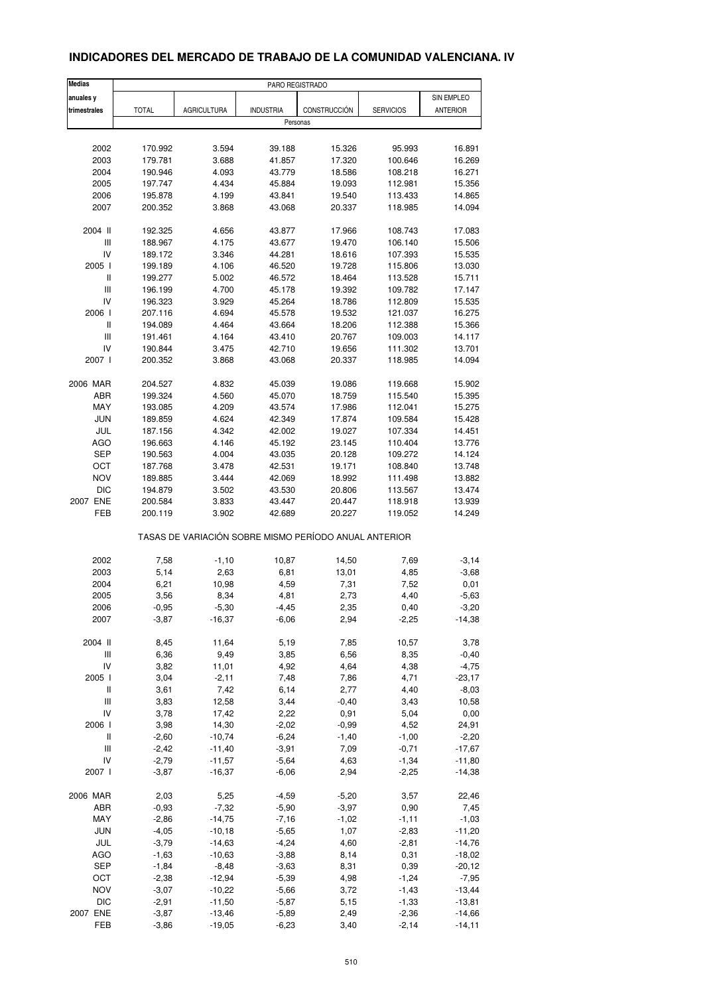## **INDICADORES DEL MERCADO DE TRABAJO DE LA COMUNIDAD VALENCIANA. IV**

| <b>Medias</b>                      |                    |                      | PARO REGISTRADO                                       |                 |                    |                     |
|------------------------------------|--------------------|----------------------|-------------------------------------------------------|-----------------|--------------------|---------------------|
| anuales y                          |                    |                      |                                                       |                 |                    | SIN EMPLEO          |
| trimestrales                       | <b>TOTAL</b>       | <b>AGRICULTURA</b>   | <b>INDUSTRIA</b>                                      | CONSTRUCCIÓN    | <b>SERVICIOS</b>   | <b>ANTERIOR</b>     |
|                                    |                    |                      | Personas                                              |                 |                    |                     |
|                                    |                    |                      |                                                       |                 |                    |                     |
| 2002                               | 170.992            | 3.594                | 39.188                                                | 15.326          | 95.993             | 16.891              |
| 2003                               | 179.781            | 3.688                | 41.857                                                | 17.320          | 100.646            | 16.269              |
| 2004                               | 190.946            | 4.093                | 43.779                                                | 18.586          | 108.218            | 16.271              |
| 2005                               | 197.747            | 4.434                | 45.884                                                | 19.093          | 112.981            | 15.356              |
| 2006                               | 195.878            | 4.199                | 43.841                                                | 19.540          | 113.433            | 14.865              |
| 2007                               | 200.352            | 3.868                | 43.068                                                | 20.337          | 118.985            | 14.094              |
| 2004 II                            | 192.325            | 4.656                | 43.877                                                | 17.966          | 108.743            | 17.083              |
| $\mathsf{III}$                     | 188.967            | 4.175                | 43.677                                                | 19.470          | 106.140            | 15.506              |
| IV                                 | 189.172            | 3.346                | 44.281                                                | 18.616          | 107.393            | 15.535              |
| 2005 l                             | 199.189            | 4.106                | 46.520                                                | 19.728          | 115.806            | 13.030              |
| Ш                                  | 199.277            | 5.002                | 46.572                                                | 18.464          | 113.528            | 15.711              |
| $\mathsf{III}$                     | 196.199            | 4.700                | 45.178                                                | 19.392          | 109.782            | 17.147              |
| IV                                 | 196.323            | 3.929                | 45.264                                                | 18.786          | 112.809            | 15.535              |
| 2006                               | 207.116            | 4.694                | 45.578                                                | 19.532          | 121.037            | 16.275              |
| $\mathsf{I}$                       | 194.089            | 4.464                | 43.664                                                | 18.206          | 112.388            | 15.366              |
| $\ensuremath{\mathsf{III}}\xspace$ | 191.461            | 4.164                | 43.410                                                | 20.767          | 109.003            | 14.117              |
| IV                                 | 190.844            | 3.475                | 42.710                                                | 19.656          | 111.302            | 13.701              |
| 2007 l                             | 200.352            | 3.868                | 43.068                                                | 20.337          | 118.985            | 14.094              |
| 2006 MAR                           | 204.527            | 4.832                | 45.039                                                | 19.086          | 119.668            | 15.902              |
| ABR                                | 199.324            | 4.560                | 45.070                                                | 18.759          | 115.540            | 15.395              |
| <b>MAY</b>                         | 193.085            | 4.209                | 43.574                                                | 17.986          | 112.041            | 15.275              |
| <b>JUN</b>                         | 189.859            | 4.624                | 42.349                                                | 17.874          | 109.584            | 15.428              |
| JUL                                | 187.156            | 4.342                | 42.002                                                | 19.027          | 107.334            | 14.451              |
| <b>AGO</b>                         | 196.663            | 4.146                | 45.192                                                | 23.145          | 110.404            | 13.776              |
| <b>SEP</b>                         | 190.563            | 4.004                | 43.035                                                | 20.128          | 109.272            | 14.124              |
| OCT                                | 187.768            | 3.478                | 42.531                                                | 19.171          | 108.840            | 13.748              |
| <b>NOV</b>                         | 189.885            | 3.444                | 42.069                                                | 18.992          | 111.498            | 13.882              |
| <b>DIC</b>                         | 194.879            | 3.502                | 43.530                                                | 20.806          | 113.567            | 13.474              |
| 2007 ENE                           | 200.584            | 3.833                | 43.447                                                | 20.447          | 118.918            | 13.939              |
| FEB                                | 200.119            | 3.902                | 42.689                                                | 20.227          | 119.052            | 14.249              |
|                                    |                    |                      | TASAS DE VARIACIÓN SOBRE MISMO PERÍODO ANUAL ANTERIOR |                 |                    |                     |
| 2002                               | 7,58               | $-1,10$              | 10,87                                                 | 14,50           | 7,69               | $-3, 14$            |
| 2003                               | 5,14               | 2,63                 | 6,81                                                  | 13,01           | 4,85               | $-3,68$             |
| 2004                               | 6,21               | 10,98                | 4,59                                                  | 7,31            | 7,52               | 0,01                |
| 2005                               | 3,56               | 8,34                 | 4,81                                                  | 2,73            | 4,40               | $-5,63$             |
| 2006                               | $-0,95$            | $-5,30$              | $-4,45$                                               | 2,35            | 0,40               | $-3,20$             |
| 2007                               | $-3,87$            | $-16,37$             | $-6,06$                                               | 2,94            | $-2,25$            | $-14,38$            |
|                                    |                    |                      |                                                       |                 |                    |                     |
| 2004 II                            | 8,45               | 11,64                | 5,19                                                  | 7,85            | 10,57              | 3,78                |
| $\ensuremath{\mathsf{III}}\xspace$ | 6,36               | 9,49                 | 3,85                                                  | 6,56            | 8,35               | $-0,40$             |
| IV<br>2005 l                       | 3,82               | 11,01                | 4,92                                                  | 4,64            | 4,38               | $-4,75$             |
| Ш                                  | 3,04<br>3,61       | $-2,11$<br>7,42      | 7,48<br>6,14                                          | 7,86<br>2,77    | 4,71<br>4,40       | $-23,17$<br>$-8,03$ |
| $\ensuremath{\mathsf{III}}\xspace$ | 3,83               | 12,58                | 3,44                                                  | $-0,40$         | 3,43               | 10,58               |
| IV                                 | 3,78               | 17,42                | 2,22                                                  | 0,91            | 5,04               | 0,00                |
| 2006 l                             | 3,98               | 14,30                | $-2,02$                                               | $-0,99$         | 4,52               | 24,91               |
| $\, \parallel$                     | $-2,60$            | $-10,74$             | $-6,24$                                               | $-1,40$         | $-1,00$            | $-2,20$             |
| Ш                                  | $-2,42$            | $-11,40$             | $-3,91$                                               | 7,09            | $-0,71$            | $-17,67$            |
| IV                                 | $-2,79$            | $-11,57$             | $-5,64$                                               | 4,63            | $-1,34$            | $-11,80$            |
| 2007 l                             | $-3,87$            | $-16,37$             | $-6,06$                                               | 2,94            | $-2,25$            | $-14,38$            |
|                                    |                    |                      |                                                       |                 |                    |                     |
| 2006 MAR                           | 2,03               | 5,25                 | $-4,59$                                               | $-5,20$         | 3,57               | 22,46               |
| ABR                                | $-0,93$            | $-7,32$              | $-5,90$                                               | $-3,97$         | 0,90               | 7,45                |
| MAY<br>JUN                         | $-2,86$<br>$-4,05$ | $-14,75$<br>$-10,18$ | $-7,16$<br>$-5,65$                                    | $-1,02$<br>1,07 | $-1,11$<br>$-2,83$ | $-1,03$<br>$-11,20$ |
| JUL                                | $-3,79$            | $-14,63$             | $-4,24$                                               | 4,60            | $-2,81$            | $-14,76$            |
| <b>AGO</b>                         | $-1,63$            | $-10,63$             | $-3,88$                                               | 8,14            | 0,31               | $-18,02$            |
| <b>SEP</b>                         | $-1,84$            | $-8,48$              | $-3,63$                                               | 8,31            | 0,39               | $-20,12$            |
| OCT                                | $-2,38$            | $-12,94$             | $-5,39$                                               | 4,98            | $-1,24$            | $-7,95$             |
| <b>NOV</b>                         | $-3,07$            | $-10,22$             | $-5,66$                                               | 3,72            | $-1,43$            | $-13,44$            |
| <b>DIC</b>                         | $-2,91$            | $-11,50$             | $-5,87$                                               | 5,15            | $-1,33$            | $-13,81$            |
| 2007 ENE                           | $-3,87$            | $-13,46$             | $-5,89$                                               | 2,49            | $-2,36$            | $-14,66$            |
| FEB                                | $-3,86$            | $-19,05$             | $-6,23$                                               | 3,40            | $-2,14$            | $-14, 11$           |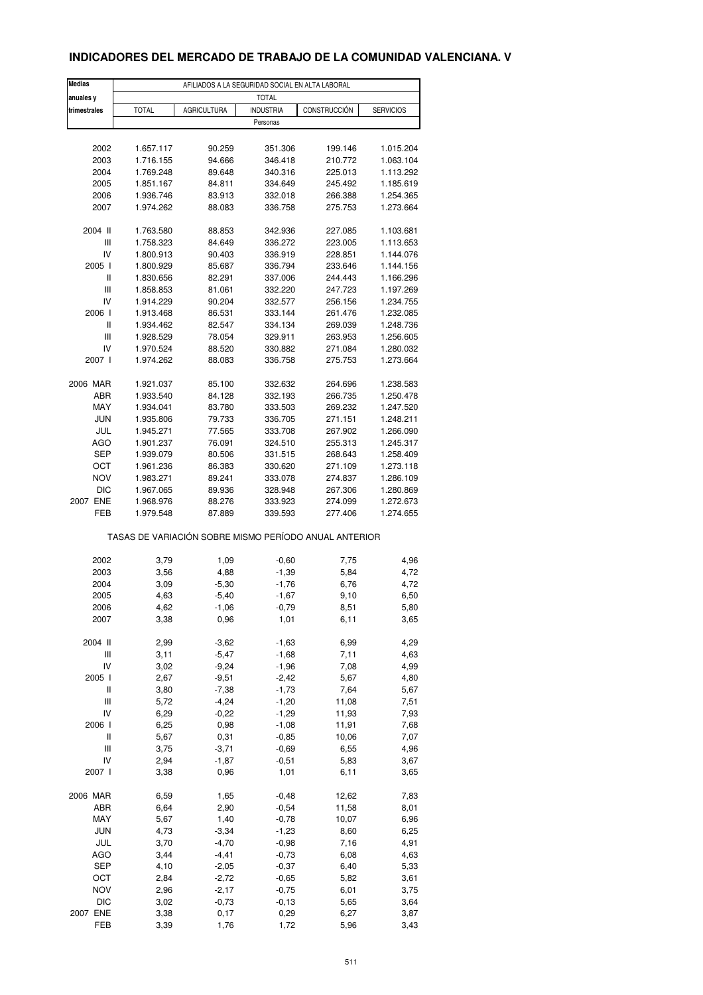# **INDICADORES DEL MERCADO DE TRABAJO DE LA COMUNIDAD VALENCIANA. V**

| Medias                                                | AFILIADOS A LA SEGURIDAD SOCIAL EN ALTA LABORAL |                    |                  |              |                  |  |  |
|-------------------------------------------------------|-------------------------------------------------|--------------------|------------------|--------------|------------------|--|--|
| anuales y                                             |                                                 |                    | <b>TOTAL</b>     |              |                  |  |  |
| trimestrales                                          | <b>TOTAL</b>                                    | <b>AGRICULTURA</b> | <b>INDUSTRIA</b> | CONSTRUCCIÓN | <b>SERVICIOS</b> |  |  |
|                                                       |                                                 |                    | Personas         |              |                  |  |  |
|                                                       |                                                 |                    |                  |              |                  |  |  |
| 2002                                                  | 1.657.117                                       | 90.259             | 351.306          | 199.146      | 1.015.204        |  |  |
| 2003                                                  | 1.716.155                                       | 94.666             | 346.418          | 210.772      | 1.063.104        |  |  |
| 2004                                                  | 1.769.248                                       | 89.648             | 340.316          | 225.013      | 1.113.292        |  |  |
| 2005                                                  | 1.851.167                                       | 84.811             | 334.649          | 245.492      | 1.185.619        |  |  |
| 2006                                                  | 1.936.746                                       | 83.913             | 332.018          | 266.388      | 1.254.365        |  |  |
| 2007                                                  | 1.974.262                                       | 88.083             | 336.758          | 275.753      | 1.273.664        |  |  |
| 2004 II                                               | 1.763.580                                       | 88.853             | 342.936          | 227.085      | 1.103.681        |  |  |
| Ш                                                     | 1.758.323                                       | 84.649             | 336.272          | 223.005      | 1.113.653        |  |  |
| IV                                                    | 1.800.913                                       | 90.403             | 336.919          | 228.851      | 1.144.076        |  |  |
| 2005                                                  | 1.800.929                                       | 85.687             | 336.794          | 233.646      | 1.144.156        |  |  |
| Ш                                                     | 1.830.656                                       | 82.291             | 337.006          | 244.443      | 1.166.296        |  |  |
| $\mathbf{III}$                                        | 1.858.853                                       | 81.061             | 332.220          | 247.723      | 1.197.269        |  |  |
| IV                                                    | 1.914.229                                       | 90.204             | 332.577          | 256.156      | 1.234.755        |  |  |
| 2006 l                                                | 1.913.468                                       | 86.531             | 333.144          | 261.476      | 1.232.085        |  |  |
| Ш                                                     | 1.934.462                                       | 82.547             | 334.134          | 269.039      | 1.248.736        |  |  |
| Ш                                                     | 1.928.529                                       | 78.054             | 329.911          | 263.953      | 1.256.605        |  |  |
| IV                                                    | 1.970.524                                       | 88.520             | 330.882          | 271.084      | 1.280.032        |  |  |
| 2007 l                                                | 1.974.262                                       | 88.083             | 336.758          | 275.753      | 1.273.664        |  |  |
| 2006 MAR                                              | 1.921.037                                       | 85.100             | 332.632          | 264.696      | 1.238.583        |  |  |
| ABR                                                   | 1.933.540                                       | 84.128             | 332.193          | 266.735      | 1.250.478        |  |  |
| MAY                                                   | 1.934.041                                       | 83.780             | 333.503          | 269.232      | 1.247.520        |  |  |
| <b>JUN</b>                                            | 1.935.806                                       | 79.733             | 336.705          | 271.151      | 1.248.211        |  |  |
| JUL                                                   | 1.945.271                                       | 77.565             | 333.708          | 267.902      | 1.266.090        |  |  |
| AGO                                                   | 1.901.237                                       | 76.091             | 324.510          | 255.313      | 1.245.317        |  |  |
| <b>SEP</b>                                            | 1.939.079                                       | 80.506             | 331.515          | 268.643      | 1.258.409        |  |  |
| OCT                                                   | 1.961.236                                       | 86.383             | 330.620          | 271.109      | 1.273.118        |  |  |
| <b>NOV</b>                                            | 1.983.271                                       | 89.241             | 333.078          | 274.837      | 1.286.109        |  |  |
| DIC                                                   | 1.967.065                                       | 89.936             | 328.948          | 267.306      | 1.280.869        |  |  |
| 2007 ENE                                              | 1.968.976                                       | 88.276             | 333.923          | 274.099      | 1.272.673        |  |  |
| FEB                                                   | 1.979.548                                       | 87.889             | 339.593          | 277.406      | 1.274.655        |  |  |
| TASAS DE VARIACIÓN SOBRE MISMO PERÍODO ANUAL ANTERIOR |                                                 |                    |                  |              |                  |  |  |
| 2002                                                  | 3,79                                            | 1,09               | $-0,60$          | 7,75         | 4,96             |  |  |
| 2003                                                  | 3,56                                            | 4,88               | $-1,39$          | 5,84         | 4,72             |  |  |
| 2004                                                  | 3,09                                            | $-5,30$            | $-1,76$          | 6,76         | 4,72             |  |  |
| 2005                                                  | 4,63                                            | $-5,40$            | $-1,67$          | 9,10         | 6,50             |  |  |
| 2006                                                  | 4,62                                            | -1,06              | $-0,79$          | 8,51         | 5,80             |  |  |
| 2007                                                  | 3,38                                            | 0,96               | 1,01             | 6,11         | 3,65             |  |  |
|                                                       |                                                 |                    |                  |              |                  |  |  |
| 2004 II                                               | 2,99                                            | $-3,62$            | $-1,63$          | 6,99         | 4,29             |  |  |
| Ш                                                     | 3,11                                            | $-5,47$            | $-1,68$          | 7,11         | 4,63             |  |  |
| IV                                                    | 3,02                                            | $-9,24$            | $-1,96$          | 7,08         | 4,99             |  |  |
| 2005 l                                                | 2,67                                            | $-9,51$            | $-2,42$          | 5,67         | 4,80             |  |  |
| Ш                                                     | 3,80                                            | $-7,38$            | $-1,73$          | 7,64         | 5,67             |  |  |
| Ш                                                     | 5,72                                            | $-4,24$            | $-1,20$          | 11,08        | 7,51             |  |  |
| IV                                                    | 6,29                                            | $-0,22$            | $-1,29$          | 11,93        | 7,93             |  |  |
| 2006 l                                                | 6,25                                            | 0,98               | $-1,08$          | 11,91        | 7,68             |  |  |
| Ш                                                     | 5,67                                            | 0,31               | $-0,85$          | 10,06        | 7,07             |  |  |
| Ш                                                     | 3,75                                            | $-3,71$            | $-0,69$          | 6,55         | 4,96             |  |  |
| IV<br>2007 l                                          | 2,94<br>3,38                                    | $-1,87$<br>0,96    | $-0,51$<br>1,01  | 5,83<br>6,11 | 3,67<br>3,65     |  |  |
|                                                       |                                                 |                    |                  |              |                  |  |  |
| 2006 MAR                                              | 6,59                                            | 1,65               | $-0,48$          | 12,62        | 7,83             |  |  |
| ABR                                                   | 6,64                                            | 2,90               | $-0,54$          | 11,58        | 8,01             |  |  |
| MAY                                                   | 5,67                                            | 1,40               | $-0,78$          | 10,07        | 6,96             |  |  |
| <b>JUN</b>                                            | 4,73                                            | $-3,34$            | $-1,23$          | 8,60         | 6,25             |  |  |
| JUL                                                   | 3,70                                            | $-4,70$            | $-0,98$          | 7,16         | 4,91             |  |  |
| AGO                                                   | 3,44                                            | $-4,41$            | $-0,73$          | 6,08         | 4,63             |  |  |
| <b>SEP</b>                                            | 4,10                                            | $-2,05$            | $-0,37$          | 6,40         | 5,33             |  |  |
| OCT                                                   | 2,84                                            | $-2,72$            | $-0,65$          | 5,82         | 3,61             |  |  |
| <b>NOV</b>                                            | 2,96                                            | $-2,17$            | $-0,75$          | 6,01         | 3,75             |  |  |
| <b>DIC</b>                                            | 3,02                                            | $-0,73$            | $-0, 13$         | 5,65         | 3,64             |  |  |
| 2007 ENE                                              | 3,38                                            | 0,17               | 0,29             | 6,27         | 3,87             |  |  |
| FEB                                                   | 3,39                                            | 1,76               | 1,72             | 5,96         | 3,43             |  |  |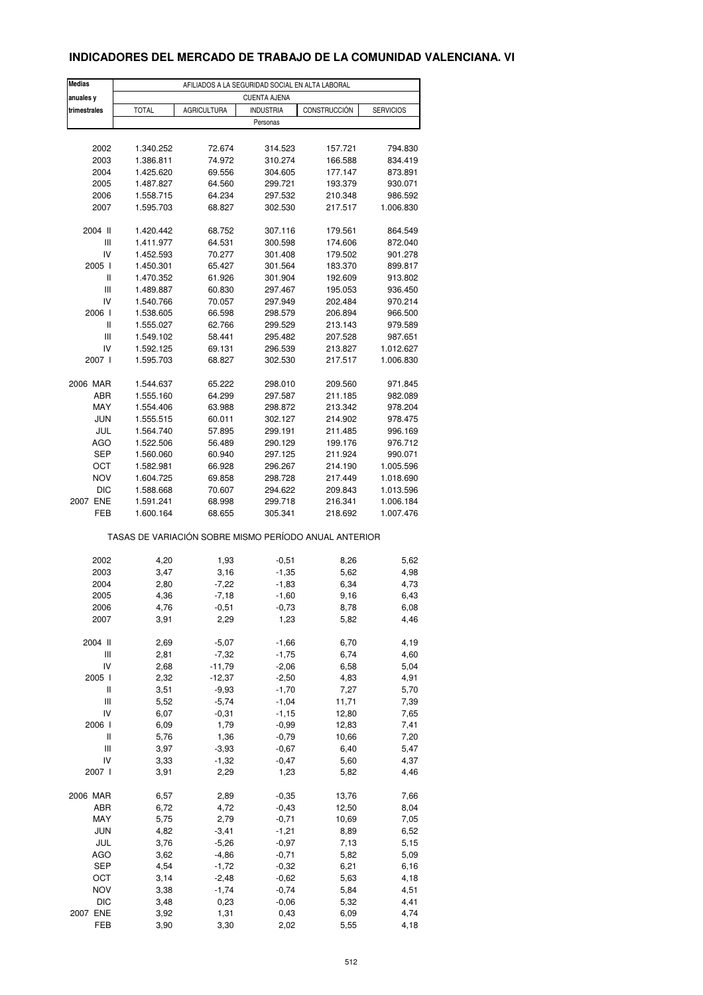# **INDICADORES DEL MERCADO DE TRABAJO DE LA COMUNIDAD VALENCIANA. VI**

| <b>Medias</b><br>anuales y                            | AFILIADOS A LA SEGURIDAD SOCIAL EN ALTA LABORAL<br><b>CUENTA AJENA</b> |                    |                              |              |                  |  |  |
|-------------------------------------------------------|------------------------------------------------------------------------|--------------------|------------------------------|--------------|------------------|--|--|
|                                                       |                                                                        |                    |                              |              |                  |  |  |
| trimestrales                                          | <b>TOTAL</b>                                                           | <b>AGRICULTURA</b> | <b>INDUSTRIA</b><br>Personas | CONSTRUCCIÓN | <b>SERVICIOS</b> |  |  |
|                                                       |                                                                        |                    |                              |              |                  |  |  |
| 2002                                                  | 1.340.252                                                              | 72.674             | 314.523                      | 157.721      | 794.830          |  |  |
| 2003                                                  | 1.386.811                                                              | 74.972             | 310.274                      | 166.588      | 834.419          |  |  |
| 2004                                                  | 1.425.620                                                              | 69.556             | 304.605                      | 177.147      | 873.891          |  |  |
| 2005                                                  | 1.487.827                                                              | 64.560             | 299.721                      | 193.379      | 930.071          |  |  |
| 2006                                                  | 1.558.715                                                              | 64.234             | 297.532                      | 210.348      | 986.592          |  |  |
| 2007                                                  | 1.595.703                                                              | 68.827             | 302.530                      | 217.517      | 1.006.830        |  |  |
|                                                       |                                                                        |                    |                              |              |                  |  |  |
| 2004 II                                               | 1.420.442                                                              | 68.752             | 307.116                      | 179.561      | 864.549          |  |  |
| Ш                                                     | 1.411.977                                                              | 64.531             | 300.598                      | 174.606      | 872.040          |  |  |
| IV                                                    | 1.452.593                                                              | 70.277             | 301.408                      | 179.502      | 901.278          |  |  |
| 2005 l                                                | 1.450.301                                                              | 65.427             | 301.564                      | 183.370      | 899.817          |  |  |
| Ш                                                     | 1.470.352                                                              | 61.926             | 301.904                      | 192.609      | 913.802          |  |  |
| Ш                                                     | 1.489.887                                                              | 60.830             | 297.467                      | 195.053      | 936.450          |  |  |
| IV                                                    | 1.540.766                                                              | 70.057             | 297.949                      | 202.484      | 970.214          |  |  |
| 2006                                                  | 1.538.605                                                              | 66.598             | 298.579                      | 206.894      | 966.500          |  |  |
| Ш                                                     | 1.555.027                                                              | 62.766             | 299.529                      | 213.143      | 979.589          |  |  |
| $\ensuremath{\mathsf{III}}\xspace$                    | 1.549.102                                                              | 58.441             | 295.482                      | 207.528      | 987.651          |  |  |
| IV                                                    | 1.592.125                                                              | 69.131             | 296.539                      | 213.827      | 1.012.627        |  |  |
| 2007 l                                                | 1.595.703                                                              | 68.827             | 302.530                      | 217.517      | 1.006.830        |  |  |
|                                                       |                                                                        |                    |                              |              |                  |  |  |
| 2006 MAR                                              | 1.544.637                                                              | 65.222             | 298.010                      | 209.560      | 971.845          |  |  |
| ABR                                                   | 1.555.160                                                              | 64.299             | 297.587                      | 211.185      | 982.089          |  |  |
| MAY                                                   | 1.554.406                                                              | 63.988             | 298.872                      | 213.342      | 978.204          |  |  |
| <b>JUN</b>                                            | 1.555.515                                                              | 60.011             | 302.127                      | 214.902      | 978.475          |  |  |
| JUL                                                   | 1.564.740                                                              | 57.895             | 299.191                      | 211.485      | 996.169          |  |  |
| <b>AGO</b>                                            | 1.522.506                                                              | 56.489             | 290.129                      | 199.176      | 976.712          |  |  |
| <b>SEP</b>                                            | 1.560.060                                                              | 60.940             | 297.125                      | 211.924      | 990.071          |  |  |
| ОСТ                                                   | 1.582.981                                                              | 66.928             | 296.267                      | 214.190      | 1.005.596        |  |  |
| <b>NOV</b>                                            | 1.604.725                                                              | 69.858             | 298.728                      | 217.449      | 1.018.690        |  |  |
| <b>DIC</b>                                            | 1.588.668                                                              | 70.607             | 294.622                      | 209.843      | 1.013.596        |  |  |
| 2007 ENE                                              | 1.591.241                                                              | 68.998             | 299.718                      | 216.341      | 1.006.184        |  |  |
| FEB                                                   | 1.600.164                                                              | 68.655             | 305.341                      | 218.692      | 1.007.476        |  |  |
| TASAS DE VARIACIÓN SOBRE MISMO PERÍODO ANUAL ANTERIOR |                                                                        |                    |                              |              |                  |  |  |
|                                                       |                                                                        |                    |                              |              |                  |  |  |
| 2002                                                  | 4,20                                                                   | 1,93               | $-0,51$                      | 8,26         | 5,62             |  |  |
| 2003                                                  | 3,47                                                                   | 3,16               | $-1,35$                      | 5,62         | 4,98             |  |  |
| 2004                                                  | 2,80                                                                   | $-7,22$            | $-1,83$                      | 6,34         | 4,73             |  |  |
| 2005                                                  | 4,36                                                                   | $-7,18$            | $-1,60$                      | 9,16         | 6,43             |  |  |
| 2006                                                  | 4,76                                                                   | $-0,51$            | $-0,73$                      | 8,78         | 6,08             |  |  |
| 2007                                                  | 3,91                                                                   | 2,29               | 1,23                         | 5,82         | 4,46             |  |  |
| 2004 II                                               | 2,69                                                                   | $-5,07$            | $-1,66$                      | 6,70         | 4,19             |  |  |
| Ш                                                     | 2,81                                                                   | $-7,32$            | $-1,75$                      | 6,74         | 4,60             |  |  |
| IV                                                    | 2,68                                                                   | $-11,79$           | $-2,06$                      | 6,58         | 5,04             |  |  |
|                                                       |                                                                        |                    |                              |              |                  |  |  |
| 2005 l<br>$\sf II$                                    | 2,32                                                                   | $-12,37$           | $-2,50$                      | 4,83         | 4,91             |  |  |
|                                                       | 3,51                                                                   | $-9,93$            | $-1,70$                      | 7,27         | 5,70             |  |  |
| Ш                                                     | 5,52                                                                   | $-5,74$            | $-1,04$                      | 11,71        | 7,39             |  |  |
| IV                                                    | 6,07                                                                   | $-0,31$            | $-1,15$                      | 12,80        | 7,65             |  |  |
| 2006                                                  | 6,09                                                                   | 1,79               | $-0,99$                      | 12,83        | 7,41             |  |  |
| $\sf II$                                              | 5,76                                                                   | 1,36               | $-0,79$                      | 10,66        | 7,20             |  |  |
| Ш                                                     | 3,97                                                                   | $-3,93$            | $-0,67$                      | 6,40         | 5,47             |  |  |
| IV                                                    | 3,33                                                                   | $-1,32$            | $-0,47$                      | 5,60         | 4,37             |  |  |
| 2007 l                                                | 3,91                                                                   | 2,29               | 1,23                         | 5,82         | 4,46             |  |  |
| 2006 MAR                                              |                                                                        |                    |                              |              |                  |  |  |
|                                                       | 6,57                                                                   | 2,89               | $-0,35$                      | 13,76        | 7,66             |  |  |
| ABR                                                   | 6,72                                                                   | 4,72               | $-0,43$                      | 12,50        | 8,04             |  |  |
| MAY                                                   | 5,75                                                                   | 2,79               | $-0,71$                      | 10,69        | 7,05             |  |  |
| <b>JUN</b>                                            | 4,82                                                                   | $-3,41$            | $-1,21$                      | 8,89         | 6,52             |  |  |
| JUL                                                   | 3,76                                                                   | $-5,26$            | $-0,97$                      | 7,13         | 5,15             |  |  |
| <b>AGO</b>                                            | 3,62                                                                   | $-4,86$            | $-0,71$                      | 5,82         | 5,09             |  |  |
| <b>SEP</b>                                            | 4,54                                                                   | $-1,72$            | $-0,32$                      | 6,21         | 6,16             |  |  |
| OCT                                                   | 3,14                                                                   | $-2,48$            | $-0,62$                      | 5,63         | 4,18             |  |  |
| <b>NOV</b>                                            | 3,38                                                                   | $-1,74$            | $-0,74$                      | 5,84         | 4,51             |  |  |
| <b>DIC</b>                                            | 3,48                                                                   | 0,23               | $-0,06$                      | 5,32         | 4,41             |  |  |
| 2007 ENE                                              | 3,92                                                                   | 1,31               | 0,43                         | 6,09         | 4,74             |  |  |
| FEB                                                   | 3,90                                                                   | 3,30               | 2,02                         | 5,55         | 4,18             |  |  |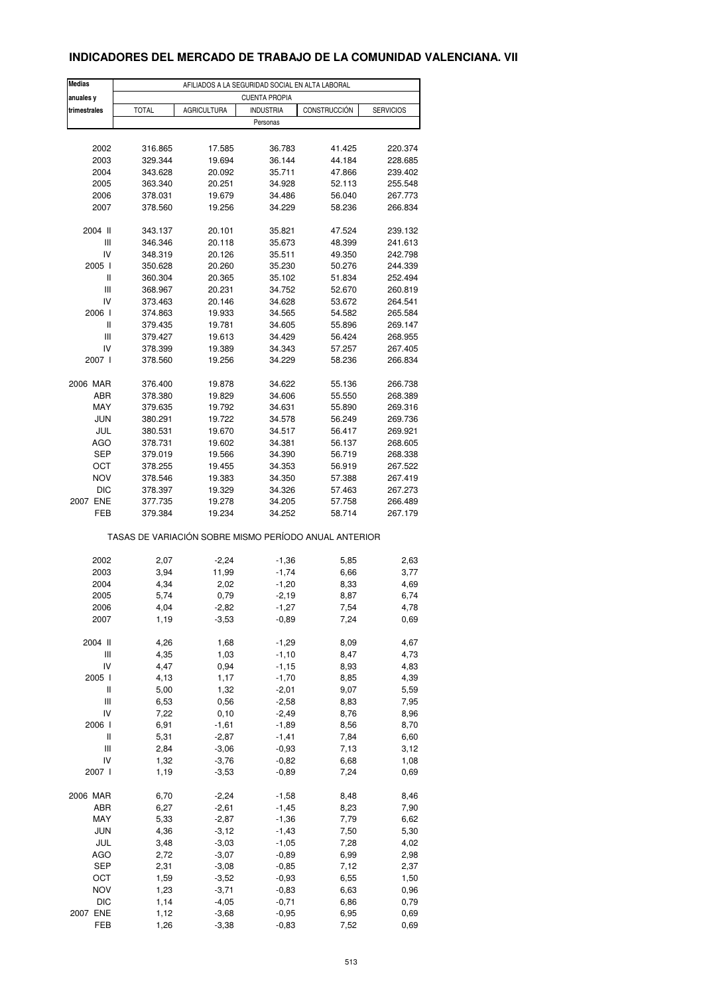# **INDICADORES DEL MERCADO DE TRABAJO DE LA COMUNIDAD VALENCIANA. VII**

| <b>Medias</b>                      | AFILIADOS A LA SEGURIDAD SOCIAL EN ALTA LABORAL |                    |                                                       |              |                  |  |  |
|------------------------------------|-------------------------------------------------|--------------------|-------------------------------------------------------|--------------|------------------|--|--|
| anuales y                          | <b>CUENTA PROPIA</b>                            |                    |                                                       |              |                  |  |  |
| trimestrales                       | <b>TOTAL</b>                                    | <b>AGRICULTURA</b> | <b>INDUSTRIA</b>                                      | CONSTRUCCIÓN | <b>SERVICIOS</b> |  |  |
|                                    |                                                 |                    | Personas                                              |              |                  |  |  |
|                                    |                                                 |                    |                                                       |              |                  |  |  |
| 2002                               | 316.865                                         | 17.585             | 36.783                                                | 41.425       | 220.374          |  |  |
| 2003                               | 329.344                                         | 19.694             | 36.144                                                | 44.184       | 228.685          |  |  |
| 2004                               | 343.628                                         | 20.092             | 35.711                                                | 47.866       | 239.402          |  |  |
| 2005                               | 363.340                                         | 20.251             | 34.928                                                | 52.113       | 255.548          |  |  |
| 2006                               | 378.031                                         | 19.679             | 34.486                                                | 56.040       | 267.773          |  |  |
| 2007                               | 378.560                                         | 19.256             | 34.229                                                | 58.236       | 266.834          |  |  |
| 2004 II                            | 343.137                                         | 20.101             | 35.821                                                | 47.524       | 239.132          |  |  |
| Ш                                  | 346.346                                         | 20.118             | 35.673                                                | 48.399       | 241.613          |  |  |
| IV                                 | 348.319                                         | 20.126             | 35.511                                                | 49.350       | 242.798          |  |  |
| 2005 l                             | 350.628                                         | 20.260             | 35.230                                                | 50.276       | 244.339          |  |  |
| Ш                                  | 360.304                                         | 20.365             | 35.102                                                | 51.834       | 252.494          |  |  |
| $\ensuremath{\mathsf{III}}\xspace$ | 368.967                                         | 20.231             | 34.752                                                | 52.670       | 260.819          |  |  |
| IV                                 |                                                 |                    |                                                       |              |                  |  |  |
|                                    | 373.463                                         | 20.146             | 34.628                                                | 53.672       | 264.541          |  |  |
| 2006                               | 374.863                                         | 19.933             | 34.565                                                | 54.582       | 265.584          |  |  |
| Ш                                  | 379.435                                         | 19.781             | 34.605                                                | 55.896       | 269.147          |  |  |
| Ш                                  | 379.427                                         | 19.613             | 34.429                                                | 56.424       | 268.955          |  |  |
| IV                                 | 378.399                                         | 19.389             | 34.343                                                | 57.257       | 267.405          |  |  |
| 2007 l                             | 378.560                                         | 19.256             | 34.229                                                | 58.236       | 266.834          |  |  |
| 2006 MAR                           | 376.400                                         | 19.878             | 34.622                                                | 55.136       | 266.738          |  |  |
| ABR                                | 378.380                                         | 19.829             | 34.606                                                | 55.550       | 268.389          |  |  |
| MAY                                | 379.635                                         | 19.792             | 34.631                                                | 55.890       | 269.316          |  |  |
| <b>JUN</b>                         | 380.291                                         | 19.722             | 34.578                                                | 56.249       | 269.736          |  |  |
| JUL                                | 380.531                                         | 19.670             | 34.517                                                | 56.417       | 269.921          |  |  |
| AGO                                | 378.731                                         | 19.602             | 34.381                                                | 56.137       | 268.605          |  |  |
| <b>SEP</b>                         | 379.019                                         | 19.566             | 34.390                                                | 56.719       | 268.338          |  |  |
|                                    |                                                 |                    |                                                       |              |                  |  |  |
| ОСТ                                | 378.255                                         | 19.455             | 34.353                                                | 56.919       | 267.522          |  |  |
| <b>NOV</b>                         | 378.546                                         | 19.383             | 34.350                                                | 57.388       | 267.419          |  |  |
| <b>DIC</b>                         | 378.397                                         | 19.329             | 34.326                                                | 57.463       | 267.273          |  |  |
| 2007 ENE                           | 377.735                                         | 19.278             | 34.205                                                | 57.758       | 266.489          |  |  |
| FEB                                | 379.384                                         | 19.234             | 34.252                                                | 58.714       | 267.179          |  |  |
|                                    |                                                 |                    | TASAS DE VARIACIÓN SOBRE MISMO PERÍODO ANUAL ANTERIOR |              |                  |  |  |
| 2002                               | 2,07                                            | $-2,24$            | $-1,36$                                               | 5,85         | 2,63             |  |  |
| 2003                               | 3,94                                            | 11,99              | $-1,74$                                               | 6,66         | 3,77             |  |  |
| 2004                               | 4,34                                            | 2,02               | $-1,20$                                               | 8,33         | 4,69             |  |  |
| 2005                               | 5,74                                            | 0,79               | $-2,19$                                               |              | 6,74             |  |  |
|                                    |                                                 |                    |                                                       | 8,87         |                  |  |  |
| 2006<br>2007                       | 4,04<br>1,19                                    | $-2,82$<br>$-3,53$ | -1,27<br>$-0,89$                                      | 7,54<br>7,24 | 4,78<br>0,69     |  |  |
|                                    |                                                 |                    |                                                       |              |                  |  |  |
| 2004 II                            | 4,26                                            | 1,68               | $-1,29$                                               | 8,09         | 4,67             |  |  |
| $\ensuremath{\mathsf{III}}\xspace$ | 4,35                                            | 1,03               | $-1,10$                                               | 8,47         | 4,73             |  |  |
| IV                                 | 4,47                                            | 0,94               | $-1,15$                                               | 8,93         | 4,83             |  |  |
| 2005 l                             | 4,13                                            | 1,17               | $-1,70$                                               | 8,85         | 4,39             |  |  |
| Ш                                  | 5,00                                            | 1,32               | $-2,01$                                               | 9,07         | 5,59             |  |  |
| Ш                                  | 6,53                                            | 0,56               | $-2,58$                                               | 8,83         | 7,95             |  |  |
| IV                                 | 7,22                                            | 0, 10              | $-2,49$                                               | 8,76         | 8,96             |  |  |
| 2006                               | 6,91                                            | $-1,61$            | $-1,89$                                               | 8,56         | 8,70             |  |  |
| Ш                                  | 5,31                                            | $-2,87$            | $-1,41$                                               | 7,84         | 6,60             |  |  |
| $\ensuremath{\mathsf{III}}\xspace$ | 2,84                                            | $-3,06$            | $-0,93$                                               | 7,13         | 3,12             |  |  |
| IV                                 | 1,32                                            | $-3,76$            | $-0,82$                                               | 6,68         | 1,08             |  |  |
| 2007 l                             | 1,19                                            | $-3,53$            | $-0,89$                                               | 7,24         | 0,69             |  |  |
|                                    |                                                 |                    |                                                       |              |                  |  |  |
| 2006 MAR                           | 6,70                                            | $-2,24$            | $-1,58$                                               | 8,48         | 8,46             |  |  |
| ABR                                | 6,27                                            | $-2,61$            | $-1,45$                                               | 8,23         | 7,90             |  |  |
| MAY                                | 5,33                                            | $-2,87$            | $-1,36$                                               | 7,79         | 6,62             |  |  |
| <b>JUN</b>                         | 4,36                                            | $-3,12$            | $-1,43$                                               | 7,50         | 5,30             |  |  |
| JUL                                | 3,48                                            | $-3,03$            | $-1,05$                                               | 7,28         | 4,02             |  |  |
| <b>AGO</b>                         | 2,72                                            | $-3,07$            | $-0,89$                                               | 6,99         | 2,98             |  |  |
| SEP                                | 2,31                                            | $-3,08$            | $-0,85$                                               | 7,12         | 2,37             |  |  |
| OCT                                | 1,59                                            | $-3,52$            | $-0,93$                                               | 6,55         | 1,50             |  |  |
| <b>NOV</b>                         | 1,23                                            | $-3,71$            | $-0,83$                                               | 6,63         | 0,96             |  |  |
| DIC                                | 1,14                                            | $-4,05$            | $-0,71$                                               | 6,86         | 0,79             |  |  |
| 2007 ENE                           | 1,12                                            | $-3,68$            | $-0,95$                                               | 6,95         | 0,69             |  |  |
| FEB                                | 1,26                                            | $-3,38$            | $-0,83$                                               | 7,52         | 0,69             |  |  |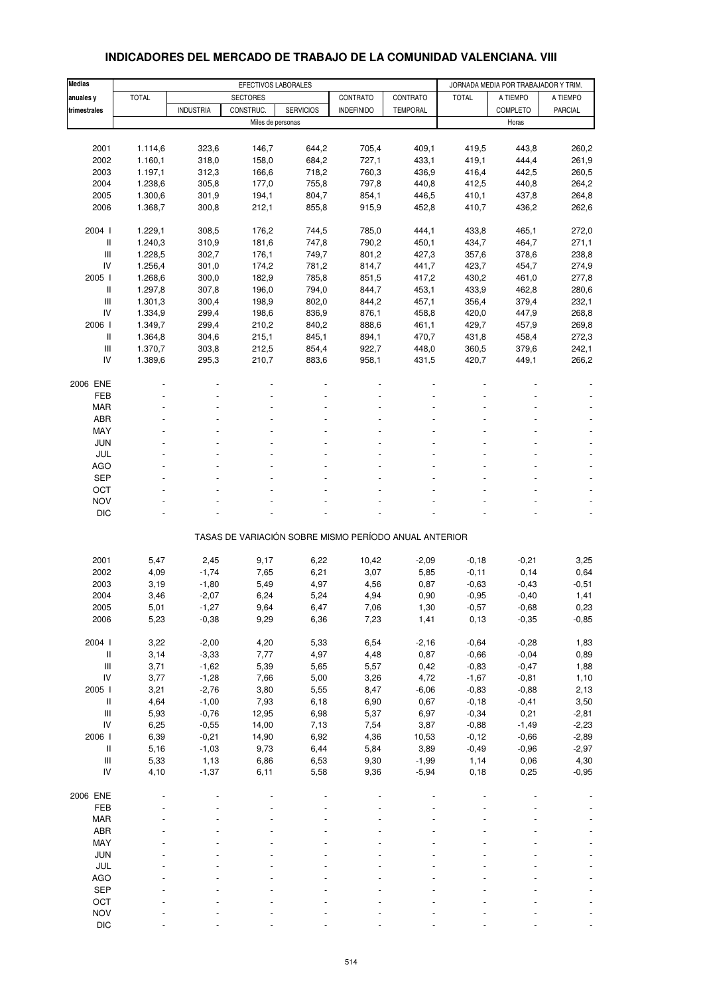| <b>Medias</b>                           |              |                    | EFECTIVOS LABORALES |                  |                                                       |                 |                    | JORNADA MEDIA POR TRABAJADOR Y TRIM. |                |
|-----------------------------------------|--------------|--------------------|---------------------|------------------|-------------------------------------------------------|-----------------|--------------------|--------------------------------------|----------------|
| anuales y                               | <b>TOTAL</b> |                    | <b>SECTORES</b>     |                  | CONTRATO                                              | CONTRATO        | <b>TOTAL</b>       | A TIEMPO                             | A TIEMPO       |
| trimestrales                            |              | <b>INDUSTRIA</b>   | CONSTRUC.           | <b>SERVICIOS</b> | <b>INDEFINIDO</b>                                     | <b>TEMPORAL</b> |                    | <b>COMPLETO</b>                      | <b>PARCIAL</b> |
|                                         |              |                    | Miles de personas   |                  |                                                       |                 |                    | Horas                                |                |
|                                         |              |                    |                     |                  |                                                       |                 |                    |                                      |                |
| 2001                                    | 1.114,6      | 323,6              | 146,7               | 644,2            | 705,4                                                 | 409,1           | 419,5              | 443,8                                | 260,2          |
| 2002                                    | 1.160,1      | 318,0              | 158,0               | 684,2            | 727,1                                                 | 433,1           | 419,1              | 444,4                                | 261,9          |
| 2003                                    | 1.197,1      | 312,3              | 166,6               | 718,2            | 760,3                                                 | 436,9           | 416,4              | 442,5                                | 260,5          |
| 2004                                    | 1.238,6      | 305,8              | 177,0               | 755,8            | 797,8                                                 | 440,8           | 412,5              | 440,8                                | 264,2          |
| 2005                                    | 1.300,6      | 301,9              | 194,1               | 804,7            | 854,1                                                 | 446,5           | 410,1              | 437,8                                | 264,8          |
| 2006                                    | 1.368,7      | 300,8              | 212,1               | 855,8            | 915,9                                                 | 452,8           | 410,7              | 436,2                                | 262,6          |
| 2004 l                                  | 1.229,1      | 308,5              | 176,2               | 744,5            | 785,0                                                 | 444,1           | 433,8              | 465,1                                | 272,0          |
| Ш                                       | 1.240,3      | 310,9              | 181,6               | 747,8            | 790,2                                                 | 450,1           | 434,7              | 464,7                                | 271,1          |
| Ш                                       | 1.228,5      | 302,7              | 176,1               | 749,7            | 801,2                                                 | 427,3           | 357,6              | 378,6                                | 238,8          |
| IV                                      | 1.256,4      | 301,0              | 174,2               | 781,2            | 814,7                                                 | 441,7           | 423,7              | 454,7                                | 274,9          |
| 2005 l                                  | 1.268,6      | 300,0              | 182,9               | 785,8            | 851,5                                                 | 417,2           | 430,2              | 461,0                                | 277,8          |
| Ш                                       | 1.297,8      | 307,8              | 196,0               | 794,0            | 844,7                                                 | 453,1           | 433,9              | 462,8                                | 280,6          |
| Ш                                       | 1.301,3      | 300,4              | 198,9               | 802,0            | 844,2                                                 | 457,1           | 356,4              | 379,4                                | 232,1          |
| IV                                      | 1.334,9      | 299,4              | 198,6               | 836,9            | 876,1                                                 | 458,8           | 420,0              | 447,9                                | 268,8          |
| 2006                                    | 1.349,7      | 299,4              | 210,2               | 840,2            | 888,6                                                 | 461,1           | 429,7              | 457,9                                | 269,8          |
| Ш                                       | 1.364,8      | 304,6              | 215,1               | 845,1            | 894,1                                                 | 470,7           | 431,8              | 458,4                                | 272,3          |
| Ш                                       | 1.370,7      | 303,8              | 212,5               | 854,4            | 922,7                                                 | 448,0           | 360,5              | 379,6                                | 242,1          |
| IV                                      | 1.389,6      | 295,3              | 210,7               | 883,6            | 958,1                                                 | 431,5           | 420,7              | 449,1                                | 266,2          |
| 2006 ENE                                |              |                    |                     |                  |                                                       |                 |                    |                                      |                |
| <b>FEB</b>                              |              |                    |                     |                  |                                                       |                 |                    |                                      |                |
| <b>MAR</b>                              |              |                    |                     |                  |                                                       |                 |                    |                                      |                |
| ABR                                     |              |                    |                     |                  |                                                       |                 |                    |                                      |                |
| MAY                                     |              |                    |                     |                  |                                                       |                 |                    |                                      |                |
| <b>JUN</b>                              |              |                    |                     |                  |                                                       |                 |                    |                                      |                |
| JUL                                     |              |                    |                     |                  |                                                       |                 |                    |                                      |                |
| <b>AGO</b>                              |              |                    |                     |                  |                                                       |                 |                    |                                      |                |
| <b>SEP</b>                              |              |                    |                     |                  |                                                       |                 |                    |                                      |                |
| OCT                                     |              |                    |                     |                  |                                                       |                 |                    |                                      |                |
| <b>NOV</b>                              |              |                    |                     |                  |                                                       |                 |                    |                                      |                |
| <b>DIC</b>                              |              |                    |                     |                  |                                                       |                 |                    |                                      | ÷,             |
|                                         |              |                    |                     |                  | TASAS DE VARIACIÓN SOBRE MISMO PERÍODO ANUAL ANTERIOR |                 |                    |                                      |                |
|                                         |              |                    |                     |                  |                                                       |                 |                    |                                      |                |
| 2001                                    | 5,47         | 2,45               | 9,17                | 6,22             | 10,42                                                 | $-2,09$         | $-0,18$            | $-0,21$                              | 3,25           |
| 2002                                    | 4,09         | $-1,74$            | 7,65                | 6,21             | 3,07                                                  | 5,85            | $-0,11$            | 0,14                                 | 0,64           |
| 2003                                    | 3,19         | $-1,80$            | 5,49                | 4,97             | 4,56                                                  | 0,87            | $-0,63$            | $-0,43$                              | $-0,51$        |
| 2004                                    | 3,46         | $-2,07$            | 6,24                | 5,24             | 4,94                                                  | 0,90            | $-0,95$            | $-0,40$                              | 1,41           |
| 2005                                    | 5,01         | $-1,27$            | 9,64                | 6,47             | 7,06                                                  | 1,30            | $-0,57$            | $-0,68$                              | 0,23           |
| 2006                                    | 5,23         | $-0,38$            | 9,29                | 6,36             | 7,23                                                  | 1,41            | 0, 13              | $-0,35$                              | $-0,85$        |
|                                         |              |                    |                     |                  |                                                       |                 |                    |                                      |                |
| 2004 l                                  | 3,22         | $-2,00$            | 4,20                | 5,33             | 6,54                                                  | $-2,16$         | $-0,64$            | $-0,28$                              | 1,83           |
| Ш<br>$\ensuremath{\mathsf{III}}\xspace$ | 3,14<br>3,71 | $-3,33$<br>$-1,62$ | 7,77<br>5,39        | 4,97<br>5,65     | 4,48<br>5,57                                          | 0,87<br>0,42    | $-0,66$<br>$-0,83$ | $-0,04$<br>$-0,47$                   | 0,89           |
| IV                                      | 3,77         | $-1,28$            | 7,66                | 5,00             | 3,26                                                  | 4,72            | $-1,67$            | $-0,81$                              | 1,88<br>1,10   |
| 2005 l                                  | 3,21         | $-2,76$            | 3,80                | 5,55             | 8,47                                                  | $-6,06$         | $-0,83$            | $-0,88$                              | 2,13           |
| Ш                                       | 4,64         | $-1,00$            | 7,93                | 6,18             | 6,90                                                  | 0,67            | $-0,18$            | $-0,41$                              | 3,50           |
| $\ensuremath{\mathsf{III}}\xspace$      | 5,93         | $-0,76$            | 12,95               | 6,98             | 5,37                                                  | 6,97            | $-0,34$            | 0,21                                 | $-2,81$        |
| IV                                      | 6,25         | $-0,55$            | 14,00               | 7,13             | 7,54                                                  | 3,87            | $-0,88$            | $-1,49$                              | $-2,23$        |
| 2006                                    | 6,39         | $-0,21$            | 14,90               | 6,92             | 4,36                                                  | 10,53           | $-0,12$            | $-0,66$                              | $-2,89$        |
| $\, \parallel$                          | 5,16         | $-1,03$            | 9,73                | 6,44             | 5,84                                                  | 3,89            | $-0,49$            | $-0,96$                              | $-2,97$        |
| $\ensuremath{\mathsf{III}}\xspace$      | 5,33         | 1,13               | 6,86                | 6,53             | 9,30                                                  | $-1,99$         | 1,14               | 0,06                                 | 4,30           |
| IV                                      | 4,10         | $-1,37$            | 6,11                | 5,58             | 9,36                                                  | $-5,94$         | 0, 18              | 0,25                                 | $-0,95$        |
|                                         |              |                    |                     |                  |                                                       |                 |                    |                                      |                |
| 2006 ENE<br>FEB                         |              |                    |                     |                  |                                                       |                 |                    |                                      |                |
| <b>MAR</b>                              |              |                    |                     |                  |                                                       |                 |                    |                                      |                |
| ABR                                     |              |                    |                     |                  |                                                       |                 |                    |                                      |                |
| MAY                                     |              |                    |                     |                  |                                                       |                 |                    |                                      |                |
| JUN                                     |              |                    |                     |                  |                                                       |                 |                    |                                      |                |
| JUL                                     |              |                    |                     |                  |                                                       |                 |                    |                                      |                |
| AGO                                     |              |                    |                     |                  |                                                       |                 |                    |                                      |                |
| <b>SEP</b>                              |              |                    |                     |                  |                                                       |                 |                    |                                      |                |
| OCT                                     |              |                    |                     |                  |                                                       |                 |                    |                                      |                |
| <b>NOV</b>                              |              |                    |                     |                  |                                                       |                 |                    |                                      |                |

#### **INDICADORES DEL MERCADO DE TRABAJO DE LA COMUNIDAD VALENCIANA. VIII**

DIC - - - - - - - - -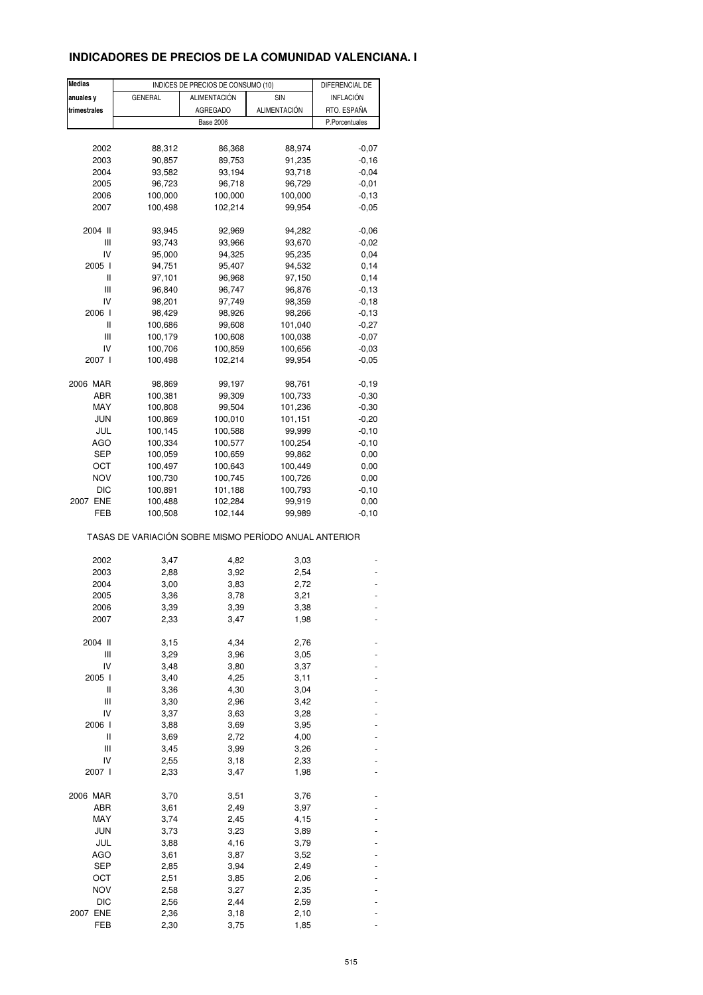# **INDICADORES DE PRECIOS DE LA COMUNIDAD VALENCIANA. I**

| Medias       |                                                       | INDICES DE PRECIOS DE CONSUMO (10) |                     | DIFERENCIAL DE |
|--------------|-------------------------------------------------------|------------------------------------|---------------------|----------------|
| anuales y    | <b>GENERAL</b>                                        | ALIMENTACIÓN                       | SIN                 | INFLACIÓN      |
| trimestrales |                                                       | <b>AGREGADO</b>                    | <b>ALIMENTACIÓN</b> | RTO. ESPAÑA    |
|              |                                                       | <b>Base 2006</b>                   |                     | P.Porcentuales |
|              |                                                       |                                    |                     |                |
| 2002         | 88,312                                                | 86,368                             | 88,974              | $-0,07$        |
| 2003         | 90,857                                                | 89,753                             | 91,235              | $-0,16$        |
| 2004         | 93,582                                                | 93,194                             | 93,718              | $-0,04$        |
| 2005         | 96,723                                                | 96,718                             | 96,729              | $-0,01$        |
| 2006         | 100,000                                               | 100,000                            | 100,000             | $-0,13$        |
| 2007         | 100,498                                               | 102,214                            | 99,954              | $-0,05$        |
|              |                                                       |                                    |                     |                |
| 2004 II      | 93,945                                                | 92,969                             | 94,282              | $-0,06$        |
| Ш            | 93,743                                                | 93,966                             | 93,670              | $-0,02$        |
| IV           | 95,000                                                | 94,325                             | 95,235              | 0,04           |
| 2005 l       | 94,751                                                | 95,407                             | 94,532              | 0,14           |
| Ш            | 97,101                                                | 96,968                             | 97,150              | 0,14           |
| Ш            | 96,840                                                | 96,747                             | 96,876              | $-0, 13$       |
| IV           | 98,201                                                | 97,749                             | 98,359              | $-0,18$        |
| 2006         | 98,429                                                | 98,926                             | 98,266              | $-0,13$        |
| Ш            | 100,686                                               | 99,608                             | 101,040             | $-0,27$        |
| Ш            | 100,179                                               | 100,608                            | 100,038             | $-0,07$        |
| IV           | 100,706                                               | 100,859                            | 100,656             | $-0,03$        |
| 2007 l       | 100,498                                               | 102,214                            | 99,954              | $-0,05$        |
| 2006 MAR     | 98,869                                                | 99,197                             | 98,761              | $-0,19$        |
| ABR          | 100,381                                               | 99,309                             | 100,733             | $-0,30$        |
| MAY          | 100,808                                               | 99,504                             | 101,236             | $-0,30$        |
| <b>JUN</b>   | 100,869                                               | 100,010                            | 101,151             | $-0,20$        |
| JUL          | 100,145                                               | 100,588                            | 99,999              | $-0,10$        |
| AGO          |                                                       | 100,577                            |                     |                |
|              | 100,334                                               |                                    | 100,254             | $-0,10$        |
| SEP          | 100,059                                               | 100,659                            | 99,862              | 0,00           |
| OCT          | 100,497                                               | 100,643                            | 100,449             | 0,00           |
| <b>NOV</b>   | 100,730                                               | 100,745                            | 100,726             | 0,00           |
| DIC          | 100,891                                               | 101,188                            | 100,793             | $-0,10$        |
| 2007 ENE     | 100,488                                               | 102,284                            | 99,919              | 0,00           |
| FEB          | 100,508                                               | 102,144                            | 99,989              | $-0,10$        |
|              | TASAS DE VARIACIÓN SOBRE MISMO PERÍODO ANUAL ANTERIOR |                                    |                     |                |
| 2002         | 3,47                                                  | 4,82                               | 3,03                |                |
| 2003         | 2,88                                                  | 3,92                               | 2,54                |                |
| 2004         | 3,00                                                  | 3,83                               | 2,72                |                |
| 2005         | 3,36                                                  | 3,78                               | 3,21                |                |
| 2006         | 3,39                                                  | 3,39                               | 3,38                |                |
| 2007         | 2,33                                                  | 3,47                               | 1,98                |                |
|              |                                                       |                                    |                     |                |
| 2004 II      | 3,15                                                  | 4,34                               | 2,76                |                |
| Ш            | 3,29                                                  | 3,96                               | 3,05                |                |
| IV           | 3,48                                                  | 3,80                               | 3,37                |                |
| 2005 l       | 3,40                                                  | 4,25                               | 3,11                |                |
| Ш            | 3,36                                                  | 4,30                               | 3,04                |                |
| Ш            | 3,30                                                  | 2,96                               | 3,42                |                |
| IV           | 3,37                                                  | 3,63                               | 3,28                |                |
| 2006 l       | 3,88                                                  | 3,69                               | 3,95                |                |
| Ш            | 3,69                                                  | 2,72                               | 4,00                |                |
| Ш            | 3,45                                                  | 3,99                               | 3,26                |                |
| IV           | 2,55                                                  | 3,18                               | 2,33                |                |
| 2007 l       | 2,33                                                  | 3,47                               | 1,98                |                |
| 2006 MAR     | 3,70                                                  | 3,51                               | 3,76                |                |
| ABR          | 3,61                                                  | 2,49                               | 3,97                |                |
| MAY          | 3,74                                                  | 2,45                               | 4,15                |                |
| JUN          | 3,73                                                  | 3,23                               | 3,89                |                |
| JUL          | 3,88                                                  | 4,16                               | 3,79                |                |
| <b>AGO</b>   | 3,61                                                  | 3,87                               | 3,52                |                |
| SEP          | 2,85                                                  | 3,94                               | 2,49                |                |
| ост          | 2,51                                                  | 3,85                               | 2,06                |                |
| <b>NOV</b>   | 2,58                                                  | 3,27                               | 2,35                |                |
| DIC          | 2,56                                                  | 2,44                               | 2,59                |                |
| 2007 ENE     | 2,36                                                  | 3,18                               | 2,10                |                |
| FEB          | 2,30                                                  | 3,75                               | 1,85                |                |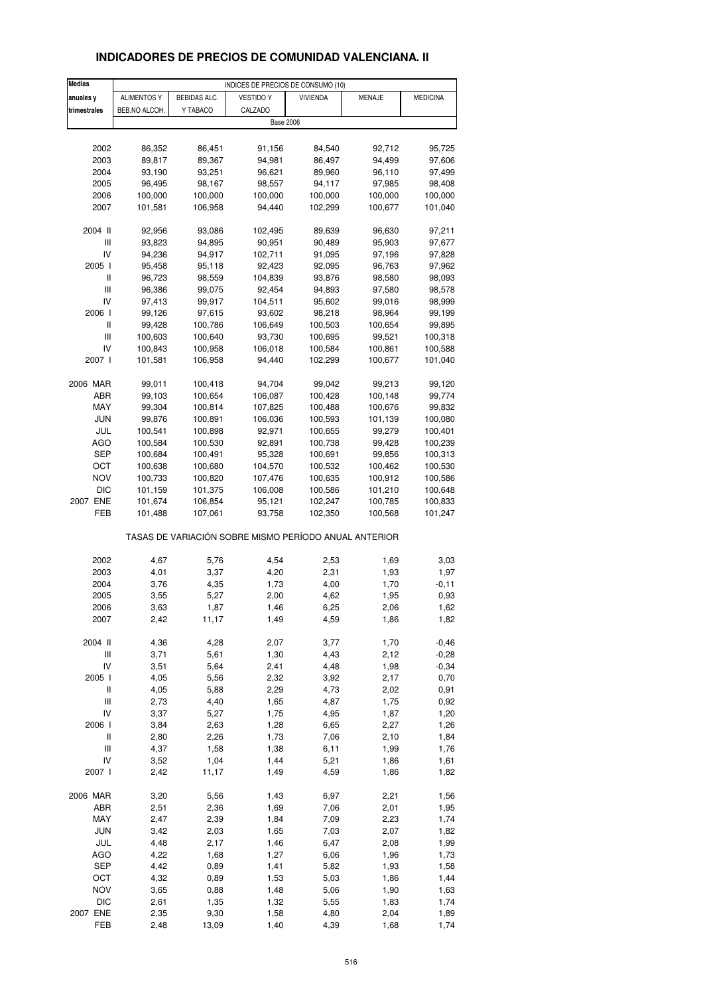# **INDICADORES DE PRECIOS DE COMUNIDAD VALENCIANA. II**

| <b>Medias</b>                                         |                    |                     | INDICES DE PRECIOS DE CONSUMO (10) |                 |         |                 |  |
|-------------------------------------------------------|--------------------|---------------------|------------------------------------|-----------------|---------|-----------------|--|
| anuales y                                             | <b>ALIMENTOS Y</b> | <b>BEBIDAS ALC.</b> | <b>VESTIDO Y</b>                   | <b>VIVIENDA</b> | MENAJE  | <b>MEDICINA</b> |  |
| trimestrales                                          | BEB.NO ALCOH.      | Y TABACO            | CALZADO                            |                 |         |                 |  |
|                                                       |                    |                     | <b>Base 2006</b>                   |                 |         |                 |  |
|                                                       |                    |                     |                                    |                 |         |                 |  |
|                                                       |                    |                     |                                    |                 |         |                 |  |
| 2002                                                  | 86,352             | 86,451              | 91,156                             | 84,540          | 92,712  | 95,725          |  |
| 2003                                                  | 89,817             | 89,367              | 94,981                             | 86,497          | 94,499  | 97,606          |  |
| 2004                                                  | 93,190             | 93,251              | 96,621                             | 89,960          | 96,110  | 97,499          |  |
| 2005                                                  | 96,495             | 98,167              | 98,557                             | 94,117          | 97,985  | 98,408          |  |
| 2006                                                  | 100,000            | 100,000             | 100,000                            | 100,000         | 100,000 | 100,000         |  |
| 2007                                                  | 101,581            | 106,958             | 94,440                             | 102,299         | 100,677 | 101,040         |  |
|                                                       |                    |                     |                                    |                 |         |                 |  |
| 2004 II                                               | 92,956             | 93,086              | 102,495                            | 89,639          | 96,630  | 97,211          |  |
| $\ensuremath{\mathsf{III}}\xspace$                    | 93,823             | 94,895              | 90,951                             | 90,489          | 95,903  | 97,677          |  |
| IV                                                    | 94,236             | 94,917              | 102,711                            | 91,095          | 97,196  | 97,828          |  |
|                                                       |                    |                     |                                    |                 |         |                 |  |
| 2005 l                                                | 95,458             | 95,118              | 92,423                             | 92,095          | 96,763  | 97,962          |  |
| Ш                                                     | 96,723             | 98,559              | 104,839                            | 93,876          | 98,580  | 98,093          |  |
| $\ensuremath{\mathsf{III}}\xspace$                    | 96,386             | 99,075              | 92,454                             | 94,893          | 97,580  | 98,578          |  |
| IV                                                    | 97,413             | 99,917              | 104,511                            | 95,602          | 99,016  | 98,999          |  |
| 2006                                                  | 99,126             | 97,615              | 93,602                             | 98,218          | 98,964  | 99,199          |  |
| Ш                                                     | 99,428             | 100,786             | 106,649                            | 100,503         | 100,654 | 99,895          |  |
| $\mathsf{III}$                                        | 100,603            | 100,640             | 93,730                             | 100,695         | 99,521  | 100,318         |  |
| IV                                                    | 100,843            | 100,958             | 106,018                            | 100,584         | 100,861 | 100,588         |  |
| 2007 l                                                | 101,581            | 106,958             | 94,440                             | 102,299         | 100,677 | 101,040         |  |
|                                                       |                    |                     |                                    |                 |         |                 |  |
| 2006 MAR                                              |                    | 100,418             | 94,704                             | 99,042          | 99,213  |                 |  |
|                                                       | 99,011             |                     |                                    |                 |         | 99,120          |  |
| ABR                                                   | 99,103             | 100,654             | 106,087                            | 100,428         | 100,148 | 99,774          |  |
| MAY                                                   | 99,304             | 100,814             | 107,825                            | 100,488         | 100,676 | 99,832          |  |
| JUN                                                   | 99,876             | 100,891             | 106,036                            | 100,593         | 101,139 | 100,080         |  |
| JUL                                                   | 100,541            | 100,898             | 92,971                             | 100,655         | 99,279  | 100,401         |  |
| AGO                                                   | 100,584            | 100,530             | 92,891                             | 100,738         | 99,428  | 100,239         |  |
| SEP                                                   | 100,684            | 100,491             | 95,328                             | 100,691         | 99,856  | 100,313         |  |
| ост                                                   | 100,638            | 100,680             | 104,570                            | 100,532         | 100,462 | 100,530         |  |
| <b>NOV</b>                                            | 100,733            | 100,820             | 107,476                            | 100,635         | 100,912 | 100,586         |  |
| <b>DIC</b>                                            | 101,159            | 101,375             | 106,008                            | 100,586         | 101,210 | 100,648         |  |
|                                                       |                    |                     |                                    |                 |         |                 |  |
| 2007 ENE                                              | 101,674            | 106,854             | 95,121                             | 102,247         | 100,785 | 100,833         |  |
| FEB                                                   | 101,488            | 107,061             | 93,758                             | 102,350         | 100,568 | 101,247         |  |
| TASAS DE VARIACIÓN SOBRE MISMO PERÍODO ANUAL ANTERIOR |                    |                     |                                    |                 |         |                 |  |
|                                                       |                    |                     |                                    |                 |         |                 |  |
| 2002                                                  | 4,67               | 5,76                | 4,54                               | 2,53            | 1,69    | 3,03            |  |
| 2003                                                  | 4,01               | 3,37                | 4,20                               | 2,31            | 1,93    | 1,97            |  |
| 2004                                                  | 3,76               | 4,35                | 1,73                               | 4,00            | 1,70    | $-0,11$         |  |
| 2005                                                  | 3,55               | 5,27                | 2,00                               | 4,62            | 1,95    | 0,93            |  |
| 2006                                                  | 3,63               | 1,87                | 1,46                               | 6,25            | 2,06    | 1,62            |  |
| 2007                                                  | 2,42               | 11,17               | 1,49                               | 4,59            | 1,86    | 1,82            |  |
|                                                       |                    |                     |                                    |                 |         |                 |  |
| 2004 II                                               | 4,36               | 4,28                | 2,07                               | 3,77            | 1,70    | $-0,46$         |  |
| Ш                                                     | 3,71               | 5,61                | 1,30                               | 4,43            | 2,12    | $-0,28$         |  |
| IV                                                    | 3,51               | 5,64                | 2,41                               | 4,48            | 1,98    | $-0,34$         |  |
| 2005 l                                                | 4,05               | 5,56                | 2,32                               | 3,92            | 2,17    | 0,70            |  |
| $\sf II$                                              | 4,05               | 5,88                | 2,29                               | 4,73            | 2,02    | 0,91            |  |
| $\ensuremath{\mathsf{III}}\xspace$                    | 2,73               | 4,40                | 1,65                               | 4,87            | 1,75    | 0,92            |  |
| IV                                                    | 3,37               | 5,27                | 1,75                               | 4,95            | 1,87    | 1,20            |  |
| 2006                                                  | 3,84               | 2,63                | 1,28                               | 6,65            | 2,27    | 1,26            |  |
| Ш                                                     | 2,80               | 2,26                | 1,73                               | 7,06            | 2,10    | 1,84            |  |
|                                                       |                    |                     |                                    |                 |         |                 |  |
| Ш                                                     | 4,37               | 1,58                | 1,38                               | 6,11            | 1,99    | 1,76            |  |
| IV                                                    | 3,52               | 1,04                | 1,44                               | 5,21            | 1,86    | 1,61            |  |
| 2007 l                                                | 2,42               | 11,17               | 1,49                               | 4,59            | 1,86    | 1,82            |  |
| 2006 MAR                                              | 3,20               | 5,56                | 1,43                               | 6,97            | 2,21    | 1,56            |  |
| ABR                                                   | 2,51               | 2,36                | 1,69                               | 7,06            | 2,01    | 1,95            |  |
| MAY                                                   | 2,47               | 2,39                | 1,84                               | 7,09            | 2,23    | 1,74            |  |
| <b>JUN</b>                                            | 3,42               | 2,03                | 1,65                               | 7,03            | 2,07    | 1,82            |  |
| JUL                                                   | 4,48               | 2,17                | 1,46                               | 6,47            | 2,08    | 1,99            |  |
| <b>AGO</b>                                            | 4,22               | 1,68                | 1,27                               | 6,06            | 1,96    | 1,73            |  |
|                                                       |                    |                     |                                    |                 |         |                 |  |
| SEP                                                   | 4,42               | 0,89                | 1,41                               | 5,82            | 1,93    | 1,58            |  |
| OCT                                                   | 4,32               | 0,89                | 1,53                               | 5,03            | 1,86    | 1,44            |  |
| <b>NOV</b>                                            | 3,65               | 0,88                | 1,48                               | 5,06            | 1,90    | 1,63            |  |
| <b>DIC</b>                                            | 2,61               | 1,35                | 1,32                               | 5,55            | 1,83    | 1,74            |  |
| 2007 ENE                                              | 2,35               | 9,30                | 1,58                               | 4,80            | 2,04    | 1,89            |  |
| FEB                                                   | 2,48               | 13,09               | 1,40                               | 4,39            | 1,68    | 1,74            |  |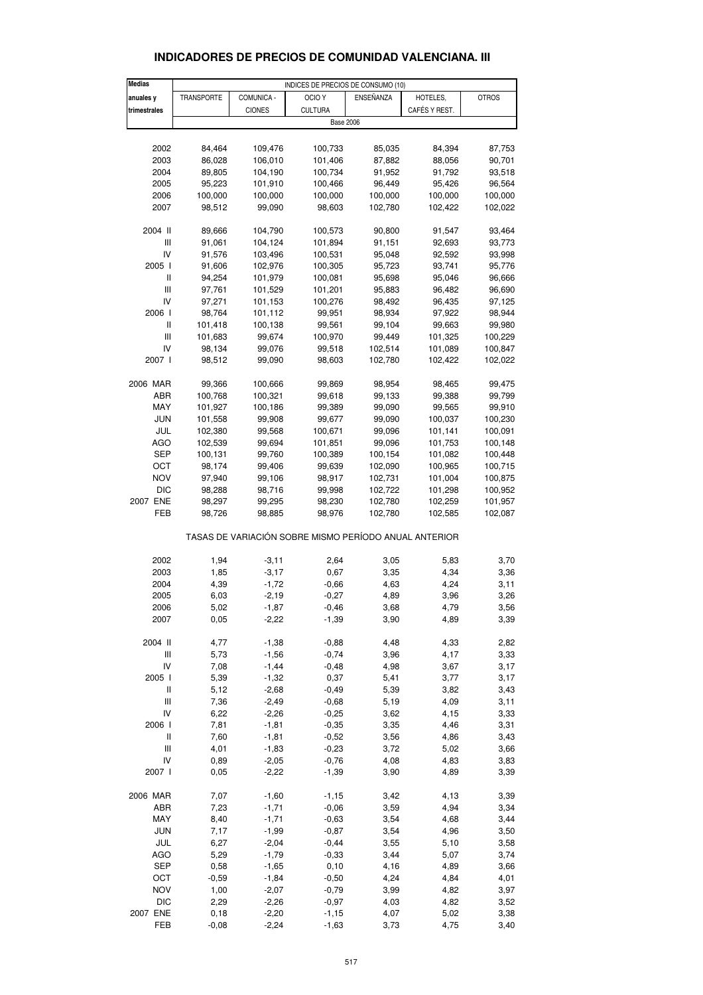| <b>Medias</b>                         | INDICES DE PRECIOS DE CONSUMO (10) |                    |                                                       |              |               |              |  |  |  |
|---------------------------------------|------------------------------------|--------------------|-------------------------------------------------------|--------------|---------------|--------------|--|--|--|
| anuales y                             | <b>TRANSPORTE</b>                  | COMUNICA -         | OCIO Y                                                | ENSEÑANZA    | HOTELES,      | <b>OTROS</b> |  |  |  |
| trimestrales                          |                                    | <b>CIONES</b>      | <b>CULTURA</b>                                        |              | CAFÉS Y REST. |              |  |  |  |
|                                       | <b>Base 2006</b>                   |                    |                                                       |              |               |              |  |  |  |
|                                       |                                    |                    |                                                       |              |               |              |  |  |  |
| 2002                                  | 84,464                             | 109,476            | 100,733                                               | 85,035       | 84,394        | 87,753       |  |  |  |
| 2003                                  | 86,028                             | 106,010            | 101,406                                               | 87,882       | 88,056        | 90,701       |  |  |  |
| 2004                                  | 89,805                             | 104,190            | 100,734                                               | 91,952       | 91,792        | 93,518       |  |  |  |
| 2005                                  | 95,223                             | 101,910            | 100,466                                               | 96,449       | 95,426        | 96,564       |  |  |  |
| 2006                                  | 100,000                            | 100,000            | 100,000                                               | 100,000      | 100,000       | 100,000      |  |  |  |
| 2007                                  | 98,512                             | 99,090             | 98,603                                                | 102,780      | 102,422       | 102,022      |  |  |  |
|                                       |                                    |                    |                                                       |              |               |              |  |  |  |
| 2004 II                               | 89,666                             | 104,790            | 100,573                                               | 90,800       | 91,547        | 93,464       |  |  |  |
| Ш                                     | 91,061                             | 104,124            | 101,894                                               | 91,151       | 92,693        | 93,773       |  |  |  |
| IV                                    | 91,576                             | 103,496            | 100,531                                               | 95,048       | 92,592        | 93,998       |  |  |  |
| 2005 l                                | 91,606                             | 102,976            | 100,305                                               | 95,723       | 93,741        | 95,776       |  |  |  |
| Ш                                     | 94,254                             | 101,979            | 100,081                                               | 95,698       | 95,046        | 96,666       |  |  |  |
| $\begin{array}{c} \hline \end{array}$ | 97,761                             | 101,529            | 101,201                                               | 95,883       | 96,482        | 96,690       |  |  |  |
| IV                                    | 97,271                             | 101,153            | 100,276                                               | 98,492       | 96,435        | 97,125       |  |  |  |
| 2006 l                                | 98,764                             | 101,112            | 99,951                                                | 98,934       | 97,922        | 98,944       |  |  |  |
| Ш                                     | 101,418                            | 100,138            | 99,561                                                | 99,104       | 99,663        | 99,980       |  |  |  |
| $\begin{array}{c} \hline \end{array}$ | 101,683                            | 99,674             | 100,970                                               | 99,449       | 101,325       | 100,229      |  |  |  |
| IV                                    | 98,134                             | 99,076             | 99,518                                                | 102,514      | 101,089       | 100,847      |  |  |  |
| 2007 l                                | 98,512                             | 99,090             | 98,603                                                | 102,780      | 102,422       | 102,022      |  |  |  |
|                                       |                                    |                    |                                                       |              |               |              |  |  |  |
| 2006 MAR                              | 99,366                             | 100,666            | 99,869                                                | 98,954       | 98,465        | 99,475       |  |  |  |
| ABR                                   | 100,768                            | 100,321            | 99,618                                                | 99,133       | 99,388        | 99,799       |  |  |  |
| MAY                                   | 101,927                            | 100,186            | 99,389                                                | 99,090       | 99,565        | 99,910       |  |  |  |
| <b>JUN</b>                            | 101,558                            | 99,908             | 99,677                                                | 99,090       | 100,037       | 100,230      |  |  |  |
| JUL                                   | 102,380                            | 99,568             | 100,671                                               | 99,096       | 101,141       | 100,091      |  |  |  |
| <b>AGO</b>                            | 102,539                            | 99,694             | 101,851                                               | 99,096       | 101,753       | 100,148      |  |  |  |
| SEP                                   | 100,131                            | 99,760             | 100,389                                               | 100,154      | 101,082       | 100,448      |  |  |  |
|                                       |                                    |                    |                                                       |              |               |              |  |  |  |
| ОСТ<br><b>NOV</b>                     | 98,174                             | 99,406             | 99,639                                                | 102,090      | 100,965       | 100,715      |  |  |  |
|                                       | 97,940                             | 99,106             | 98,917                                                | 102,731      | 101,004       | 100,875      |  |  |  |
| <b>DIC</b>                            | 98,288                             | 98,716             | 99,998                                                | 102,722      | 101,298       | 100,952      |  |  |  |
| 2007 ENE                              | 98,297                             | 99,295             | 98,230                                                | 102,780      | 102,259       | 101,957      |  |  |  |
| FEB                                   | 98,726                             | 98,885             | 98,976                                                | 102,780      | 102,585       | 102,087      |  |  |  |
|                                       |                                    |                    | TASAS DE VARIACIÓN SOBRE MISMO PERÍODO ANUAL ANTERIOR |              |               |              |  |  |  |
|                                       |                                    |                    |                                                       |              |               |              |  |  |  |
| 2002                                  | 1,94                               | $-3,11$            | 2,64                                                  | 3,05         | 5,83          | 3,70         |  |  |  |
| 2003                                  | 1,85                               | $-3,17$            | 0,67                                                  | 3,35         | 4,34          | 3,36         |  |  |  |
| 2004                                  | 4,39                               | $-1,72$            | $-0,66$                                               | 4,63         | 4,24          | 3,11         |  |  |  |
| 2005                                  | 6,03                               | $-2,19$            | $-0,27$                                               | 4,89         | 3,96          | 3,26         |  |  |  |
| 2006                                  | 5,02                               | $-1,87$            | $-0,46$                                               | 3,68         | 4,79          | 3,56         |  |  |  |
| 2007                                  | 0,05                               | $-2,22$            | $-1,39$                                               | 3,90         | 4,89          | 3,39         |  |  |  |
| 2004 II                               | 4,77                               | $-1,38$            | $-0,88$                                               | 4,48         | 4,33          | 2,82         |  |  |  |
|                                       |                                    |                    |                                                       |              |               |              |  |  |  |
| Ш<br>IV                               | 5,73<br>7,08                       | $-1,56$<br>$-1,44$ | $-0,74$                                               | 3,96<br>4,98 | 4,17          | 3,33         |  |  |  |
|                                       |                                    |                    | $-0,48$                                               |              | 3,67          | 3,17         |  |  |  |
| 2005 l<br>$\sf II$                    | 5,39                               | $-1,32$            | 0,37                                                  | 5,41         | 3,77          | 3,17         |  |  |  |
|                                       | 5,12                               | $-2,68$            | $-0,49$                                               | 5,39         | 3,82          | 3,43         |  |  |  |
| Ш                                     | 7,36                               | $-2,49$            | $-0,68$                                               | 5,19         | 4,09          | 3,11         |  |  |  |
| IV                                    | 6,22                               | $-2,26$            | $-0,25$                                               | 3,62         | 4,15          | 3,33         |  |  |  |
| 2006 l                                | 7,81                               | $-1,81$            | $-0,35$                                               | 3,35         | 4,46          | 3,31         |  |  |  |
| Ш                                     | 7,60                               | $-1,81$            | $-0,52$                                               | 3,56         | 4,86          | 3,43         |  |  |  |
| Ш                                     | 4,01                               | $-1,83$            | $-0,23$                                               | 3,72         | 5,02          | 3,66         |  |  |  |
| IV                                    | 0,89                               | $-2,05$            | $-0,76$                                               | 4,08         | 4,83          | 3,83         |  |  |  |
| 2007 l                                | 0,05                               | $-2,22$            | $-1,39$                                               | 3,90         | 4,89          | 3,39         |  |  |  |
| 2006 MAR                              | 7,07                               | $-1,60$            | $-1,15$                                               | 3,42         | 4,13          | 3,39         |  |  |  |
| ABR                                   | 7,23                               | $-1,71$            | $-0,06$                                               | 3,59         | 4,94          | 3,34         |  |  |  |
| MAY                                   | 8,40                               | $-1,71$            | $-0,63$                                               | 3,54         | 4,68          | 3,44         |  |  |  |
| <b>JUN</b>                            | 7,17                               | $-1,99$            | $-0,87$                                               | 3,54         | 4,96          | 3,50         |  |  |  |
| JUL                                   | 6,27                               | $-2,04$            | $-0,44$                                               | 3,55         | 5,10          | 3,58         |  |  |  |
| AGO                                   | 5,29                               | $-1,79$            | $-0,33$                                               | 3,44         | 5,07          | 3,74         |  |  |  |
| SEP                                   | 0,58                               | $-1,65$            | 0, 10                                                 | 4,16         | 4,89          | 3,66         |  |  |  |
| OCT                                   | $-0,59$                            | $-1,84$            | $-0,50$                                               | 4,24         | 4,84          | 4,01         |  |  |  |
| <b>NOV</b>                            | 1,00                               | $-2,07$            | $-0,79$                                               | 3,99         | 4,82          | 3,97         |  |  |  |
| <b>DIC</b>                            | 2,29                               | $-2,26$            | $-0,97$                                               | 4,03         | 4,82          | 3,52         |  |  |  |
| 2007 ENE                              | 0, 18                              | $-2,20$            | $-1, 15$                                              | 4,07         | 5,02          | 3,38         |  |  |  |
|                                       |                                    |                    |                                                       |              |               |              |  |  |  |

#### **INDICADORES DE PRECIOS DE COMUNIDAD VALENCIANA. III**

FEB -0,08 -2,24 -1,63 3,73 4,75 3,40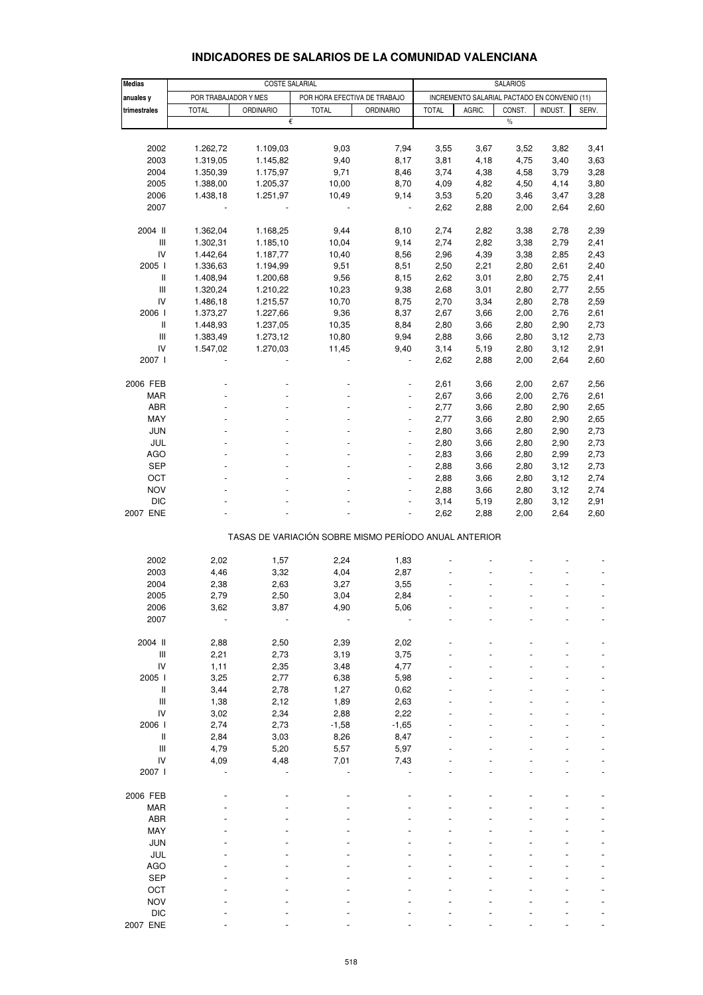|                |                      | COSTE SALARIAL   |                                                       |                  |              |        |                                              |         |       |
|----------------|----------------------|------------------|-------------------------------------------------------|------------------|--------------|--------|----------------------------------------------|---------|-------|
| <b>Medias</b>  |                      |                  | <b>SALARIOS</b>                                       |                  |              |        |                                              |         |       |
| anuales y      | POR TRABAJADOR Y MES |                  | POR HORA EFECTIVA DE TRABAJO                          |                  |              |        | INCREMENTO SALARIAL PACTADO EN CONVENIO (11) |         |       |
| trimestrales   | <b>TOTAL</b>         | <b>ORDINARIO</b> | <b>TOTAL</b>                                          | <b>ORDINARIO</b> | <b>TOTAL</b> | AGRIC. | CONST.                                       | INDUST. | SERV. |
|                |                      |                  | €                                                     |                  |              |        | $\%$                                         |         |       |
|                |                      |                  |                                                       |                  |              |        |                                              |         |       |
| 2002           | 1.262,72             | 1.109,03         | 9,03                                                  | 7,94             | 3,55         | 3,67   | 3,52                                         | 3,82    | 3,41  |
| 2003           | 1.319,05             | 1.145,82         | 9,40                                                  | 8,17             | 3,81         | 4,18   | 4,75                                         | 3,40    | 3,63  |
| 2004           | 1.350,39             | 1.175,97         | 9,71                                                  | 8,46             | 3,74         | 4,38   | 4,58                                         | 3,79    | 3,28  |
| 2005           | 1.388,00             | 1.205,37         | 10,00                                                 | 8,70             | 4,09         | 4,82   | 4,50                                         | 4,14    | 3,80  |
| 2006           | 1.438,18             | 1.251,97         | 10,49                                                 | 9,14             | 3,53         | 5,20   |                                              | 3,47    | 3,28  |
|                |                      |                  |                                                       |                  |              |        | 3,46                                         |         |       |
| 2007           |                      |                  |                                                       |                  | 2,62         | 2,88   | 2,00                                         | 2,64    | 2,60  |
|                |                      |                  |                                                       |                  |              |        |                                              |         |       |
| 2004 II        | 1.362,04             | 1.168,25         | 9,44                                                  | 8,10             | 2,74         | 2,82   | 3,38                                         | 2,78    | 2,39  |
| Ш              | 1.302,31             | 1.185,10         | 10,04                                                 | 9,14             | 2,74         | 2,82   | 3,38                                         | 2,79    | 2,41  |
| IV             | 1.442,64             | 1.187,77         | 10,40                                                 | 8,56             | 2,96         | 4,39   | 3,38                                         | 2,85    | 2,43  |
| 2005 l         | 1.336,63             | 1.194,99         | 9,51                                                  | 8,51             | 2,50         | 2,21   | 2,80                                         | 2,61    | 2,40  |
| $\sf II$       | 1.408,94             | 1.200,68         | 9,56                                                  | 8,15             | 2,62         | 3,01   | 2,80                                         | 2,75    | 2,41  |
| $\mathbf{III}$ | 1.320,24             | 1.210,22         | 10,23                                                 | 9,38             | 2,68         | 3,01   | 2,80                                         | 2,77    | 2,55  |
| IV             | 1.486,18             | 1.215,57         | 10,70                                                 | 8,75             | 2,70         | 3,34   | 2,80                                         | 2,78    | 2,59  |
| 2006           | 1.373,27             | 1.227,66         | 9,36                                                  | 8,37             | 2,67         | 3,66   | 2,00                                         | 2,76    | 2,61  |
| $\mathbf{I}$   | 1.448,93             | 1.237,05         | 10,35                                                 | 8,84             | 2,80         | 3,66   | 2,80                                         | 2,90    | 2,73  |
|                |                      |                  |                                                       |                  |              |        |                                              |         |       |
| $\mathbf{III}$ | 1.383,49             | 1.273,12         | 10,80                                                 | 9,94             | 2,88         | 3,66   | 2,80                                         | 3,12    | 2,73  |
| IV             | 1.547,02             | 1.270,03         | 11,45                                                 | 9,40             | 3,14         | 5,19   | 2,80                                         | 3,12    | 2,91  |
| 2007 l         |                      |                  |                                                       |                  | 2,62         | 2,88   | 2,00                                         | 2,64    | 2,60  |
|                |                      |                  |                                                       |                  |              |        |                                              |         |       |
| 2006 FEB       |                      |                  |                                                       |                  | 2,61         | 3,66   | 2,00                                         | 2,67    | 2,56  |
| <b>MAR</b>     |                      |                  |                                                       |                  | 2,67         | 3,66   | 2,00                                         | 2,76    | 2,61  |
| <b>ABR</b>     |                      |                  |                                                       | ÷,               | 2,77         | 3,66   | 2,80                                         | 2,90    | 2,65  |
| MAY            |                      |                  |                                                       |                  | 2,77         | 3,66   | 2,80                                         | 2,90    | 2,65  |
| <b>JUN</b>     |                      |                  |                                                       |                  | 2,80         | 3,66   | 2,80                                         | 2,90    | 2,73  |
| JUL            |                      |                  |                                                       | ÷,               | 2,80         | 3,66   | 2,80                                         | 2,90    | 2,73  |
| <b>AGO</b>     |                      |                  |                                                       |                  | 2,83         | 3,66   | 2,80                                         | 2,99    | 2,73  |
| <b>SEP</b>     |                      |                  |                                                       |                  |              |        |                                              |         |       |
|                |                      |                  |                                                       |                  | 2,88         | 3,66   | 2,80                                         | 3,12    | 2,73  |
| OCT            |                      |                  |                                                       | ÷,               | 2,88         | 3,66   | 2,80                                         | 3,12    | 2,74  |
| <b>NOV</b>     |                      |                  |                                                       |                  | 2,88         | 3,66   | 2,80                                         | 3,12    | 2,74  |
| <b>DIC</b>     |                      |                  |                                                       |                  | 3,14         | 5,19   | 2,80                                         | 3,12    | 2,91  |
| 2007 ENE       |                      |                  |                                                       |                  | 2,62         | 2,88   | 2,00                                         | 2,64    | 2,60  |
|                |                      |                  |                                                       |                  |              |        |                                              |         |       |
|                |                      |                  | TASAS DE VARIACIÓN SOBRE MISMO PERÍODO ANUAL ANTERIOR |                  |              |        |                                              |         |       |
|                |                      |                  |                                                       |                  |              |        |                                              |         |       |
| 2002           | 2,02                 | 1,57             | 2,24                                                  | 1,83             |              |        |                                              |         |       |
| 2003           | 4,46                 | 3,32             | 4,04                                                  | 2,87             |              |        |                                              |         |       |
| 2004           | 2,38                 | 2,63             | 3,27                                                  | 3,55             |              |        |                                              |         |       |
|                |                      |                  |                                                       |                  |              |        |                                              |         |       |
| 2005           | 2,79                 | 2,50             | 3,04                                                  | 2,84             |              |        |                                              |         |       |
| 2006           | 3,62                 | 3,87             | 4,90                                                  | 5,06             |              |        |                                              |         |       |
| 2007           |                      |                  |                                                       |                  |              |        |                                              |         |       |
|                |                      |                  |                                                       |                  |              |        |                                              |         |       |
| 2004 II        | 2,88                 | 2,50             | 2,39                                                  | 2,02             |              |        |                                              |         |       |
| $\mathbf{III}$ | 2,21                 | 2,73             | 3,19                                                  | 3,75             |              |        |                                              |         |       |
| IV             | 1,11                 | 2,35             | 3,48                                                  | 4,77             |              |        |                                              |         |       |
| 2005 l         | 3,25                 | 2,77             | 6,38                                                  | 5,98             |              |        |                                              |         |       |
| Ш              | 3,44                 | 2,78             | 1,27                                                  | 0,62             |              |        |                                              |         |       |
| $\mathbf{III}$ | 1,38                 | 2,12             | 1,89                                                  | 2,63             |              |        |                                              |         |       |
| IV             | 3,02                 | 2,34             | 2,88                                                  | 2,22             |              |        |                                              |         |       |
| 2006 l         | 2,74                 | 2,73             | $-1,58$                                               | $-1,65$          |              |        |                                              |         |       |
| $\sf II$       |                      | 3,03             |                                                       | 8,47             |              |        |                                              |         |       |
|                | 2,84                 |                  | 8,26                                                  |                  |              |        |                                              |         |       |
| Ш              | 4,79                 | 5,20             | 5,57                                                  | 5,97             |              |        |                                              |         |       |
| IV             | 4,09                 | 4,48             | 7,01                                                  | 7,43             |              |        |                                              |         |       |
| 2007 l         |                      |                  |                                                       |                  |              |        |                                              |         |       |
|                |                      |                  |                                                       |                  |              |        |                                              |         |       |
| 2006 FEB       |                      |                  |                                                       |                  |              |        |                                              |         |       |
| <b>MAR</b>     |                      |                  |                                                       |                  |              |        |                                              |         |       |
| <b>ABR</b>     |                      |                  |                                                       |                  |              |        |                                              |         |       |
| MAY            |                      |                  |                                                       |                  |              |        |                                              |         |       |
| <b>JUN</b>     |                      |                  |                                                       |                  |              |        |                                              |         |       |
| JUL            |                      |                  |                                                       |                  |              |        |                                              |         |       |
|                |                      |                  |                                                       |                  |              |        |                                              |         |       |
| <b>AGO</b>     |                      |                  |                                                       |                  |              |        |                                              |         |       |
| <b>SEP</b>     |                      |                  |                                                       |                  |              |        |                                              |         |       |
| OCT            |                      |                  |                                                       |                  |              |        |                                              |         |       |
| <b>NOV</b>     |                      |                  |                                                       |                  |              |        |                                              |         |       |
| <b>DIC</b>     |                      |                  |                                                       |                  |              |        |                                              |         |       |

#### **INDICADORES DE SALARIOS DE LA COMUNIDAD VALENCIANA**

2007 ENE - - - - - - - - -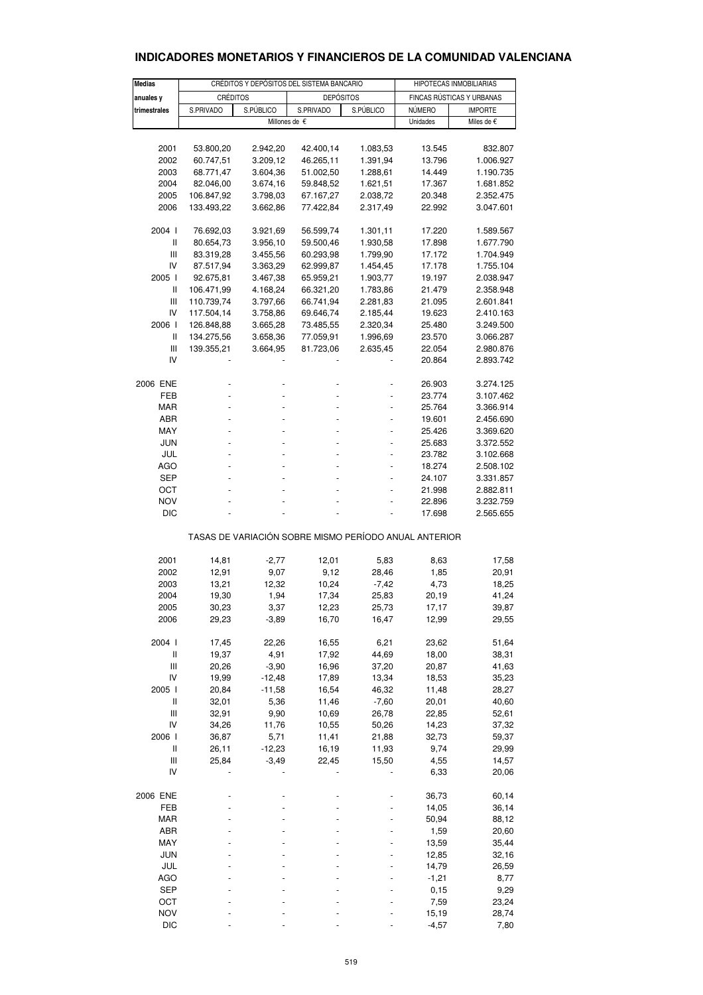# **INDICADORES MONETARIOS Y FINANCIEROS DE LA COMUNIDAD VALENCIANA**

| <b>Medias</b>              |                | CRÉDITOS Y DEPÓSITOS DEL SISTEMA BANCARIO | HIPOTECAS INMOBILIARIAS                               |           |                           |                |  |
|----------------------------|----------------|-------------------------------------------|-------------------------------------------------------|-----------|---------------------------|----------------|--|
| anuales y                  | CRÉDITOS       |                                           | <b>DEPÓSITOS</b>                                      |           | FINCAS RÚSTICAS Y URBANAS |                |  |
| trimestrales               | S.PRIVADO      | S.PÚBLICO                                 | S.PRIVADO                                             | S.PÚBLICO | NÚMERO                    | <b>IMPORTE</b> |  |
|                            |                |                                           | Millones de €                                         |           | Unidades                  | Miles de €     |  |
|                            |                |                                           |                                                       |           |                           |                |  |
| 2001                       | 53.800,20      | 2.942,20                                  | 42.400,14                                             | 1.083,53  | 13.545                    | 832.807        |  |
| 2002                       | 60.747,51      | 3.209,12                                  | 46.265,11                                             | 1.391,94  | 13.796                    | 1.006.927      |  |
| 2003                       | 68.771,47      | 3.604,36                                  | 51.002,50                                             | 1.288,61  | 14.449                    | 1.190.735      |  |
| 2004                       | 82.046,00      | 3.674,16                                  | 59.848,52                                             | 1.621,51  | 17.367                    | 1.681.852      |  |
| 2005                       | 106.847,92     | 3.798,03                                  | 67.167,27                                             | 2.038,72  | 20.348                    | 2.352.475      |  |
|                            |                |                                           | 77.422,84                                             |           | 22.992                    |                |  |
| 2006                       | 133.493,22     | 3.662,86                                  |                                                       | 2.317,49  |                           | 3.047.601      |  |
| 2004 l                     | 76.692,03      | 3.921,69                                  | 56.599,74                                             | 1.301,11  | 17.220                    | 1.589.567      |  |
| Ш                          | 80.654,73      | 3.956,10                                  | 59.500,46                                             | 1.930,58  | 17.898                    | 1.677.790      |  |
| Ш                          | 83.319,28      | 3.455,56                                  | 60.293,98                                             | 1.799,90  | 17.172                    | 1.704.949      |  |
| IV                         | 87.517,94      | 3.363,29                                  | 62.999,87                                             | 1.454,45  | 17.178                    | 1.755.104      |  |
| 2005 l                     | 92.675,81      | 3.467,38                                  | 65.959,21                                             | 1.903,77  | 19.197                    | 2.038.947      |  |
| Ш                          | 106.471,99     | 4.168,24                                  | 66.321,20                                             | 1.783,86  | 21.479                    | 2.358.948      |  |
|                            |                |                                           |                                                       |           |                           |                |  |
| Ш                          | 110.739,74     | 3.797,66                                  | 66.741,94                                             | 2.281,83  | 21.095                    | 2.601.841      |  |
| IV                         | 117.504,14     | 3.758,86                                  | 69.646,74                                             | 2.185,44  | 19.623                    | 2.410.163      |  |
| 2006                       | 126.848,88     | 3.665,28                                  | 73.485,55                                             | 2.320,34  | 25.480                    | 3.249.500      |  |
| $\ensuremath{\mathsf{II}}$ | 134.275,56     | 3.658,36                                  | 77.059,91                                             | 1.996,69  | 23.570                    | 3.066.287      |  |
| Ш                          | 139.355,21     | 3.664,95                                  | 81.723,06                                             | 2.635,45  | 22.054                    | 2.980.876      |  |
| IV                         |                |                                           |                                                       |           | 20.864                    | 2.893.742      |  |
|                            |                |                                           |                                                       |           |                           |                |  |
| 2006 ENE                   |                |                                           |                                                       |           | 26.903                    | 3.274.125      |  |
| FEB                        |                |                                           |                                                       |           | 23.774                    | 3.107.462      |  |
| <b>MAR</b>                 |                |                                           |                                                       |           | 25.764                    | 3.366.914      |  |
| ABR                        |                |                                           |                                                       |           | 19.601                    | 2.456.690      |  |
| MAY                        |                |                                           |                                                       |           | 25.426                    | 3.369.620      |  |
| <b>JUN</b>                 | $\overline{a}$ |                                           |                                                       |           | 25.683                    | 3.372.552      |  |
| JUL                        |                |                                           |                                                       |           | 23.782                    | 3.102.668      |  |
| AGO                        |                |                                           |                                                       |           | 18.274                    | 2.508.102      |  |
| SEP                        |                |                                           |                                                       |           | 24.107                    | 3.331.857      |  |
| OCT                        |                |                                           |                                                       |           | 21.998                    | 2.882.811      |  |
| <b>NOV</b>                 |                |                                           |                                                       |           | 22.896                    | 3.232.759      |  |
| <b>DIC</b>                 |                |                                           |                                                       |           | 17.698                    | 2.565.655      |  |
|                            |                |                                           | TASAS DE VARIACIÓN SOBRE MISMO PERÍODO ANUAL ANTERIOR |           |                           |                |  |
|                            |                |                                           |                                                       |           |                           |                |  |
| 2001                       | 14,81          | $-2,77$                                   | 12,01                                                 | 5,83      | 8,63                      | 17,58          |  |
| 2002                       | 12,91          | 9,07                                      | 9,12                                                  | 28,46     | 1,85                      | 20,91          |  |
| 2003                       | 13,21          | 12,32                                     | 10,24                                                 | $-7,42$   | 4,73                      | 18,25          |  |
| 2004                       | 19,30          | 1,94                                      | 17,34                                                 | 25,83     | 20,19                     | 41,24          |  |
| 2005                       | 30,23          | 3,37                                      | 12,23                                                 | 25,73     | 17,17                     | 39,87          |  |
| 2006                       | 29,23          | $-3,89$                                   | 16,70                                                 | 16,47     | 12,99                     | 29,55          |  |
|                            |                |                                           |                                                       |           |                           |                |  |
| 2004 l                     | 17,45          | 22,26                                     | 16,55                                                 | 6,21      | 23,62                     | 51,64          |  |
| Ш                          | 19,37          | 4,91                                      | 17,92                                                 | 44,69     | 18,00                     | 38,31          |  |
| Ш                          | 20,26          | $-3,90$                                   | 16,96                                                 | 37,20     | 20,87                     | 41,63          |  |
| IV                         | 19,99          | $-12,48$                                  | 17,89                                                 | 13,34     | 18,53                     | 35,23          |  |
| 2005 l                     | 20,84          | $-11,58$                                  | 16,54                                                 | 46,32     | 11,48                     | 28,27          |  |
| Ш                          | 32,01          | 5,36                                      | 11,46                                                 | $-7,60$   | 20,01                     | 40,60          |  |
| Ш                          | 32,91          | 9,90                                      | 10,69                                                 | 26,78     | 22,85                     | 52,61          |  |
| IV                         | 34,26          | 11,76                                     | 10,55                                                 | 50,26     | 14,23                     | 37,32          |  |
| 2006 l                     | 36,87          | 5,71                                      | 11,41                                                 | 21,88     | 32,73                     | 59,37          |  |
| Ш                          | 26,11          | $-12,23$                                  | 16,19                                                 | 11,93     | 9,74                      | 29,99          |  |
| $\mathbf{III}$             | 25,84          | $-3,49$                                   | 22,45                                                 | 15,50     | 4,55                      | 14,57          |  |
| IV                         |                |                                           |                                                       |           | 6,33                      | 20,06          |  |
| 2006 ENE                   |                |                                           |                                                       |           | 36,73                     | 60,14          |  |
| FEB                        |                |                                           |                                                       |           | 14,05                     | 36,14          |  |
| MAR                        |                |                                           |                                                       |           | 50,94                     | 88,12          |  |
| ABR                        |                |                                           |                                                       |           | 1,59                      | 20,60          |  |
| MAY                        |                |                                           |                                                       |           | 13,59                     | 35,44          |  |
| <b>JUN</b>                 |                |                                           |                                                       |           | 12,85                     | 32,16          |  |
| JUL                        |                |                                           |                                                       |           | 14,79                     |                |  |
|                            |                |                                           |                                                       |           |                           | 26,59          |  |
| AGO                        |                |                                           |                                                       |           | $-1,21$                   | 8,77           |  |
| SEP                        |                |                                           |                                                       |           | 0, 15                     | 9,29           |  |
| OCT                        |                |                                           |                                                       |           | 7,59                      | 23,24          |  |
| <b>NOV</b>                 |                |                                           |                                                       |           | 15,19                     | 28,74          |  |
| <b>DIC</b>                 |                |                                           |                                                       |           | $-4,57$                   | 7,80           |  |